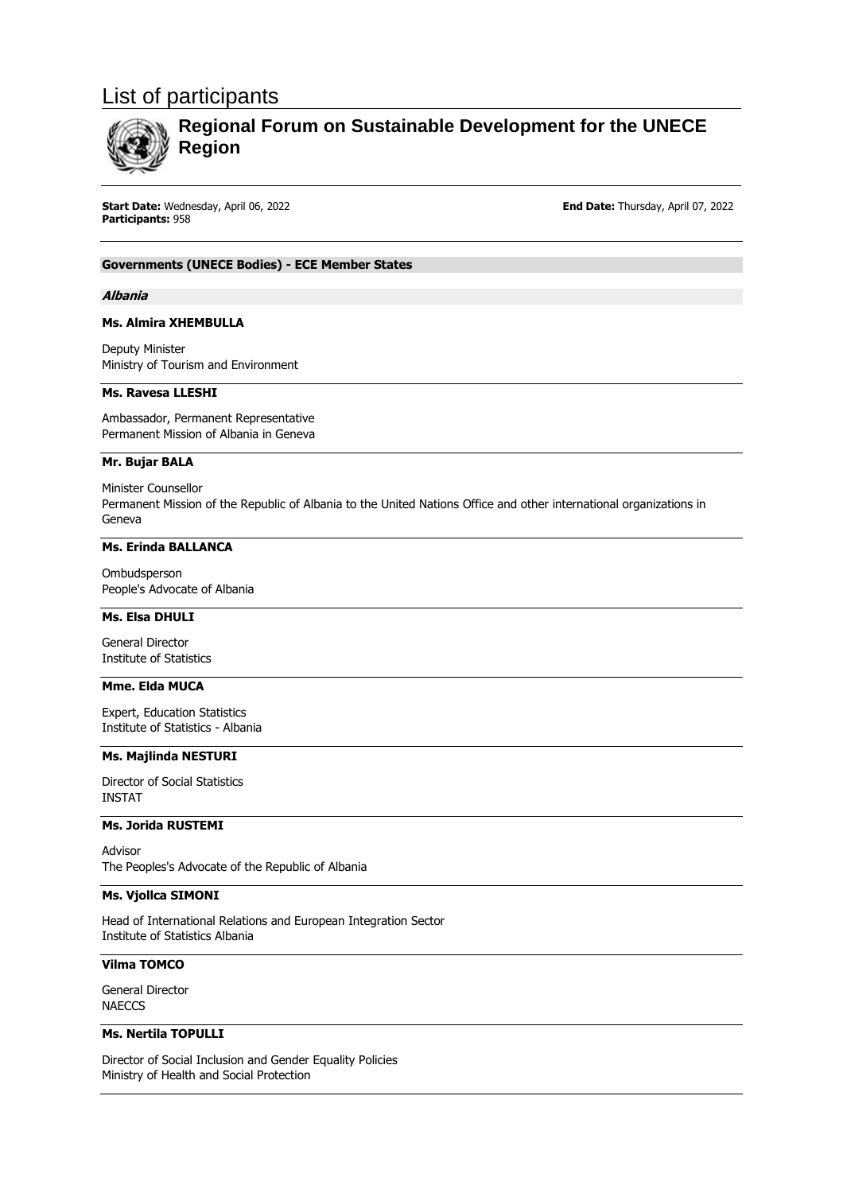# List of participants



# **Regional Forum on Sustainable Development for the UNECE Region**

**Start Date:** Wednesday, April 06, 2022 **End Date:** Thursday, April 07, 2022 **Participants:** 958

# **Governments (UNECE Bodies) - ECE Member States**

#### **Albania**

### **Ms. Almira XHEMBULLA**

Deputy Minister Ministry of Tourism and Environment

### **Ms. Ravesa LLESHI**

Ambassador, Permanent Representative Permanent Mission of Albania in Geneva

#### **Mr. Bujar BALA**

Minister Counsellor Permanent Mission of the Republic of Albania to the United Nations Office and other international organizations in Geneva

# **Ms. Erinda BALLANCA**

Ombudsperson People's Advocate of Albania

# **Ms. Elsa DHULI**

General Director Institute of Statistics

# **Mme. Elda MUCA**

Expert, Education Statistics Institute of Statistics - Albania

### **Ms. Majlinda NESTURI**

Director of Social Statistics INSTAT

# **Ms. Jorida RUSTEMI**

Advisor The Peoples's Advocate of the Republic of Albania

# **Ms. Vjollca SIMONI**

Head of International Relations and European Integration Sector Institute of Statistics Albania

# **Vilma TOMCO**

General Director **NAECCS** 

# **Ms. Nertila TOPULLI**

Director of Social Inclusion and Gender Equality Policies Ministry of Health and Social Protection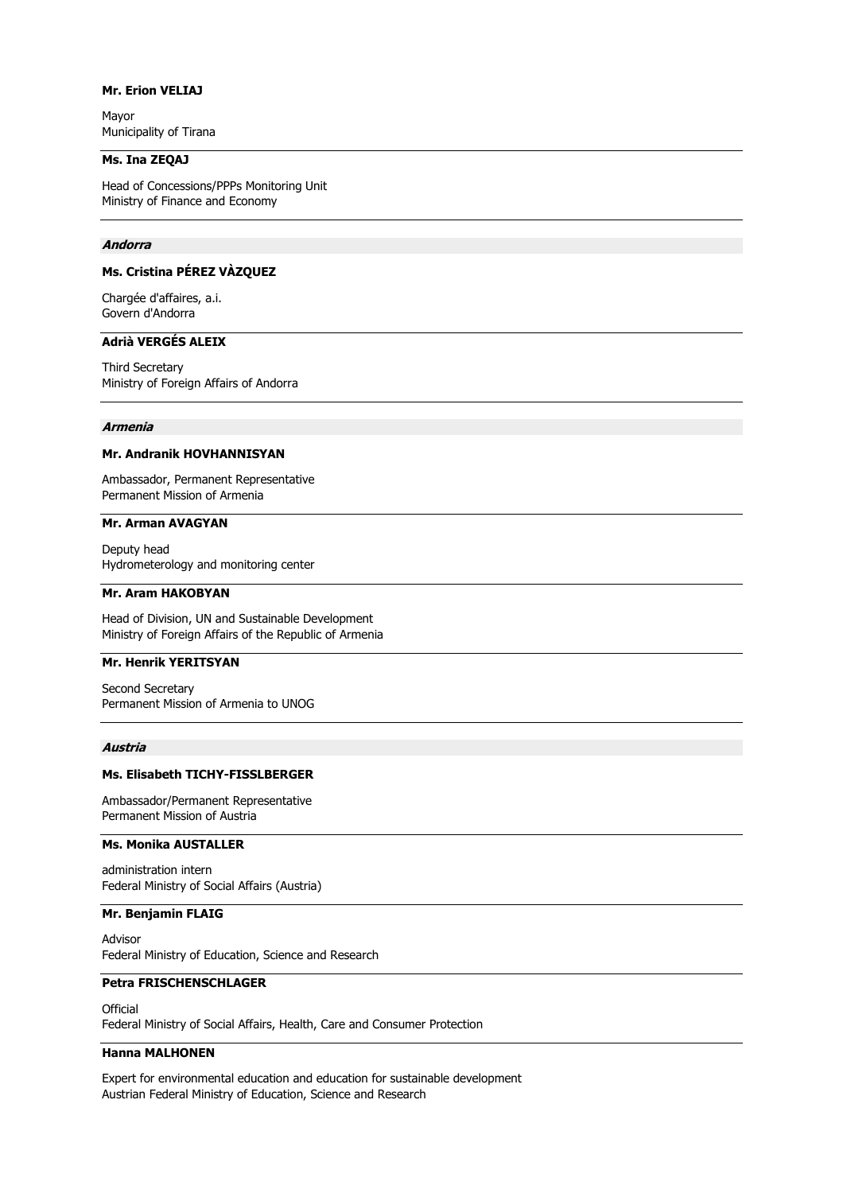# **Mr. Erion VELIAJ**

Mayor Municipality of Tirana

### **Ms. Ina ZEQAJ**

Head of Concessions/PPPs Monitoring Unit Ministry of Finance and Economy

### **Andorra**

# **Ms. Cristina PÉREZ VÀZQUEZ**

Chargée d'affaires, a.i. Govern d'Andorra

# **Adrià VERGÉS ALEIX**

Third Secretary Ministry of Foreign Affairs of Andorra

# **Armenia**

### **Mr. Andranik HOVHANNISYAN**

Ambassador, Permanent Representative Permanent Mission of Armenia

# **Mr. Arman AVAGYAN**

Deputy head Hydrometerology and monitoring center

#### **Mr. Aram HAKOBYAN**

Head of Division, UN and Sustainable Development Ministry of Foreign Affairs of the Republic of Armenia

#### **Mr. Henrik YERITSYAN**

Second Secretary Permanent Mission of Armenia to UNOG

#### **Austria**

### **Ms. Elisabeth TICHY-FISSLBERGER**

Ambassador/Permanent Representative Permanent Mission of Austria

### **Ms. Monika AUSTALLER**

administration intern Federal Ministry of Social Affairs (Austria)

#### **Mr. Benjamin FLAIG**

Advisor Federal Ministry of Education, Science and Research

# **Petra FRISCHENSCHLAGER**

**Official** Federal Ministry of Social Affairs, Health, Care and Consumer Protection

# **Hanna MALHONEN**

Expert for environmental education and education for sustainable development Austrian Federal Ministry of Education, Science and Research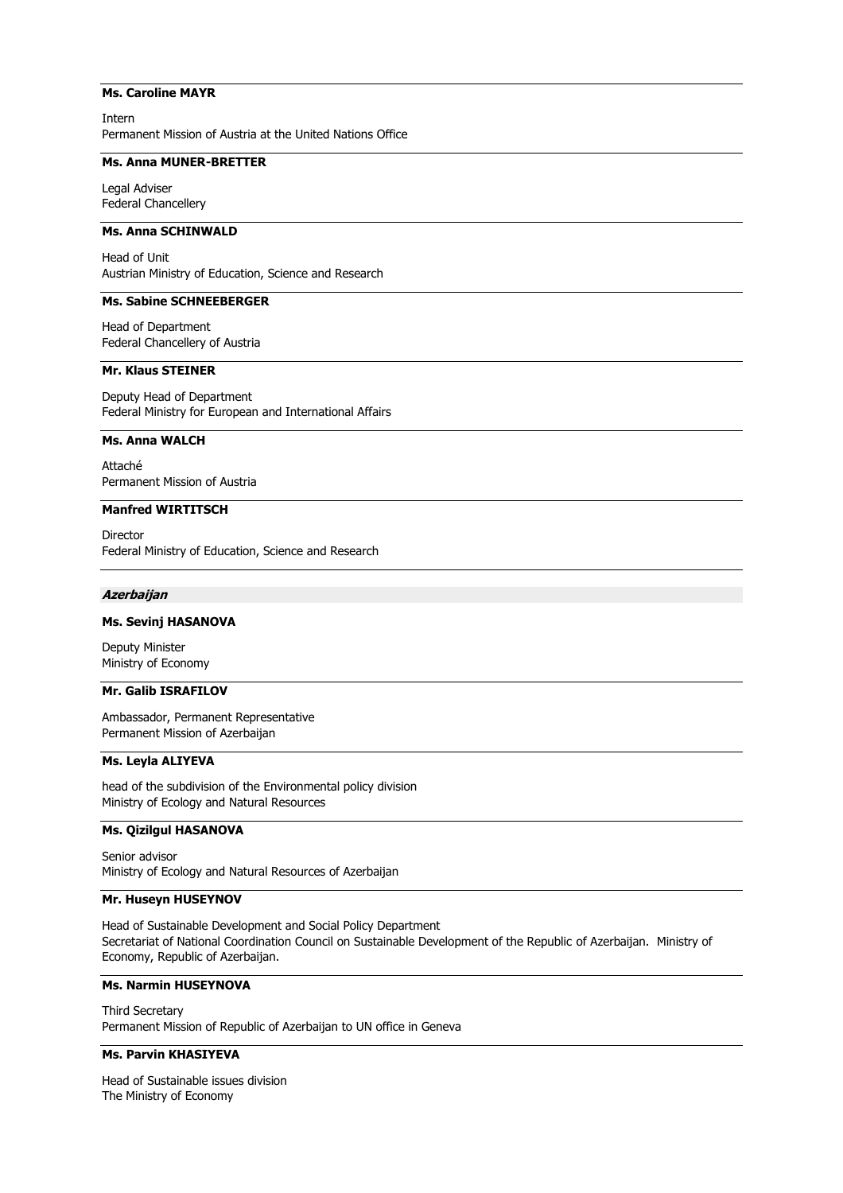### **Ms. Caroline MAYR**

Intern Permanent Mission of Austria at the United Nations Office

### **Ms. Anna MUNER-BRETTER**

Legal Adviser Federal Chancellery

# **Ms. Anna SCHINWALD**

Head of Unit Austrian Ministry of Education, Science and Research

# **Ms. Sabine SCHNEEBERGER**

Head of Department Federal Chancellery of Austria

# **Mr. Klaus STEINER**

Deputy Head of Department Federal Ministry for European and International Affairs

### **Ms. Anna WALCH**

Attaché Permanent Mission of Austria

### **Manfred WIRTITSCH**

Director Federal Ministry of Education, Science and Research

#### **Azerbaijan**

# **Ms. Sevinj HASANOVA**

Deputy Minister Ministry of Economy

# **Mr. Galib ISRAFILOV**

Ambassador, Permanent Representative Permanent Mission of Azerbaijan

# **Ms. Leyla ALIYEVA**

head of the subdivision of the Environmental policy division Ministry of Ecology and Natural Resources

# **Ms. Qizilgul HASANOVA**

Senior advisor Ministry of Ecology and Natural Resources of Azerbaijan

# **Mr. Huseyn HUSEYNOV**

Head of Sustainable Development and Social Policy Department Secretariat of National Coordination Council on Sustainable Development of the Republic of Azerbaijan. Ministry of Economy, Republic of Azerbaijan.

# **Ms. Narmin HUSEYNOVA**

Third Secretary Permanent Mission of Republic of Azerbaijan to UN office in Geneva

# **Ms. Parvin KHASIYEVA**

Head of Sustainable issues division The Ministry of Economy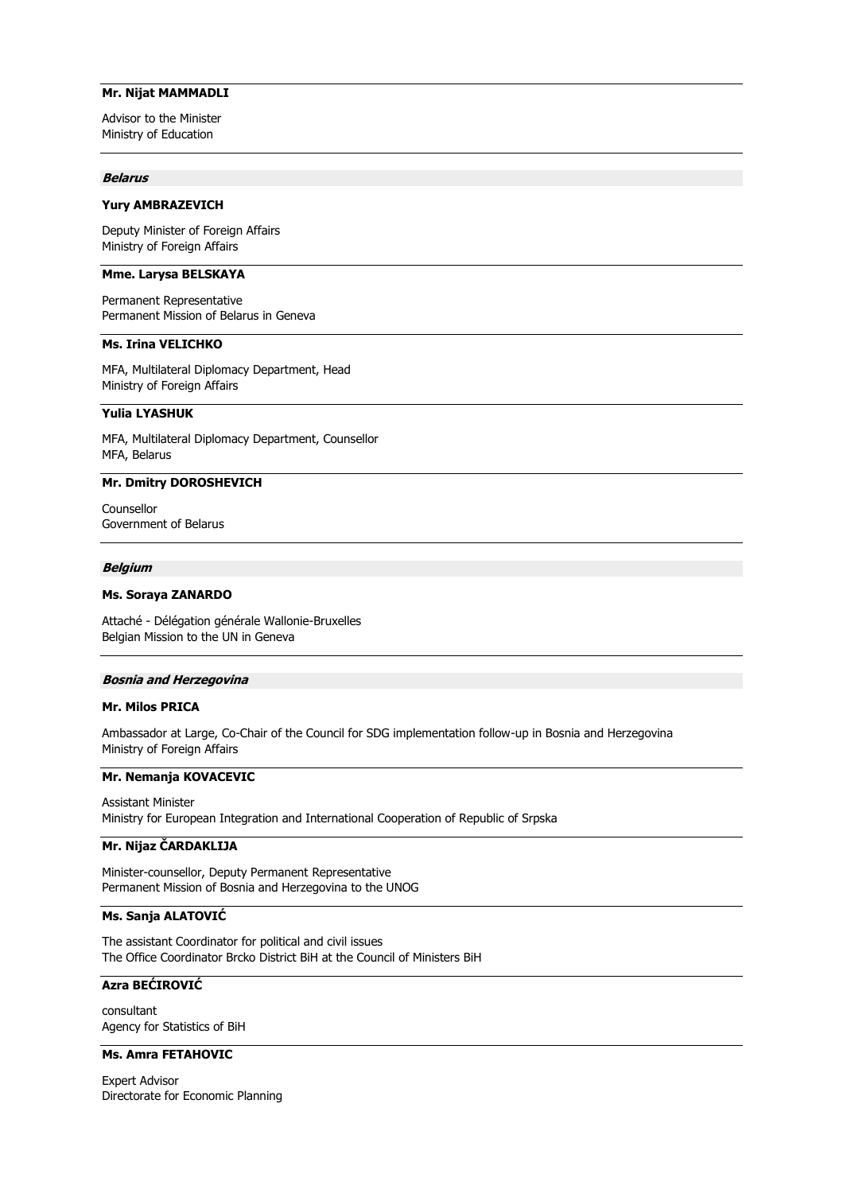### **Mr. Nijat MAMMADLI**

Advisor to the Minister Ministry of Education

#### **Belarus**

#### **Yury AMBRAZEVICH**

Deputy Minister of Foreign Affairs Ministry of Foreign Affairs

### **Mme. Larysa BELSKAYA**

Permanent Representative Permanent Mission of Belarus in Geneva

# **Ms. Irina VELICHKO**

MFA, Multilateral Diplomacy Department, Head Ministry of Foreign Affairs

# **Yulia LYASHUK**

MFA, Multilateral Diplomacy Department, Counsellor MFA, Belarus

### **Mr. Dmitry DOROSHEVICH**

Counsellor Government of Belarus

#### **Belgium**

#### **Ms. Soraya ZANARDO**

Attaché - Délégation générale Wallonie-Bruxelles Belgian Mission to the UN in Geneva

#### **Bosnia and Herzegovina**

#### **Mr. Milos PRICA**

Ambassador at Large, Co-Chair of the Council for SDG implementation follow-up in Bosnia and Herzegovina Ministry of Foreign Affairs

### **Mr. Nemanja KOVACEVIC**

Assistant Minister Ministry for European Integration and International Cooperation of Republic of Srpska

# **Mr. Nijaz ČARDAKLIJA**

Minister-counsellor, Deputy Permanent Representative Permanent Mission of Bosnia and Herzegovina to the UNOG

# **Ms. Sanja ALATOVIĆ**

The assistant Coordinator for political and civil issues The Office Coordinator Brcko District BiH at the Council of Ministers BiH

# **Azra BEĆIROVIĆ**

consultant Agency for Statistics of BiH

# **Ms. Amra FETAHOVIC**

Expert Advisor Directorate for Economic Planning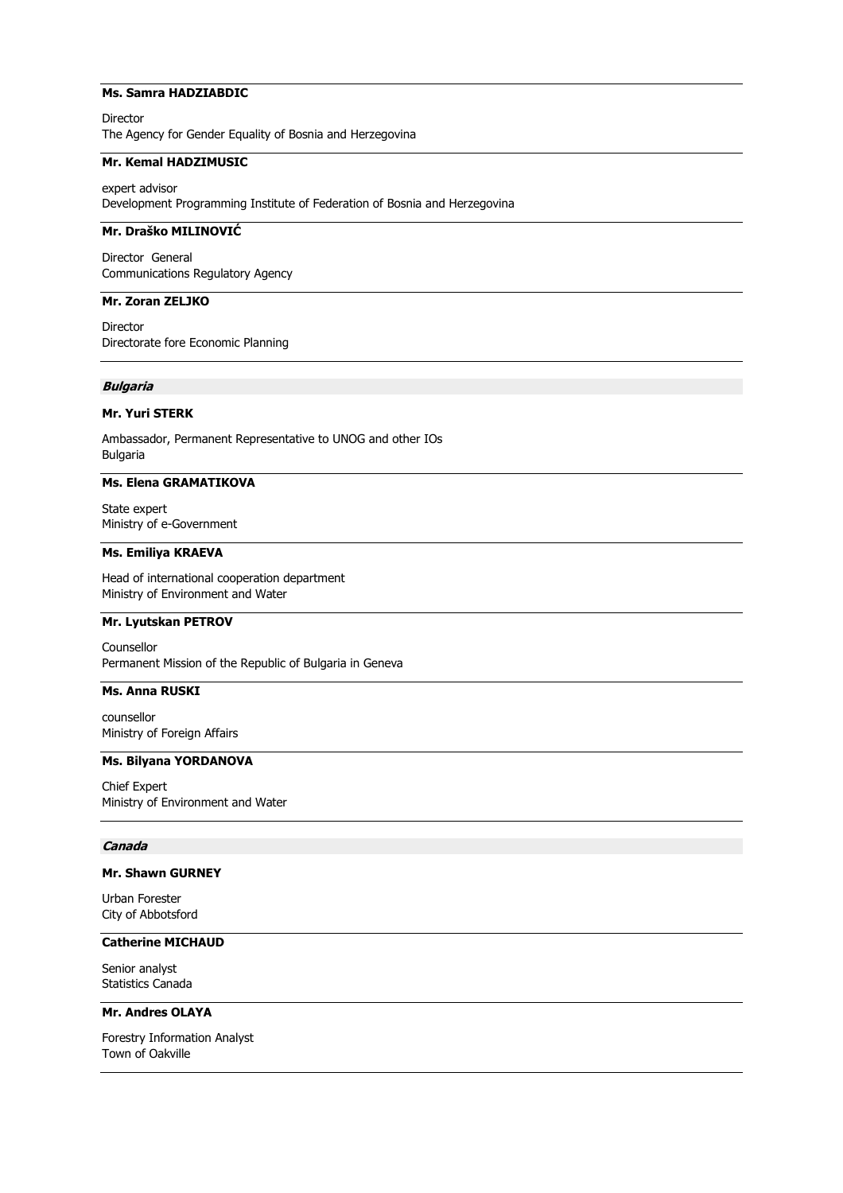# **Ms. Samra HADZIABDIC**

Director The Agency for Gender Equality of Bosnia and Herzegovina

# **Mr. Kemal HADZIMUSIC**

expert advisor Development Programming Institute of Federation of Bosnia and Herzegovina

# **Mr. Draško MILINOVIĆ**

Director General Communications Regulatory Agency

# **Mr. Zoran ZELJKO**

Director Directorate fore Economic Planning

# **Bulgaria**

#### **Mr. Yuri STERK**

Ambassador, Permanent Representative to UNOG and other IOs Bulgaria

### **Ms. Elena GRAMATIKOVA**

State expert Ministry of e-Government

### **Ms. Emiliya KRAEVA**

Head of international cooperation department Ministry of Environment and Water

# **Mr. Lyutskan PETROV**

Counsellor Permanent Mission of the Republic of Bulgaria in Geneva

#### **Ms. Anna RUSKI**

counsellor Ministry of Foreign Affairs

### **Ms. Bilyana YORDANOVA**

Chief Expert Ministry of Environment and Water

# **Canada**

### **Mr. Shawn GURNEY**

Urban Forester City of Abbotsford

# **Catherine MICHAUD**

Senior analyst Statistics Canada

#### **Mr. Andres OLAYA**

Forestry Information Analyst Town of Oakville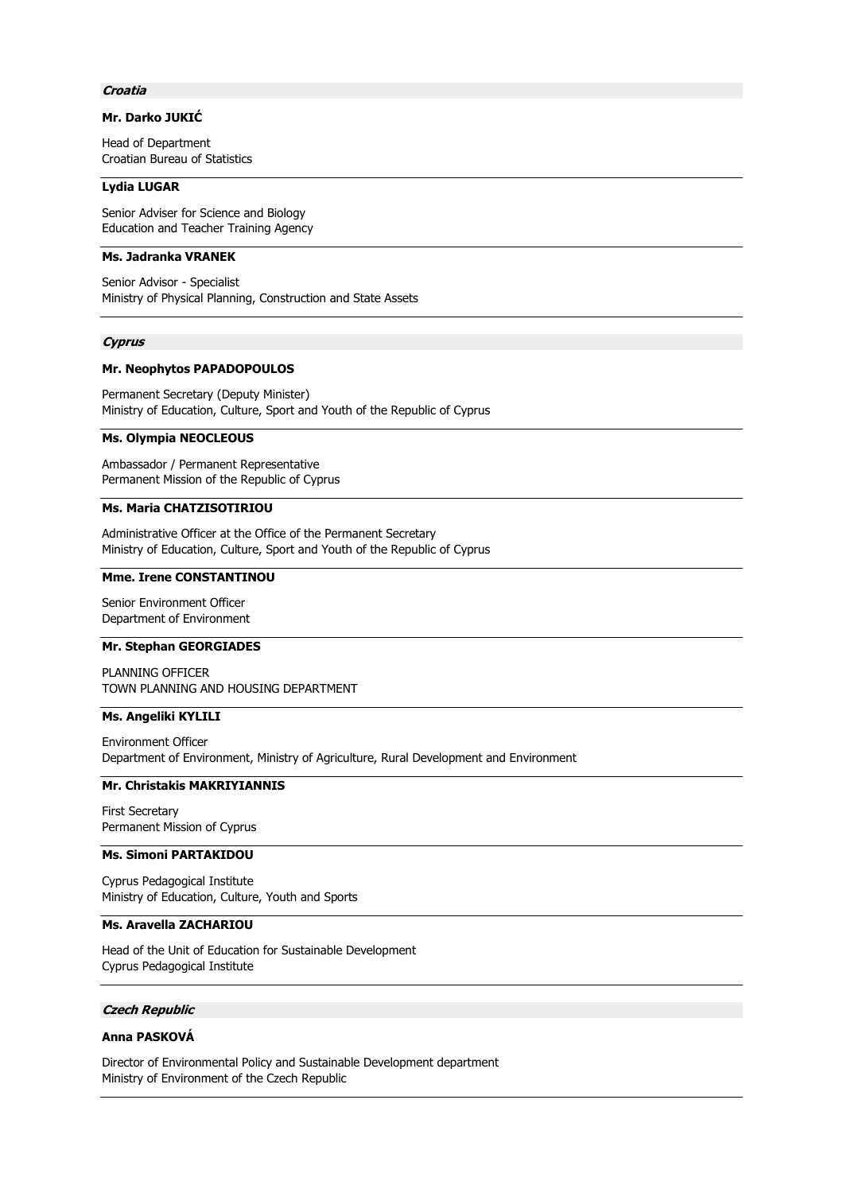### **Croatia**

# **Mr. Darko JUKIĆ**

Head of Department Croatian Bureau of Statistics

### **Lydia LUGAR**

Senior Adviser for Science and Biology Education and Teacher Training Agency

# **Ms. Jadranka VRANEK**

Senior Advisor - Specialist Ministry of Physical Planning, Construction and State Assets

### **Cyprus**

# **Mr. Neophytos PAPADOPOULOS**

Permanent Secretary (Deputy Minister) Ministry of Education, Culture, Sport and Youth of the Republic of Cyprus

### **Ms. Olympia NEOCLEOUS**

Ambassador / Permanent Representative Permanent Mission of the Republic of Cyprus

# **Ms. Maria CHATZISOTIRIOU**

Administrative Officer at the Office of the Permanent Secretary Ministry of Education, Culture, Sport and Youth of the Republic of Cyprus

# **Mme. Irene CONSTANTINOU**

Senior Environment Officer Department of Environment

### **Mr. Stephan GEORGIADES**

PLANNING OFFICER TOWN PLANNING AND HOUSING DEPARTMENT

#### **Ms. Angeliki KYLILI**

Environment Officer Department of Environment, Ministry of Agriculture, Rural Development and Environment

# **Mr. Christakis MAKRIYIANNIS**

First Secretary Permanent Mission of Cyprus

#### **Ms. Simoni PARTAKIDOU**

Cyprus Pedagogical Institute Ministry of Education, Culture, Youth and Sports

# **Ms. Aravella ZACHARIOU**

Head of the Unit of Education for Sustainable Development Cyprus Pedagogical Institute

#### **Czech Republic**

# **Anna PASKOVÁ**

Director of Environmental Policy and Sustainable Development department Ministry of Environment of the Czech Republic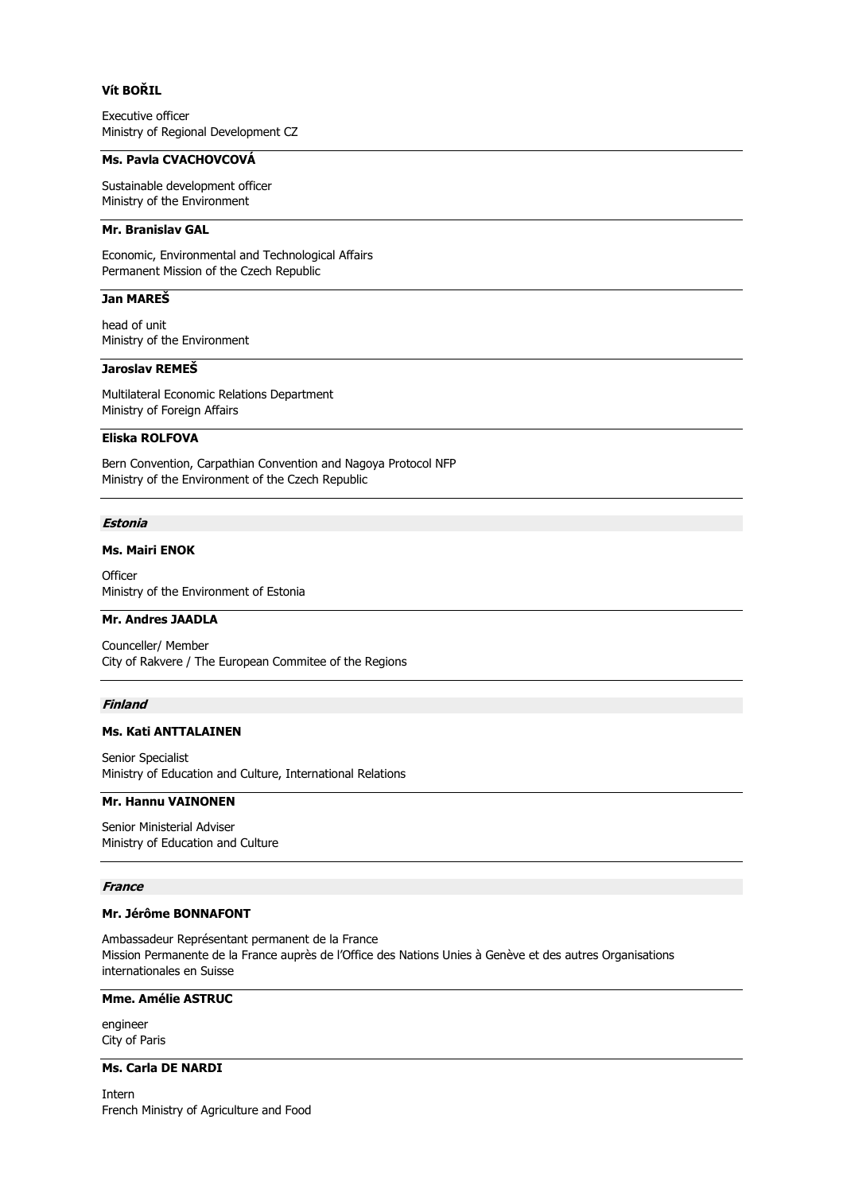# **Vít BOŘIL**

Executive officer Ministry of Regional Development CZ

### **Ms. Pavla CVACHOVCOVÁ**

Sustainable development officer Ministry of the Environment

# **Mr. Branislav GAL**

Economic, Environmental and Technological Affairs Permanent Mission of the Czech Republic

# **Jan MAREŠ**

head of unit Ministry of the Environment

# **Jaroslav REMEŠ**

Multilateral Economic Relations Department Ministry of Foreign Affairs

### **Eliska ROLFOVA**

Bern Convention, Carpathian Convention and Nagoya Protocol NFP Ministry of the Environment of the Czech Republic

#### **Estonia**

# **Ms. Mairi ENOK**

**Officer** Ministry of the Environment of Estonia

# **Mr. Andres JAADLA**

Counceller/ Member City of Rakvere / The European Commitee of the Regions

# **Finland**

### **Ms. Kati ANTTALAINEN**

Senior Specialist Ministry of Education and Culture, International Relations

# **Mr. Hannu VAINONEN**

Senior Ministerial Adviser Ministry of Education and Culture

### **France**

# **Mr. Jérôme BONNAFONT**

Ambassadeur Représentant permanent de la France Mission Permanente de la France auprès de l'Office des Nations Unies à Genève et des autres Organisations internationales en Suisse

# **Mme. Amélie ASTRUC**

engineer City of Paris

# **Ms. Carla DE NARDI**

Intern French Ministry of Agriculture and Food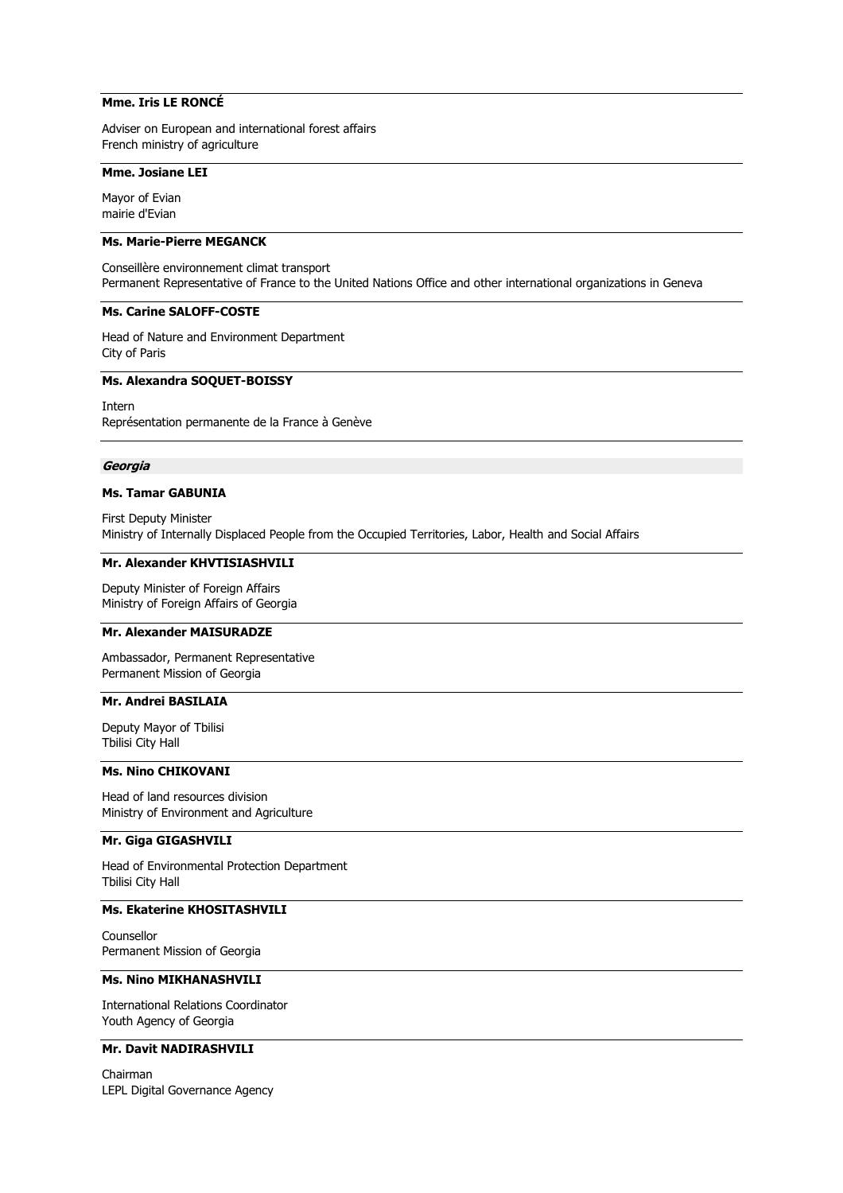# **Mme. Iris LE RONCÉ**

Adviser on European and international forest affairs French ministry of agriculture

#### **Mme. Josiane LEI**

Mayor of Evian mairie d'Evian

### **Ms. Marie-Pierre MEGANCK**

Conseillère environnement climat transport Permanent Representative of France to the United Nations Office and other international organizations in Geneva

#### **Ms. Carine SALOFF-COSTE**

Head of Nature and Environment Department City of Paris

### **Ms. Alexandra SOQUET-BOISSY**

Intern Représentation permanente de la France à Genève

#### **Georgia**

#### **Ms. Tamar GABUNIA**

First Deputy Minister Ministry of Internally Displaced People from the Occupied Territories, Labor, Health and Social Affairs

#### **Mr. Alexander KHVTISIASHVILI**

Deputy Minister of Foreign Affairs Ministry of Foreign Affairs of Georgia

### **Mr. Alexander MAISURADZE**

Ambassador, Permanent Representative Permanent Mission of Georgia

# **Mr. Andrei BASILAIA**

Deputy Mayor of Tbilisi Tbilisi City Hall

# **Ms. Nino CHIKOVANI**

Head of land resources division Ministry of Environment and Agriculture

# **Mr. Giga GIGASHVILI**

Head of Environmental Protection Department Tbilisi City Hall

### **Ms. Ekaterine KHOSITASHVILI**

Counsellor Permanent Mission of Georgia

### **Ms. Nino MIKHANASHVILI**

International Relations Coordinator Youth Agency of Georgia

# **Mr. Davit NADIRASHVILI**

Chairman LEPL Digital Governance Agency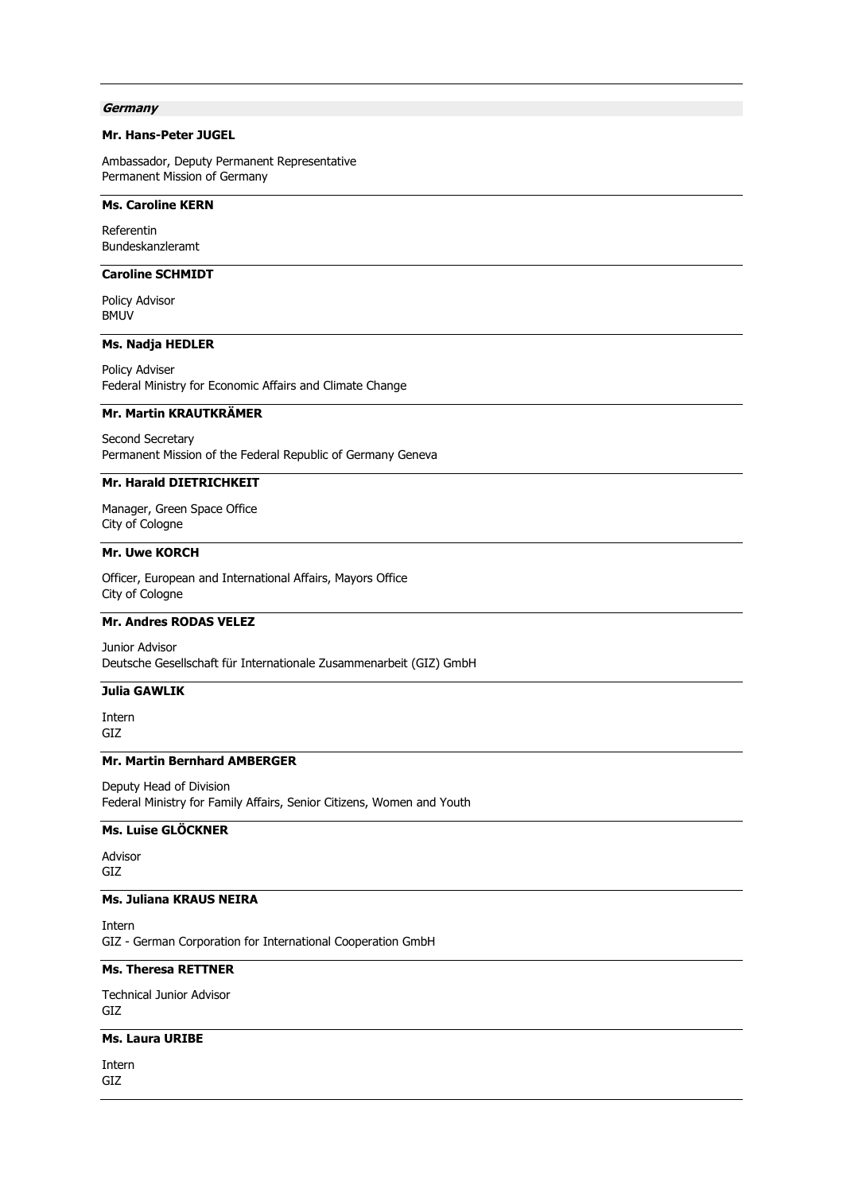#### **Germany**

### **Mr. Hans-Peter JUGEL**

Ambassador, Deputy Permanent Representative Permanent Mission of Germany

# **Ms. Caroline KERN**

Referentin Bundeskanzleramt

# **Caroline SCHMIDT**

Policy Advisor BMUV

### **Ms. Nadja HEDLER**

Policy Adviser Federal Ministry for Economic Affairs and Climate Change

# **Mr. Martin KRAUTKRÄMER**

Second Secretary Permanent Mission of the Federal Republic of Germany Geneva

### **Mr. Harald DIETRICHKEIT**

Manager, Green Space Office City of Cologne

# **Mr. Uwe KORCH**

Officer, European and International Affairs, Mayors Office City of Cologne

# **Mr. Andres RODAS VELEZ**

Junior Advisor Deutsche Gesellschaft für Internationale Zusammenarbeit (GIZ) GmbH

**Julia GAWLIK**

Intern GIZ

### **Mr. Martin Bernhard AMBERGER**

Deputy Head of Division Federal Ministry for Family Affairs, Senior Citizens, Women and Youth

# **Ms. Luise GLÖCKNER**

Advisor GIZ

# **Ms. Juliana KRAUS NEIRA**

Intern GIZ - German Corporation for International Cooperation GmbH

# **Ms. Theresa RETTNER**

Technical Junior Advisor GIZ

# **Ms. Laura URIBE**

Intern GIZ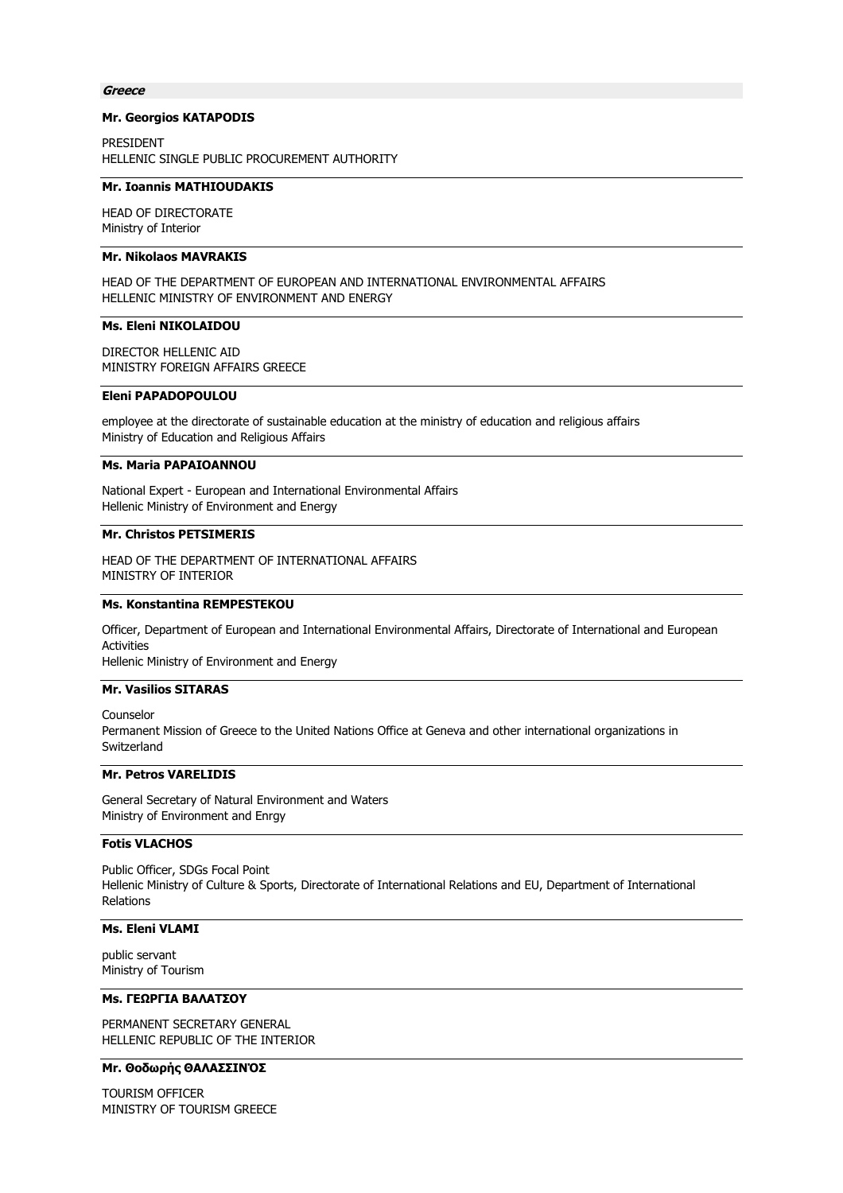#### **Greece**

#### **Mr. Georgios KATAPODIS**

PRESIDENT HELLENIC SINGLE PUBLIC PROCUREMENT AUTHORITY

#### **Mr. Ioannis MATHIOUDAKIS**

HEAD OF DIRECTORATE Ministry of Interior

# **Mr. Nikolaos MAVRAKIS**

HEAD OF THE DEPARTMENT OF EUROPEAN AND INTERNATIONAL ENVIRONMENTAL AFFAIRS HELLENIC MINISTRY OF ENVIRONMENT AND ENERGY

# **Ms. Eleni NIKOLAIDOU**

DIRECTOR HELLENIC AID MINISTRY FOREIGN AFFAIRS GREECE

# **Eleni PAPADOPOULOU**

employee at the directorate of sustainable education at the ministry of education and religious affairs Ministry of Education and Religious Affairs

#### **Ms. Maria PAPAIOANNOU**

National Expert - European and International Environmental Affairs Hellenic Ministry of Environment and Energy

### **Mr. Christos PETSIMERIS**

HEAD OF THE DEPARTMENT OF INTERNATIONAL AFFAIRS MINISTRY OF INTERIOR

#### **Ms. Konstantina REMPESTEKOU**

Officer, Department of European and International Environmental Affairs, Directorate of International and European Activities

Hellenic Ministry of Environment and Energy

### **Mr. Vasilios SITARAS**

Counselor Permanent Mission of Greece to the United Nations Office at Geneva and other international organizations in **Switzerland** 

# **Mr. Petros VARELIDIS**

General Secretary of Natural Environment and Waters Ministry of Environment and Enrgy

# **Fotis VLACHOS**

Public Officer, SDGs Focal Point Hellenic Ministry of Culture & Sports, Directorate of International Relations and EU, Department of International Relations

# **Ms. Eleni VLAMI**

public servant Ministry of Tourism

### **Ms. ΓΕΩΡΓΙΑ ΒΑΛΑΤΣΟΥ**

PERMANENT SECRETARY GENERAL HELLENIC REPUBLIC OF THE INTERIOR

# **Mr. Θοδωρής ΘΑΛΑΣΣΙΝΌΣ**

TOURISM OFFICER MINISTRY OF TOURISM GREECE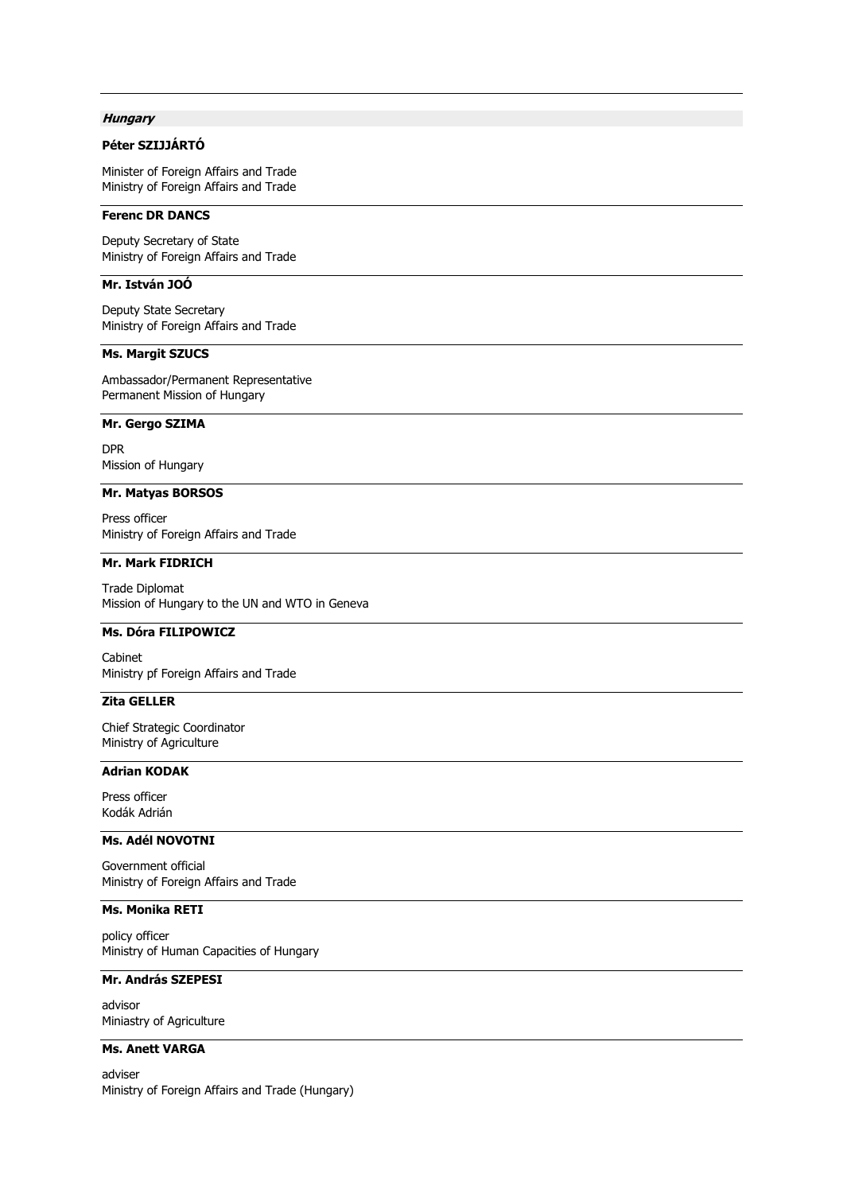# **Hungary**

# **Péter SZIJJÁRTÓ**

Minister of Foreign Affairs and Trade Ministry of Foreign Affairs and Trade

# **Ferenc DR DANCS**

Deputy Secretary of State Ministry of Foreign Affairs and Trade

# **Mr. István JOÓ**

Deputy State Secretary Ministry of Foreign Affairs and Trade

# **Ms. Margit SZUCS**

Ambassador/Permanent Representative Permanent Mission of Hungary

# **Mr. Gergo SZIMA**

DPR Mission of Hungary

# **Mr. Matyas BORSOS**

Press officer Ministry of Foreign Affairs and Trade

### **Mr. Mark FIDRICH**

Trade Diplomat Mission of Hungary to the UN and WTO in Geneva

# **Ms. Dóra FILIPOWICZ**

Cabinet Ministry pf Foreign Affairs and Trade

# **Zita GELLER**

Chief Strategic Coordinator Ministry of Agriculture

# **Adrian KODAK**

Press officer Kodák Adrián

# **Ms. Adél NOVOTNI**

Government official Ministry of Foreign Affairs and Trade

### **Ms. Monika RETI**

policy officer Ministry of Human Capacities of Hungary

# **Mr. András SZEPESI**

advisor Miniastry of Agriculture

# **Ms. Anett VARGA**

adviser Ministry of Foreign Affairs and Trade (Hungary)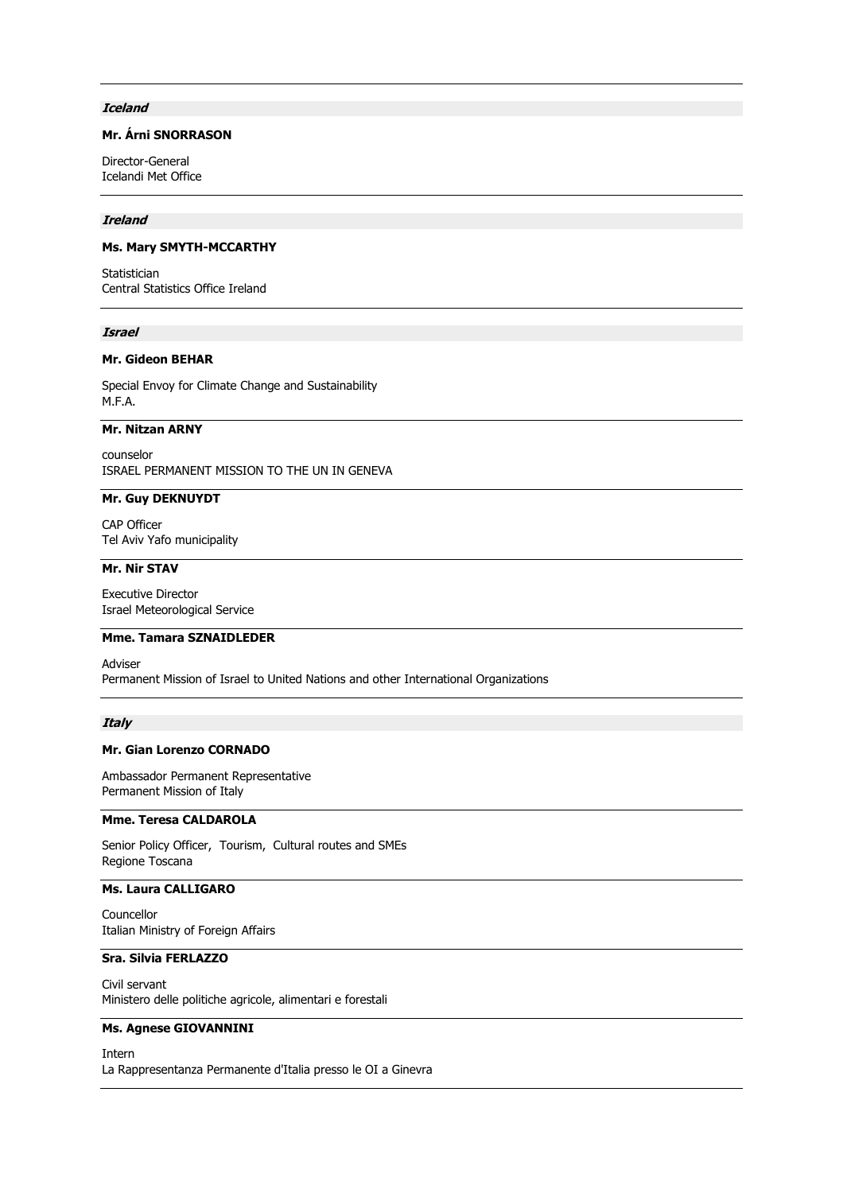### **Iceland**

# **Mr. Árni SNORRASON**

Director-General Icelandi Met Office

### **Ireland**

# **Ms. Mary SMYTH-MCCARTHY**

Statistician Central Statistics Office Ireland

### **Israel**

### **Mr. Gideon BEHAR**

Special Envoy for Climate Change and Sustainability M.F.A.

# **Mr. Nitzan ARNY**

counselor ISRAEL PERMANENT MISSION TO THE UN IN GENEVA

# **Mr. Guy DEKNUYDT**

CAP Officer Tel Aviv Yafo municipality

# **Mr. Nir STAV**

Executive Director Israel Meteorological Service

#### **Mme. Tamara SZNAIDLEDER**

Adviser Permanent Mission of Israel to United Nations and other International Organizations

#### **Italy**

### **Mr. Gian Lorenzo CORNADO**

Ambassador Permanent Representative Permanent Mission of Italy

# **Mme. Teresa CALDAROLA**

Senior Policy Officer, Tourism, Cultural routes and SMEs Regione Toscana

# **Ms. Laura CALLIGARO**

Councellor Italian Ministry of Foreign Affairs

# **Sra. Silvia FERLAZZO**

Civil servant Ministero delle politiche agricole, alimentari e forestali

### **Ms. Agnese GIOVANNINI**

Intern La Rappresentanza Permanente d'Italia presso le OI a Ginevra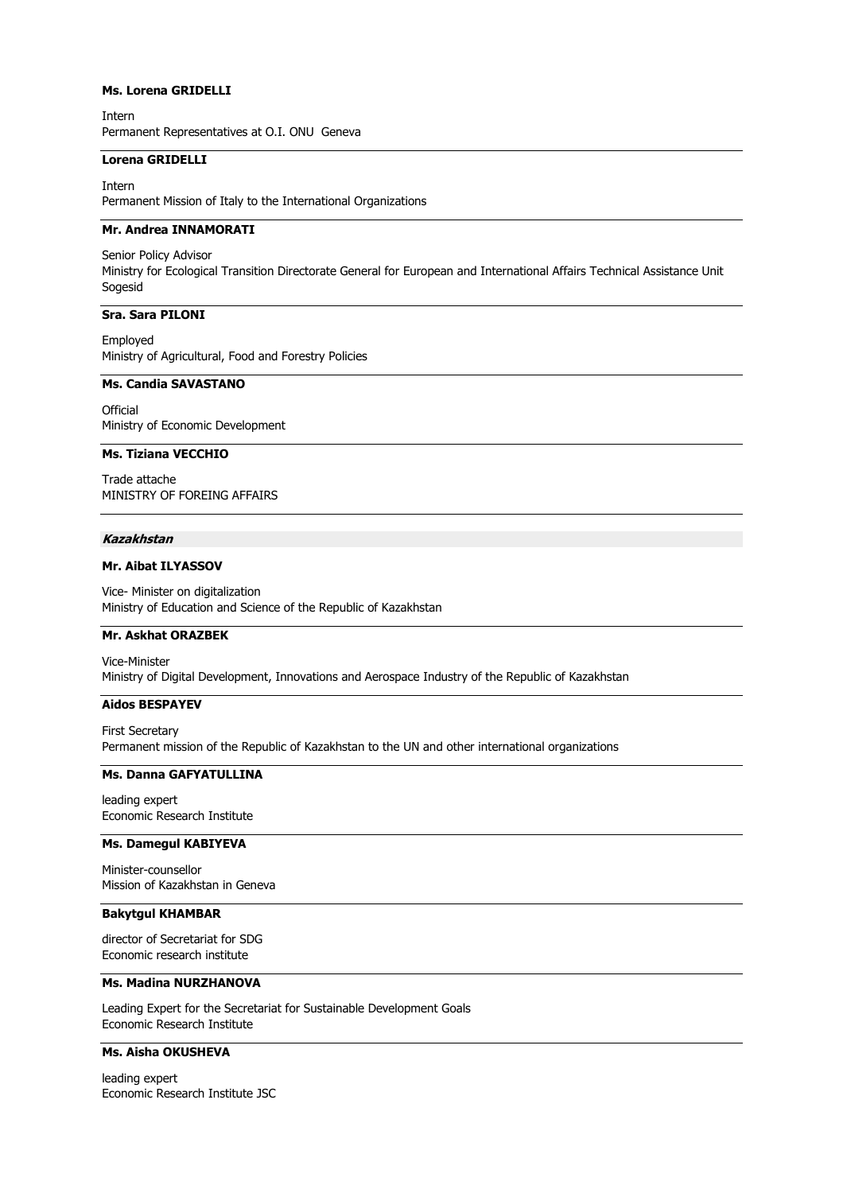# **Ms. Lorena GRIDELLI**

Intern Permanent Representatives at O.I. ONU Geneva

### **Lorena GRIDELLI**

Intern Permanent Mission of Italy to the International Organizations

# **Mr. Andrea INNAMORATI**

Senior Policy Advisor Ministry for Ecological Transition Directorate General for European and International Affairs Technical Assistance Unit Sogesid

#### **Sra. Sara PILONI**

Employed Ministry of Agricultural, Food and Forestry Policies

# **Ms. Candia SAVASTANO**

**Official** Ministry of Economic Development

#### **Ms. Tiziana VECCHIO**

Trade attache MINISTRY OF FOREING AFFAIRS

### **Kazakhstan**

# **Mr. Aibat ILYASSOV**

Vice- Minister on digitalization Ministry of Education and Science of the Republic of Kazakhstan

# **Mr. Askhat ORAZBEK**

Vice-Minister Ministry of Digital Development, Innovations and Aerospace Industry of the Republic of Kazakhstan

# **Aidos BESPAYEV**

First Secretary Permanent mission of the Republic of Kazakhstan to the UN and other international organizations

# **Ms. Danna GAFYATULLINA**

leading expert Economic Research Institute

### **Ms. Damegul KABIYEVA**

Minister-counsellor Mission of Kazakhstan in Geneva

# **Bakytgul KHAMBAR**

director of Secretariat for SDG Economic research institute

### **Ms. Madina NURZHANOVA**

Leading Expert for the Secretariat for Sustainable Development Goals Economic Research Institute

# **Ms. Aisha OKUSHEVA**

leading expert Economic Research Institute JSC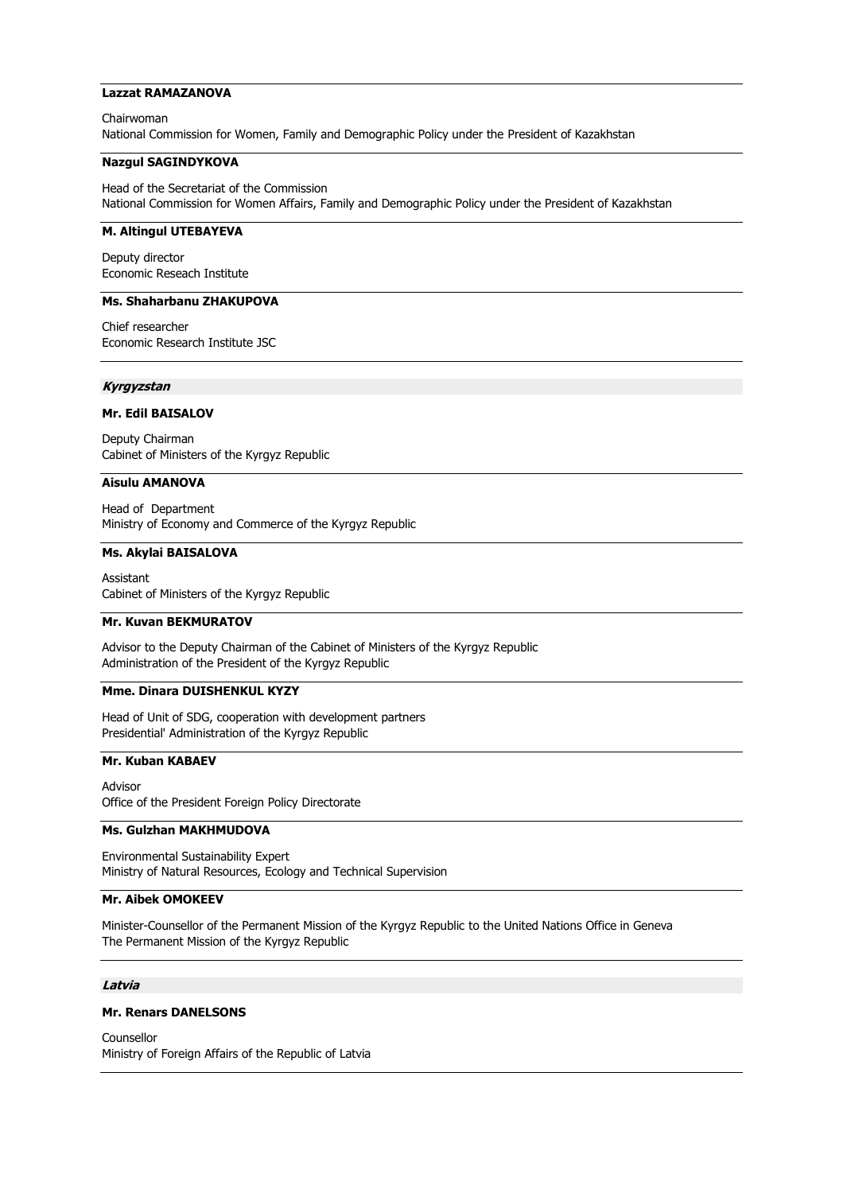# **Lazzat RAMAZANOVA**

Chairwoman National Commission for Women, Family and Demographic Policy under the President of Kazakhstan

### **Nazgul SAGINDYKOVA**

Head of the Secretariat of the Commission National Commission for Women Affairs, Family and Demographic Policy under the President of Kazakhstan

# **M. Altingul UTEBAYEVA**

Deputy director Economic Reseach Institute

# **Ms. Shaharbanu ZHAKUPOVA**

Chief researcher Economic Research Institute JSC

### **Kyrgyzstan**

# **Mr. Edil BAISALOV**

Deputy Chairman Cabinet of Ministers of the Kyrgyz Republic

### **Aisulu AMANOVA**

Head of Department Ministry of Economy and Commerce of the Kyrgyz Republic

#### **Ms. Akylai BAISALOVA**

Assistant Cabinet of Ministers of the Kyrgyz Republic

#### **Mr. Kuvan BEKMURATOV**

Advisor to the Deputy Chairman of the Cabinet of Ministers of the Kyrgyz Republic Administration of the President of the Kyrgyz Republic

### **Mme. Dinara DUISHENKUL KYZY**

Head of Unit of SDG, cooperation with development partners Presidential' Administration of the Kyrgyz Republic

### **Mr. Kuban KABAEV**

Advisor Office of the President Foreign Policy Directorate

### **Ms. Gulzhan MAKHMUDOVA**

Environmental Sustainability Expert Ministry of Natural Resources, Ecology and Technical Supervision

#### **Mr. Aibek OMOKEEV**

Minister-Counsellor of the Permanent Mission of the Kyrgyz Republic to the United Nations Office in Geneva The Permanent Mission of the Kyrgyz Republic

### **Latvia**

### **Mr. Renars DANELSONS**

Counsellor Ministry of Foreign Affairs of the Republic of Latvia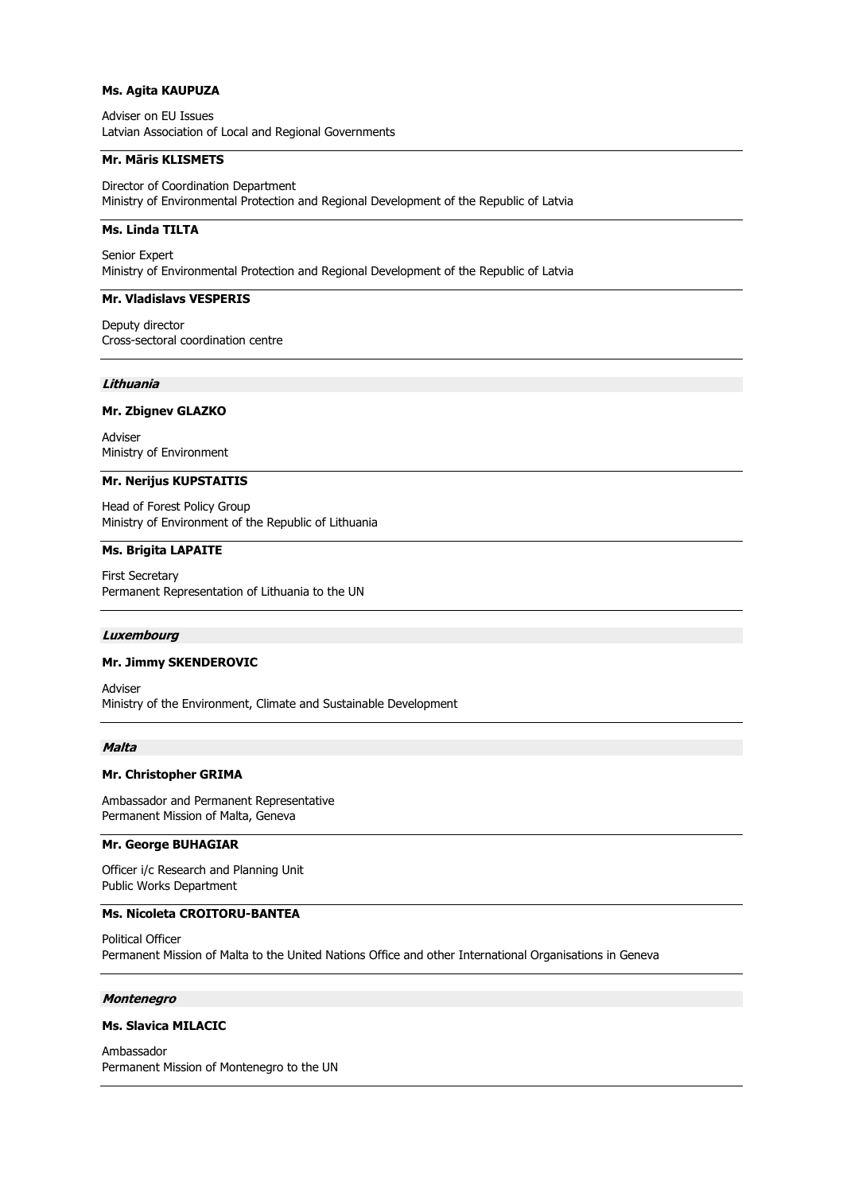### **Ms. Agita KAUPUZA**

Adviser on EU Issues Latvian Association of Local and Regional Governments

### **Mr. Māris KLISMETS**

Director of Coordination Department Ministry of Environmental Protection and Regional Development of the Republic of Latvia

# **Ms. Linda TILTA**

Senior Expert Ministry of Environmental Protection and Regional Development of the Republic of Latvia

#### **Mr. Vladislavs VESPERIS**

Deputy director Cross-sectoral coordination centre

#### **Lithuania**

# **Mr. Zbignev GLAZKO**

Adviser Ministry of Environment

#### **Mr. Nerijus KUPSTAITIS**

Head of Forest Policy Group Ministry of Environment of the Republic of Lithuania

# **Ms. Brigita LAPAITE**

First Secretary Permanent Representation of Lithuania to the UN

#### **Luxembourg**

#### **Mr. Jimmy SKENDEROVIC**

Adviser Ministry of the Environment, Climate and Sustainable Development

### **Malta**

#### **Mr. Christopher GRIMA**

Ambassador and Permanent Representative Permanent Mission of Malta, Geneva

# **Mr. George BUHAGIAR**

Officer i/c Research and Planning Unit Public Works Department

# **Ms. Nicoleta CROITORU-BANTEA**

Political Officer Permanent Mission of Malta to the United Nations Office and other International Organisations in Geneva

# **Montenegro**

#### **Ms. Slavica MILACIC**

Ambassador Permanent Mission of Montenegro to the UN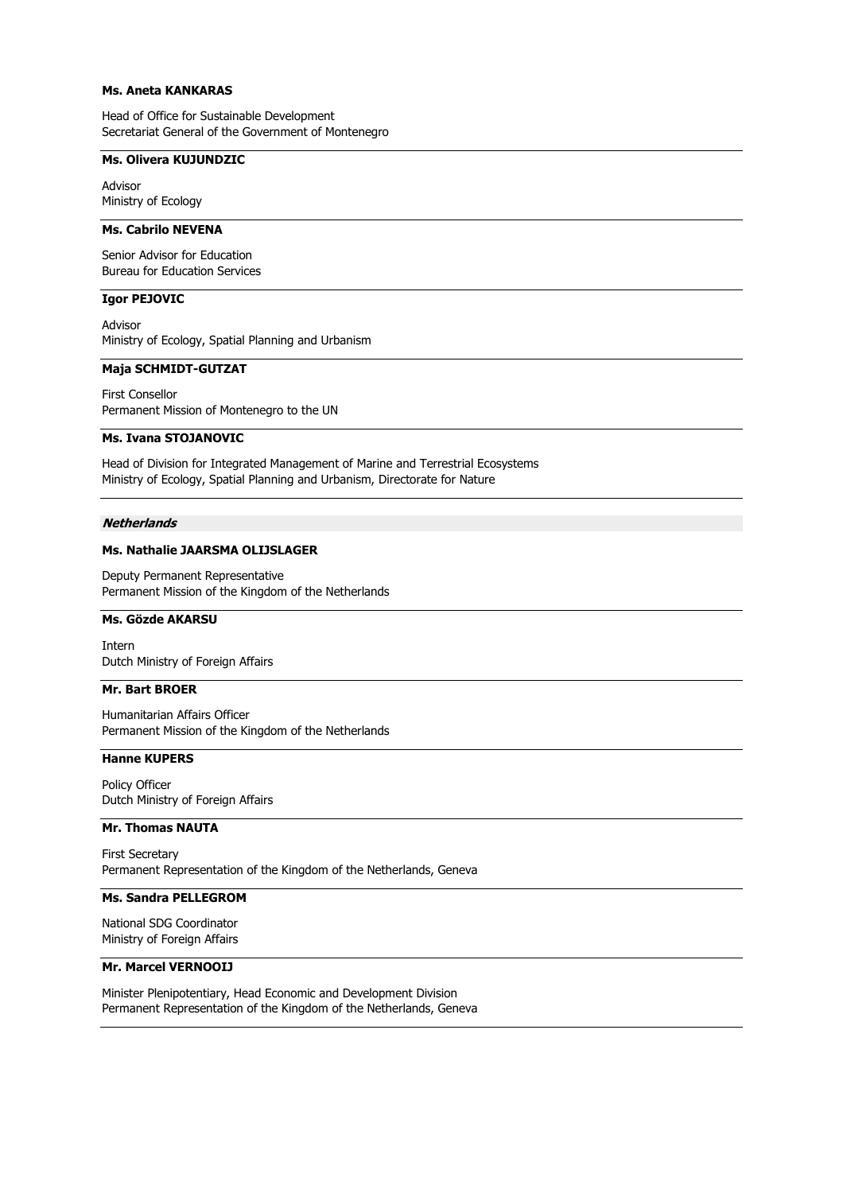# **Ms. Aneta KANKARAS**

Head of Office for Sustainable Development Secretariat General of the Government of Montenegro

# **Ms. Olivera KUJUNDZIC**

Advisor Ministry of Ecology

# **Ms. Cabrilo NEVENA**

Senior Advisor for Education Bureau for Education Services

# **Igor PEJOVIC**

Advisor Ministry of Ecology, Spatial Planning and Urbanism

### **Maja SCHMIDT-GUTZAT**

First Consellor Permanent Mission of Montenegro to the UN

### **Ms. Ivana STOJANOVIC**

Head of Division for Integrated Management of Marine and Terrestrial Ecosystems Ministry of Ecology, Spatial Planning and Urbanism, Directorate for Nature

# **Netherlands**

# **Ms. Nathalie JAARSMA OLIJSLAGER**

Deputy Permanent Representative Permanent Mission of the Kingdom of the Netherlands

### **Ms. Gözde AKARSU**

Intern Dutch Ministry of Foreign Affairs

# **Mr. Bart BROER**

Humanitarian Affairs Officer Permanent Mission of the Kingdom of the Netherlands

### **Hanne KUPERS**

Policy Officer Dutch Ministry of Foreign Affairs

# **Mr. Thomas NAUTA**

First Secretary Permanent Representation of the Kingdom of the Netherlands, Geneva

# **Ms. Sandra PELLEGROM**

National SDG Coordinator Ministry of Foreign Affairs

# **Mr. Marcel VERNOOIJ**

Minister Plenipotentiary, Head Economic and Development Division Permanent Representation of the Kingdom of the Netherlands, Geneva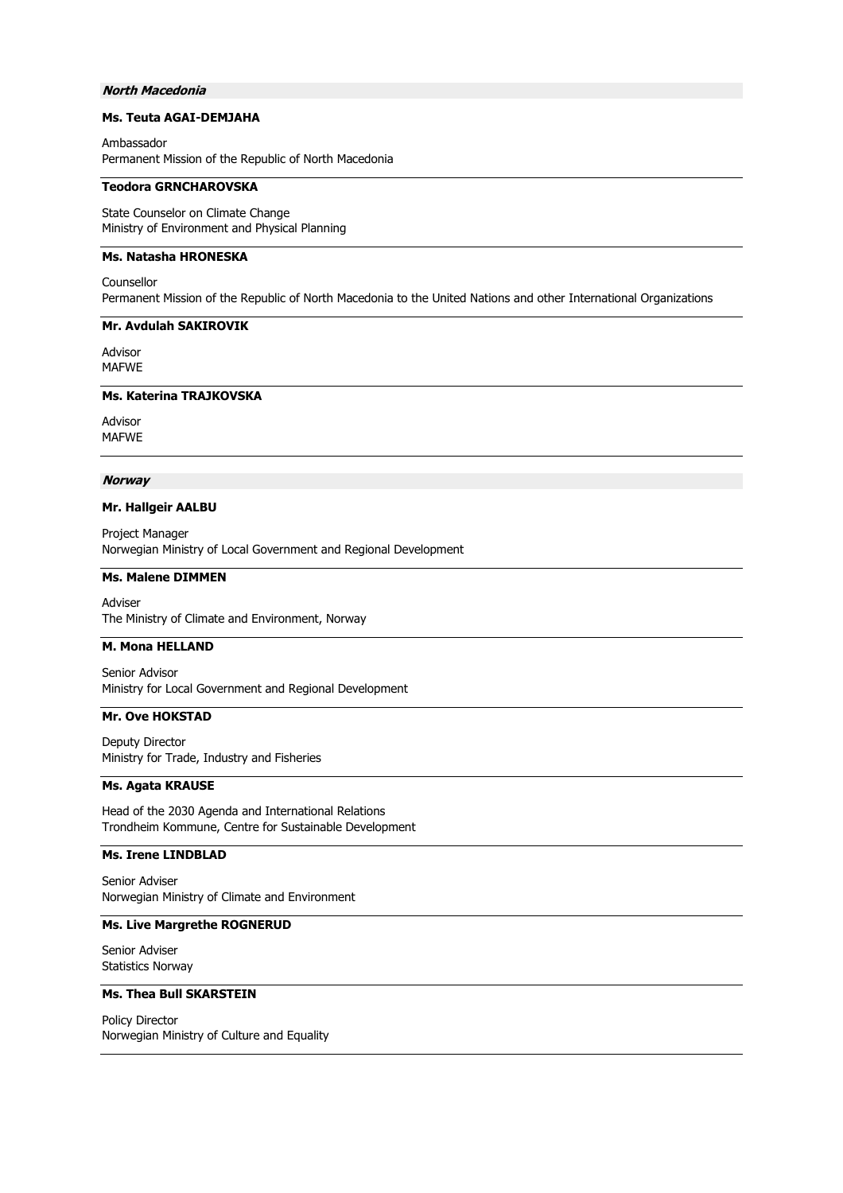### **North Macedonia**

# **Ms. Teuta AGAI-DEMJAHA**

Ambassador Permanent Mission of the Republic of North Macedonia

### **Teodora GRNCHAROVSKA**

State Counselor on Climate Change Ministry of Environment and Physical Planning

# **Ms. Natasha HRONESKA**

Counsellor Permanent Mission of the Republic of North Macedonia to the United Nations and other International Organizations

# **Mr. Avdulah SAKIROVIK**

Advisor MAFWE

# **Ms. Katerina TRAJKOVSKA**

Advisor MAFWE

#### **Norway**

### **Mr. Hallgeir AALBU**

Project Manager Norwegian Ministry of Local Government and Regional Development

# **Ms. Malene DIMMEN**

Adviser The Ministry of Climate and Environment, Norway

### **M. Mona HELLAND**

Senior Advisor Ministry for Local Government and Regional Development

### **Mr. Ove HOKSTAD**

Deputy Director Ministry for Trade, Industry and Fisheries

### **Ms. Agata KRAUSE**

Head of the 2030 Agenda and International Relations Trondheim Kommune, Centre for Sustainable Development

# **Ms. Irene LINDBLAD**

Senior Adviser Norwegian Ministry of Climate and Environment

# **Ms. Live Margrethe ROGNERUD**

Senior Adviser Statistics Norway

### **Ms. Thea Bull SKARSTEIN**

Policy Director Norwegian Ministry of Culture and Equality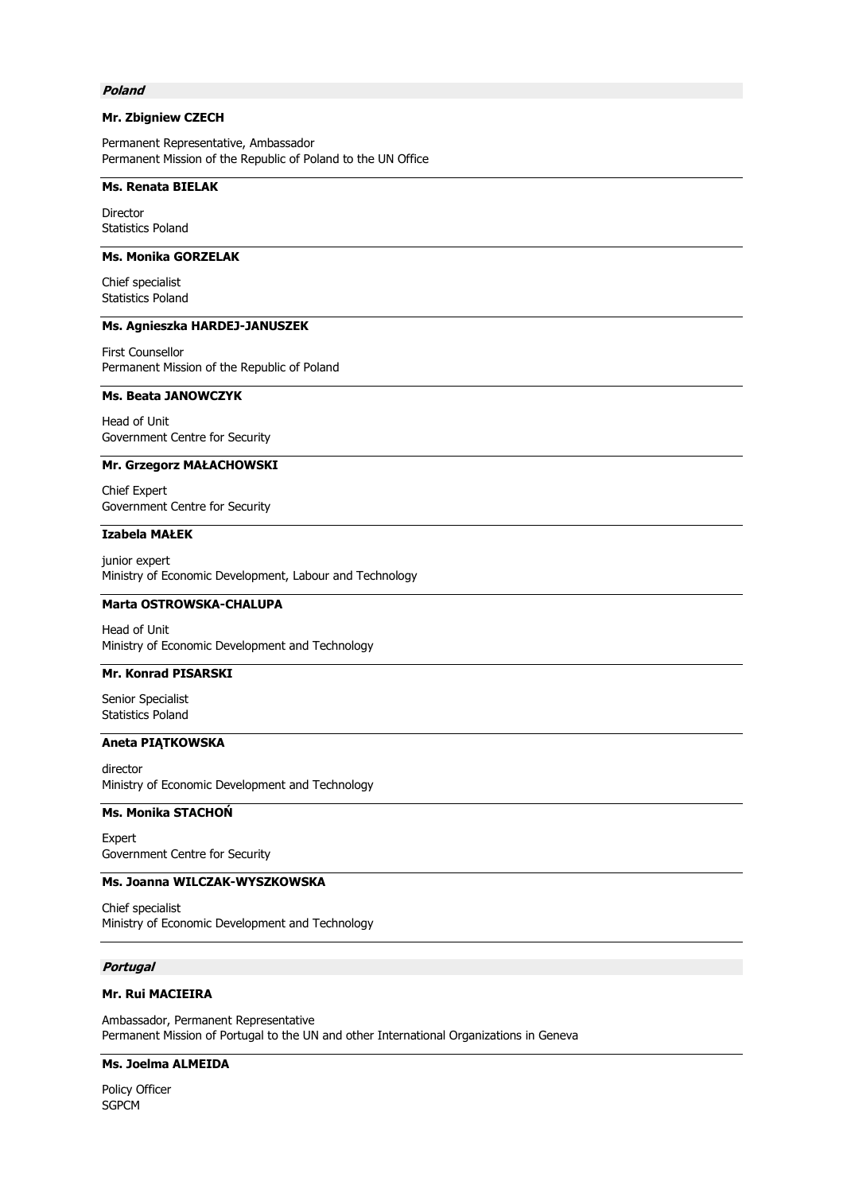### **Poland**

# **Mr. Zbigniew CZECH**

Permanent Representative, Ambassador Permanent Mission of the Republic of Poland to the UN Office

### **Ms. Renata BIELAK**

Director Statistics Poland

# **Ms. Monika GORZELAK**

Chief specialist Statistics Poland

# **Ms. Agnieszka HARDEJ-JANUSZEK**

First Counsellor Permanent Mission of the Republic of Poland

# **Ms. Beata JANOWCZYK**

Head of Unit Government Centre for Security

#### **Mr. Grzegorz MAŁACHOWSKI**

Chief Expert Government Centre for Security

# **Izabela MAŁEK**

junior expert Ministry of Economic Development, Labour and Technology

# **Marta OSTROWSKA-CHALUPA**

Head of Unit Ministry of Economic Development and Technology

# **Mr. Konrad PISARSKI**

Senior Specialist Statistics Poland

#### **Aneta PIĄTKOWSKA**

director Ministry of Economic Development and Technology

### **Ms. Monika STACHOŃ**

Expert Government Centre for Security

### **Ms. Joanna WILCZAK-WYSZKOWSKA**

Chief specialist Ministry of Economic Development and Technology

# **Portugal**

# **Mr. Rui MACIEIRA**

Ambassador, Permanent Representative Permanent Mission of Portugal to the UN and other International Organizations in Geneva

# **Ms. Joelma ALMEIDA**

Policy Officer SGPCM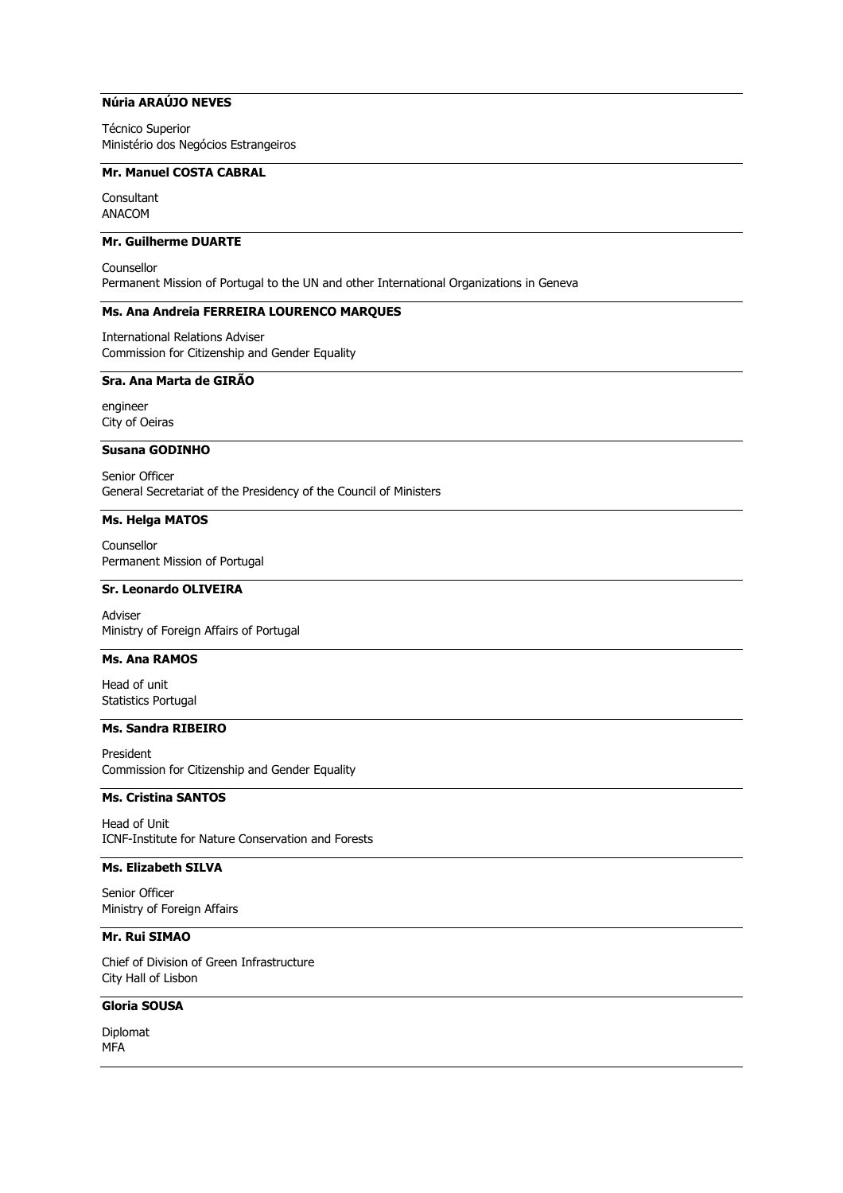# **Núria ARAÚJO NEVES**

Técnico Superior Ministério dos Negócios Estrangeiros

# **Mr. Manuel COSTA CABRAL**

Consultant ANACOM

# **Mr. Guilherme DUARTE**

Counsellor Permanent Mission of Portugal to the UN and other International Organizations in Geneva

#### **Ms. Ana Andreia FERREIRA LOURENCO MARQUES**

International Relations Adviser Commission for Citizenship and Gender Equality

# **Sra. Ana Marta de GIRÃO**

engineer City of Oeiras

# **Susana GODINHO**

Senior Officer General Secretariat of the Presidency of the Council of Ministers

#### **Ms. Helga MATOS**

Counsellor Permanent Mission of Portugal

### **Sr. Leonardo OLIVEIRA**

Adviser Ministry of Foreign Affairs of Portugal

# **Ms. Ana RAMOS**

Head of unit Statistics Portugal

### **Ms. Sandra RIBEIRO**

President Commission for Citizenship and Gender Equality

# **Ms. Cristina SANTOS**

Head of Unit ICNF-Institute for Nature Conservation and Forests

### **Ms. Elizabeth SILVA**

Senior Officer Ministry of Foreign Affairs

# **Mr. Rui SIMAO**

Chief of Division of Green Infrastructure City Hall of Lisbon

# **Gloria SOUSA**

Diplomat MFA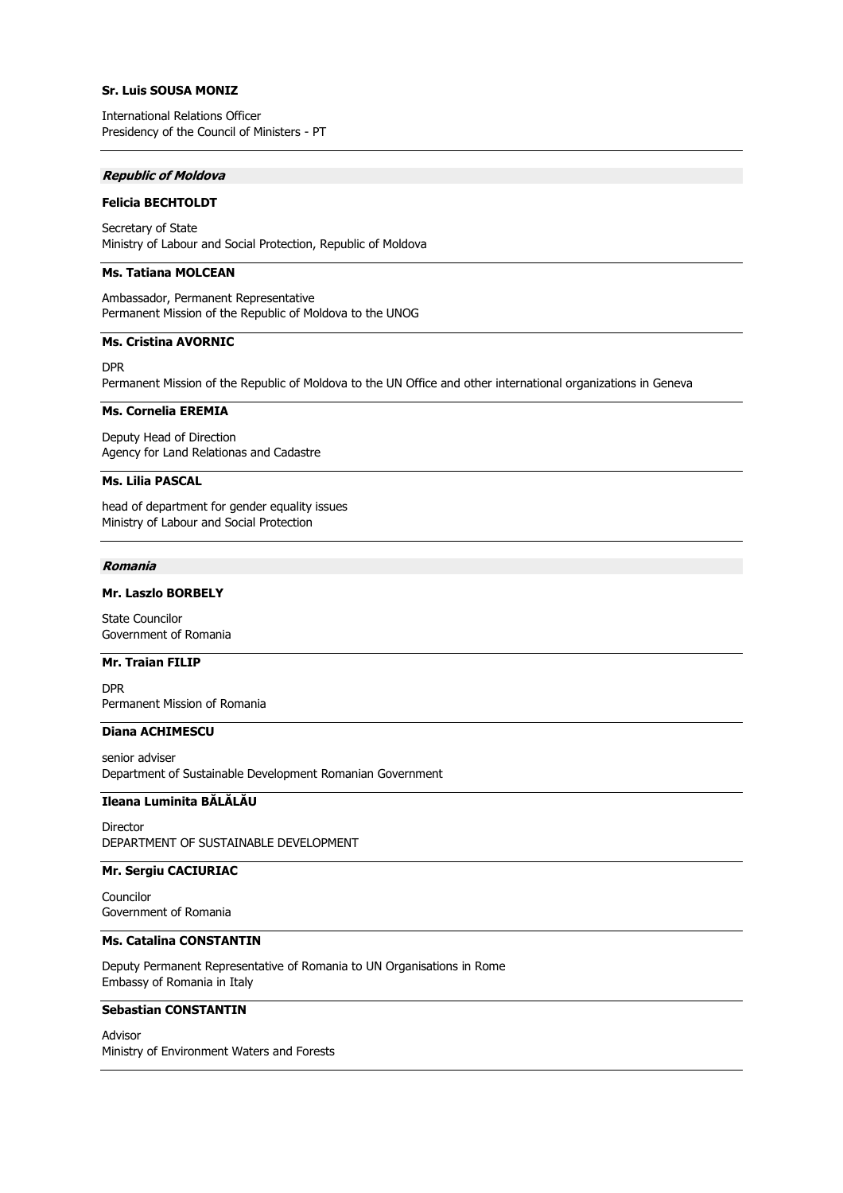# **Sr. Luis SOUSA MONIZ**

International Relations Officer Presidency of the Council of Ministers - PT

### **Republic of Moldova**

#### **Felicia BECHTOLDT**

Secretary of State Ministry of Labour and Social Protection, Republic of Moldova

# **Ms. Tatiana MOLCEAN**

Ambassador, Permanent Representative Permanent Mission of the Republic of Moldova to the UNOG

#### **Ms. Cristina AVORNIC**

DPR

Permanent Mission of the Republic of Moldova to the UN Office and other international organizations in Geneva

### **Ms. Cornelia EREMIA**

Deputy Head of Direction Agency for Land Relationas and Cadastre

#### **Ms. Lilia PASCAL**

head of department for gender equality issues Ministry of Labour and Social Protection

#### **Romania**

### **Mr. Laszlo BORBELY**

State Councilor Government of Romania

# **Mr. Traian FILIP**

DPR Permanent Mission of Romania

# **Diana ACHIMESCU**

senior adviser Department of Sustainable Development Romanian Government

# **Ileana Luminita BĂLĂLĂU**

Director DEPARTMENT OF SUSTAINABLE DEVELOPMENT

### **Mr. Sergiu CACIURIAC**

Councilor Government of Romania

# **Ms. Catalina CONSTANTIN**

Deputy Permanent Representative of Romania to UN Organisations in Rome Embassy of Romania in Italy

#### **Sebastian CONSTANTIN**

Advisor Ministry of Environment Waters and Forests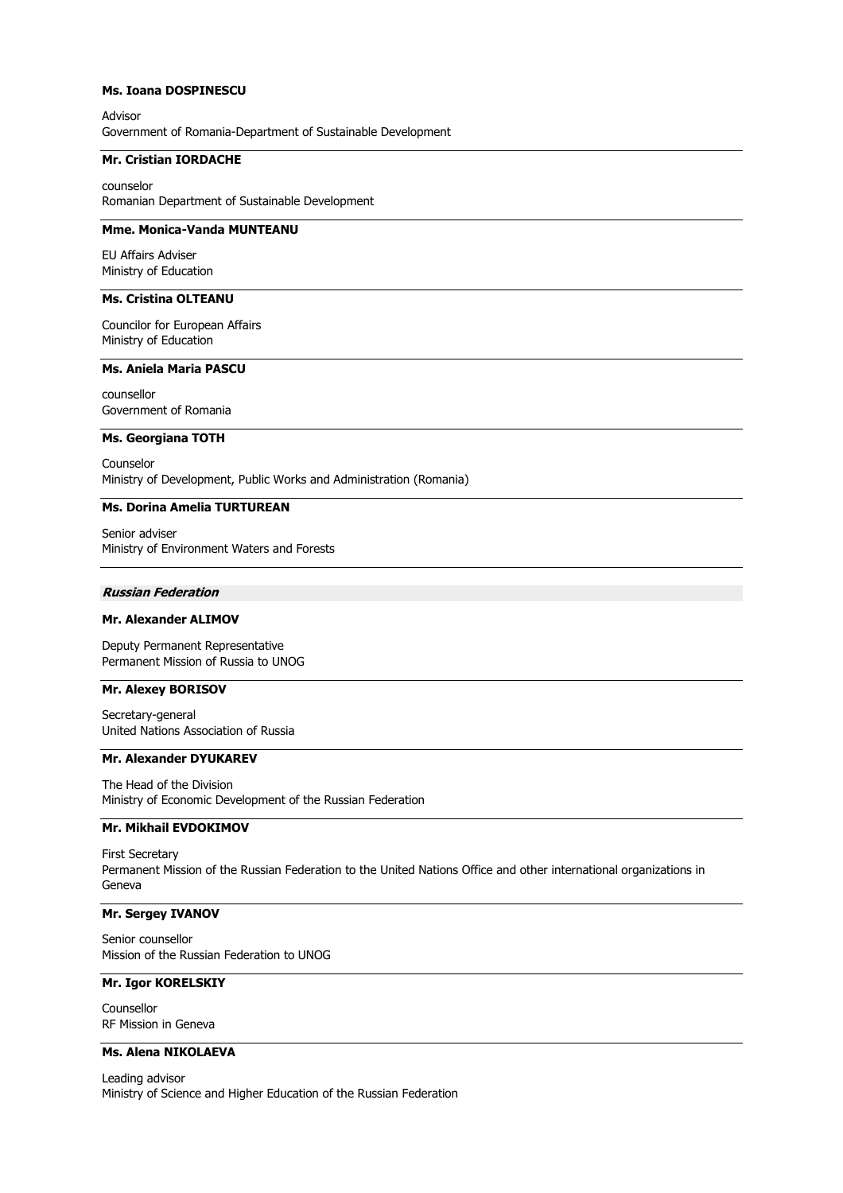### **Ms. Ioana DOSPINESCU**

Advisor Government of Romania-Department of Sustainable Development

### **Mr. Cristian IORDACHE**

counselor Romanian Department of Sustainable Development

# **Mme. Monica-Vanda MUNTEANU**

EU Affairs Adviser Ministry of Education

# **Ms. Cristina OLTEANU**

Councilor for European Affairs Ministry of Education

### **Ms. Aniela Maria PASCU**

counsellor Government of Romania

#### **Ms. Georgiana TOTH**

Counselor Ministry of Development, Public Works and Administration (Romania)

# **Ms. Dorina Amelia TURTUREAN**

Senior adviser Ministry of Environment Waters and Forests

### **Russian Federation**

### **Mr. Alexander ALIMOV**

Deputy Permanent Representative Permanent Mission of Russia to UNOG

# **Mr. Alexey BORISOV**

Secretary-general United Nations Association of Russia

#### **Mr. Alexander DYUKAREV**

The Head of the Division Ministry of Economic Development of the Russian Federation

# **Mr. Mikhail EVDOKIMOV**

First Secretary Permanent Mission of the Russian Federation to the United Nations Office and other international organizations in Geneva

# **Mr. Sergey IVANOV**

Senior counsellor Mission of the Russian Federation to UNOG

# **Mr. Igor KORELSKIY**

Counsellor RF Mission in Geneva

# **Ms. Alena NIKOLAEVA**

Leading advisor Ministry of Science and Higher Education of the Russian Federation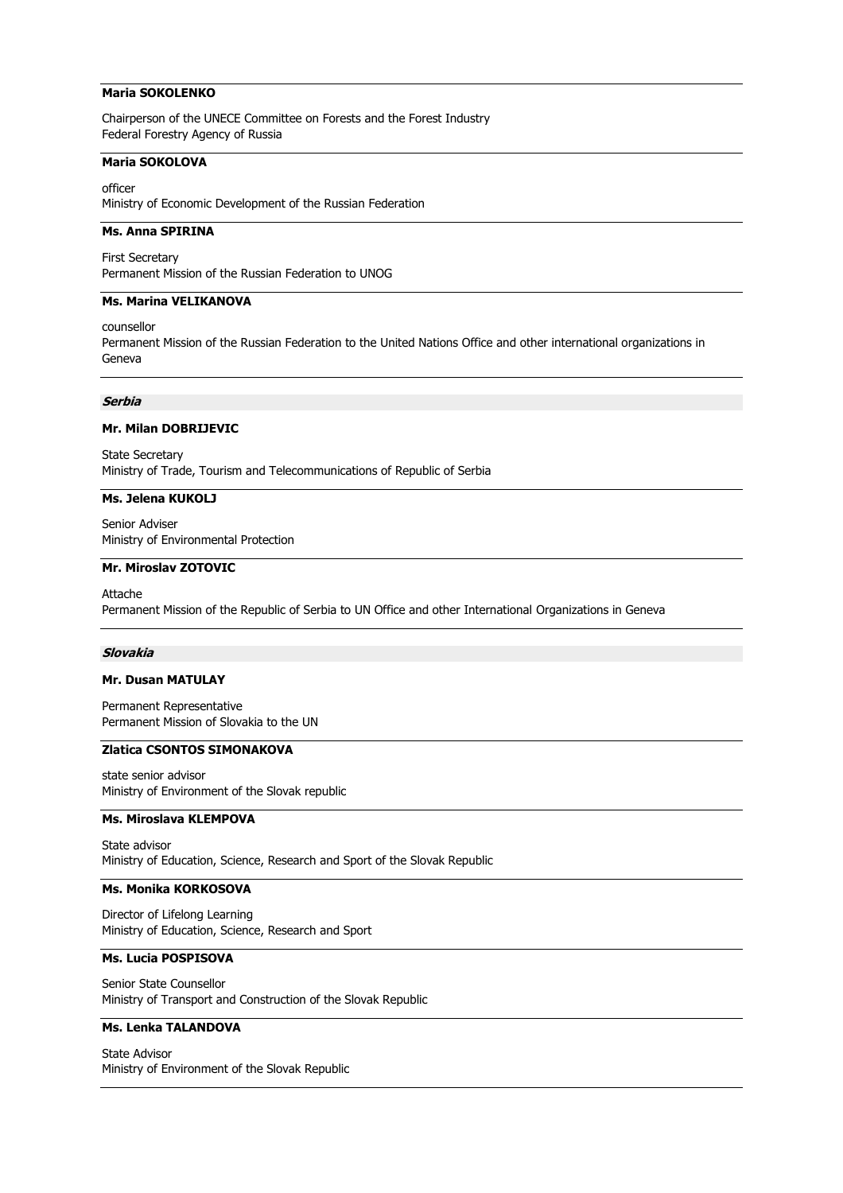## **Maria SOKOLENKO**

Chairperson of the UNECE Committee on Forests and the Forest Industry Federal Forestry Agency of Russia

### **Maria SOKOLOVA**

officer Ministry of Economic Development of the Russian Federation

# **Ms. Anna SPIRINA**

First Secretary Permanent Mission of the Russian Federation to UNOG

### **Ms. Marina VELIKANOVA**

counsellor

Permanent Mission of the Russian Federation to the United Nations Office and other international organizations in Geneva

### **Serbia**

# **Mr. Milan DOBRIJEVIC**

State Secretary Ministry of Trade, Tourism and Telecommunications of Republic of Serbia

### **Ms. Jelena KUKOLJ**

Senior Adviser Ministry of Environmental Protection

### **Mr. Miroslav ZOTOVIC**

Attache Permanent Mission of the Republic of Serbia to UN Office and other International Organizations in Geneva

#### **Slovakia**

#### **Mr. Dusan MATULAY**

Permanent Representative Permanent Mission of Slovakia to the UN

# **Zlatica CSONTOS SIMONAKOVA**

state senior advisor Ministry of Environment of the Slovak republic

### **Ms. Miroslava KLEMPOVA**

State advisor Ministry of Education, Science, Research and Sport of the Slovak Republic

# **Ms. Monika KORKOSOVA**

Director of Lifelong Learning Ministry of Education, Science, Research and Sport

# **Ms. Lucia POSPISOVA**

Senior State Counsellor Ministry of Transport and Construction of the Slovak Republic

#### **Ms. Lenka TALANDOVA**

State Advisor Ministry of Environment of the Slovak Republic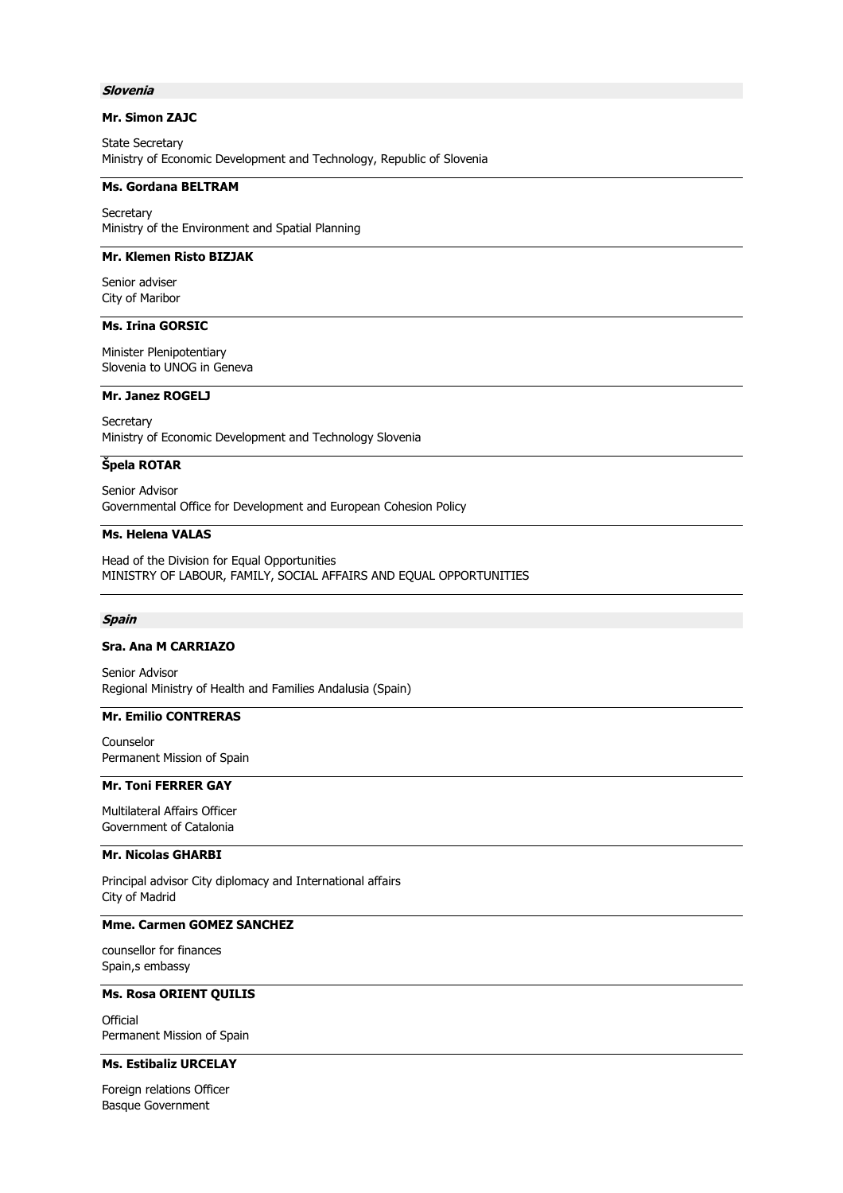### **Slovenia**

# **Mr. Simon ZAJC**

State Secretary Ministry of Economic Development and Technology, Republic of Slovenia

### **Ms. Gordana BELTRAM**

**Secretary** Ministry of the Environment and Spatial Planning

# **Mr. Klemen Risto BIZJAK**

Senior adviser City of Maribor

# **Ms. Irina GORSIC**

Minister Plenipotentiary Slovenia to UNOG in Geneva

# **Mr. Janez ROGELJ**

**Secretary** Ministry of Economic Development and Technology Slovenia

### **Špela ROTAR**

Senior Advisor Governmental Office for Development and European Cohesion Policy

# **Ms. Helena VALAS**

Head of the Division for Equal Opportunities MINISTRY OF LABOUR, FAMILY, SOCIAL AFFAIRS AND EQUAL OPPORTUNITIES

#### **Spain**

### **Sra. Ana M CARRIAZO**

Senior Advisor Regional Ministry of Health and Families Andalusia (Spain)

#### **Mr. Emilio CONTRERAS**

Counselor Permanent Mission of Spain

# **Mr. Toni FERRER GAY**

Multilateral Affairs Officer Government of Catalonia

#### **Mr. Nicolas GHARBI**

Principal advisor City diplomacy and International affairs City of Madrid

# **Mme. Carmen GOMEZ SANCHEZ**

counsellor for finances Spain,s embassy

**Ms. Rosa ORIENT QUILIS**

**Official** Permanent Mission of Spain

# **Ms. Estibaliz URCELAY**

Foreign relations Officer Basque Government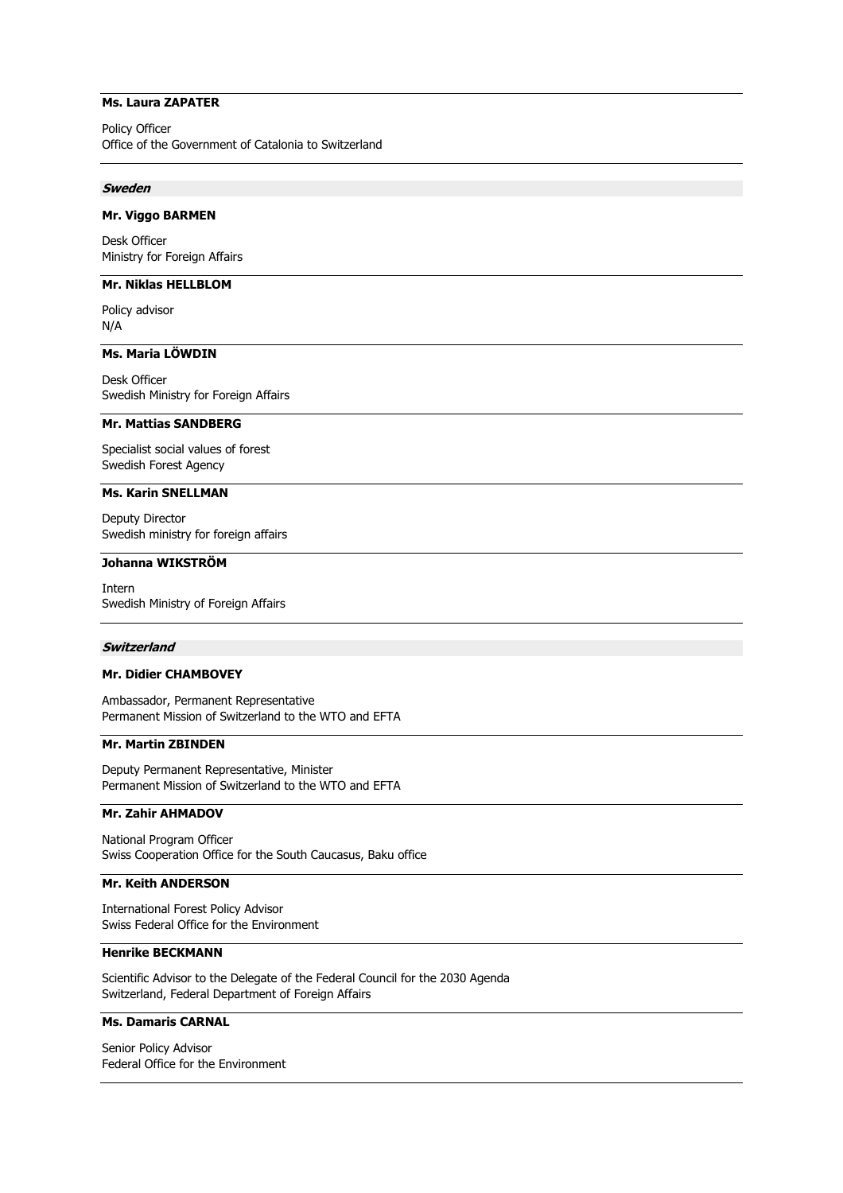# **Ms. Laura ZAPATER**

Policy Officer Office of the Government of Catalonia to Switzerland

### **Sweden**

### **Mr. Viggo BARMEN**

Desk Officer Ministry for Foreign Affairs

# **Mr. Niklas HELLBLOM**

Policy advisor N/A

### **Ms. Maria LÖWDIN**

Desk Officer Swedish Ministry for Foreign Affairs

### **Mr. Mattias SANDBERG**

Specialist social values of forest Swedish Forest Agency

#### **Ms. Karin SNELLMAN**

Deputy Director Swedish ministry for foreign affairs

#### **Johanna WIKSTRÖM**

Intern Swedish Ministry of Foreign Affairs

#### **Switzerland**

# **Mr. Didier CHAMBOVEY**

Ambassador, Permanent Representative Permanent Mission of Switzerland to the WTO and EFTA

# **Mr. Martin ZBINDEN**

Deputy Permanent Representative, Minister Permanent Mission of Switzerland to the WTO and EFTA

# **Mr. Zahir AHMADOV**

National Program Officer Swiss Cooperation Office for the South Caucasus, Baku office

# **Mr. Keith ANDERSON**

International Forest Policy Advisor Swiss Federal Office for the Environment

# **Henrike BECKMANN**

Scientific Advisor to the Delegate of the Federal Council for the 2030 Agenda Switzerland, Federal Department of Foreign Affairs

#### **Ms. Damaris CARNAL**

Senior Policy Advisor Federal Office for the Environment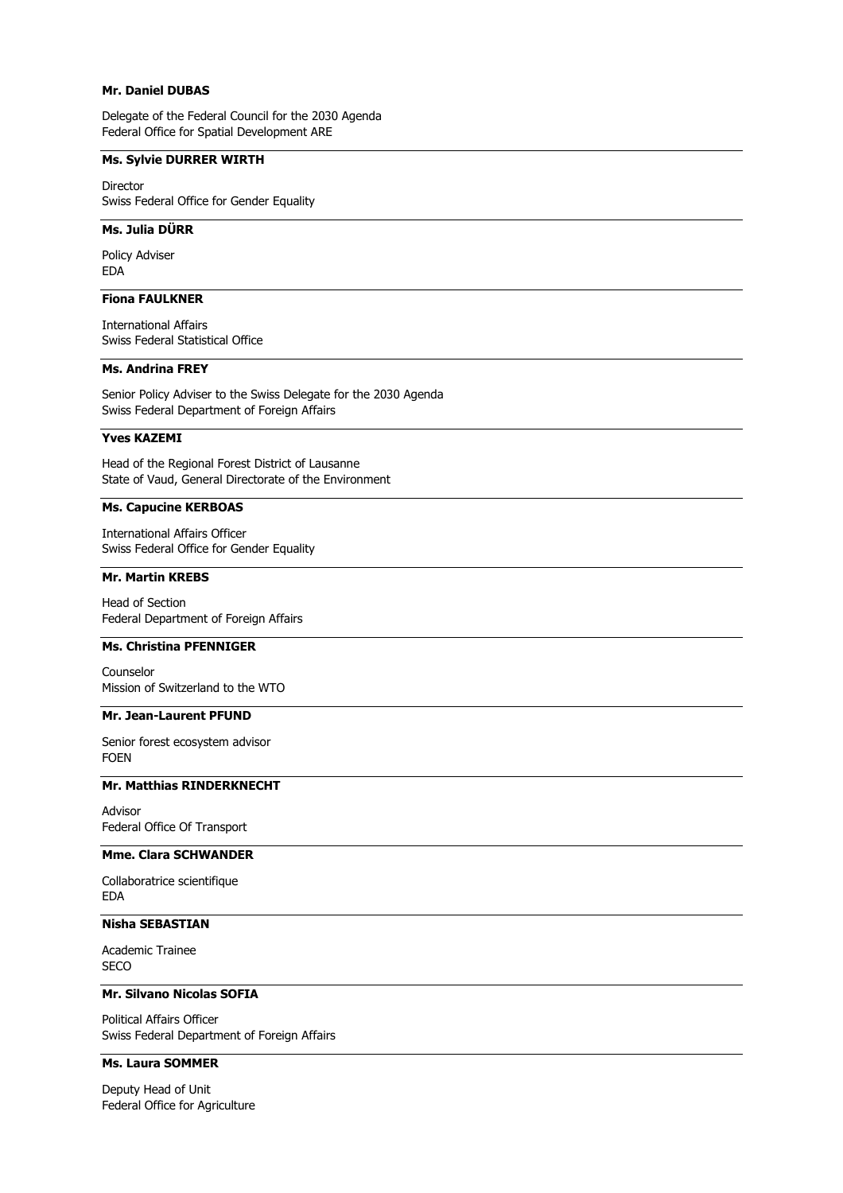# **Mr. Daniel DUBAS**

Delegate of the Federal Council for the 2030 Agenda Federal Office for Spatial Development ARE

# **Ms. Sylvie DURRER WIRTH**

Director Swiss Federal Office for Gender Equality

# **Ms. Julia DÜRR**

Policy Adviser EDA

# **Fiona FAULKNER**

International Affairs Swiss Federal Statistical Office

# **Ms. Andrina FREY**

Senior Policy Adviser to the Swiss Delegate for the 2030 Agenda Swiss Federal Department of Foreign Affairs

### **Yves KAZEMI**

Head of the Regional Forest District of Lausanne State of Vaud, General Directorate of the Environment

## **Ms. Capucine KERBOAS**

International Affairs Officer Swiss Federal Office for Gender Equality

#### **Mr. Martin KREBS**

Head of Section Federal Department of Foreign Affairs

# **Ms. Christina PFENNIGER**

Counselor Mission of Switzerland to the WTO

### **Mr. Jean-Laurent PFUND**

Senior forest ecosystem advisor FOEN

# **Mr. Matthias RINDERKNECHT**

Advisor Federal Office Of Transport

# **Mme. Clara SCHWANDER**

Collaboratrice scientifique EDA

# **Nisha SEBASTIAN**

Academic Trainee **SECO** 

### **Mr. Silvano Nicolas SOFIA**

Political Affairs Officer Swiss Federal Department of Foreign Affairs

# **Ms. Laura SOMMER**

Deputy Head of Unit Federal Office for Agriculture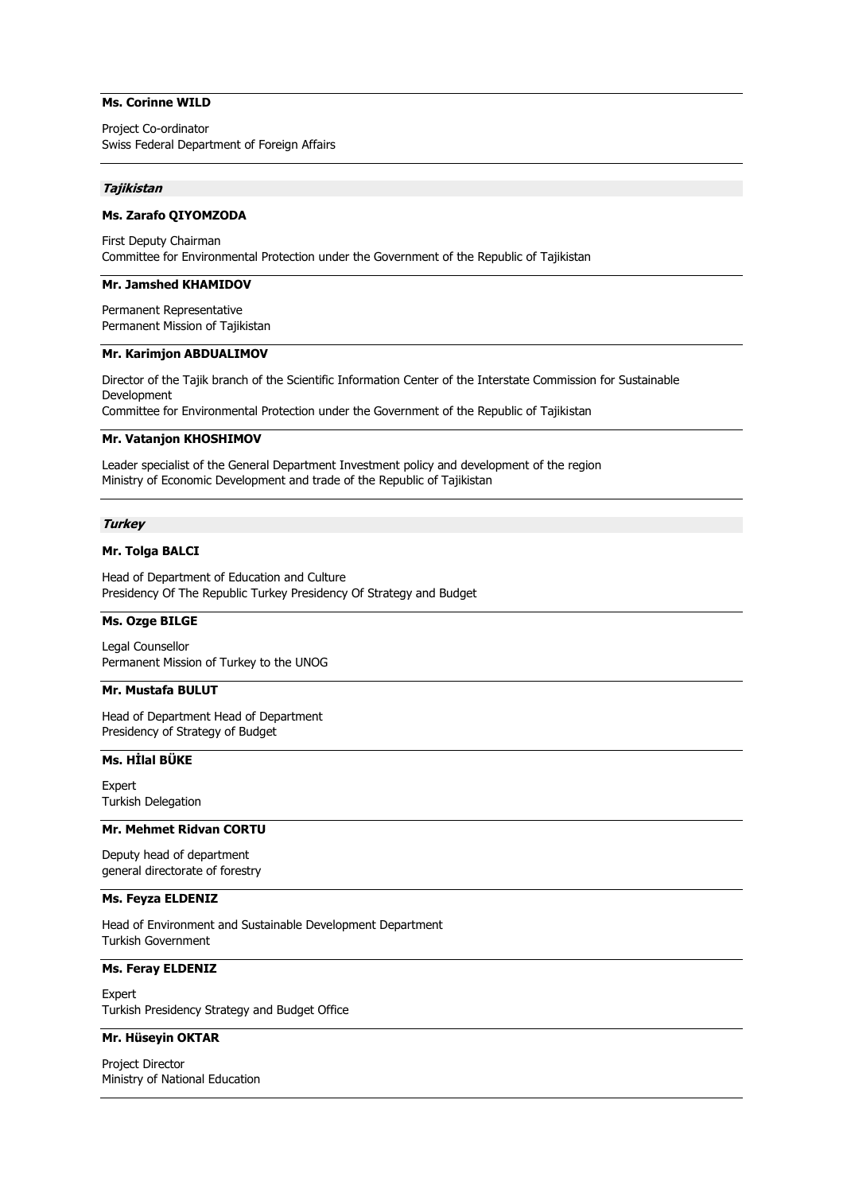# **Ms. Corinne WILD**

Project Co-ordinator Swiss Federal Department of Foreign Affairs

#### **Tajikistan**

### **Ms. Zarafo QIYOMZODA**

First Deputy Chairman Committee for Environmental Protection under the Government of the Republic of Tajikistan

### **Mr. Jamshed KHAMIDOV**

Permanent Representative Permanent Mission of Tajikistan

### **Mr. Karimjon ABDUALIMOV**

Director of the Tajik branch of the Scientific Information Center of the Interstate Commission for Sustainable Development Committee for Environmental Protection under the Government of the Republic of Tajikistan

#### **Mr. Vatanjon KHOSHIMOV**

Leader specialist of the General Department Investment policy and development of the region Ministry of Economic Development and trade of the Republic of Tajikistan

#### **Turkey**

# **Mr. Tolga BALCI**

Head of Department of Education and Culture Presidency Of The Republic Turkey Presidency Of Strategy and Budget

# **Ms. Ozge BILGE**

Legal Counsellor Permanent Mission of Turkey to the UNOG

# **Mr. Mustafa BULUT**

Head of Department Head of Department Presidency of Strategy of Budget

### **Ms. Hİlal BÜKE**

Expert Turkish Delegation

#### **Mr. Mehmet Ridvan CORTU**

Deputy head of department general directorate of forestry

#### **Ms. Feyza ELDENIZ**

Head of Environment and Sustainable Development Department Turkish Government

# **Ms. Feray ELDENIZ**

Expert Turkish Presidency Strategy and Budget Office

#### **Mr. Hüseyin OKTAR**

Project Director Ministry of National Education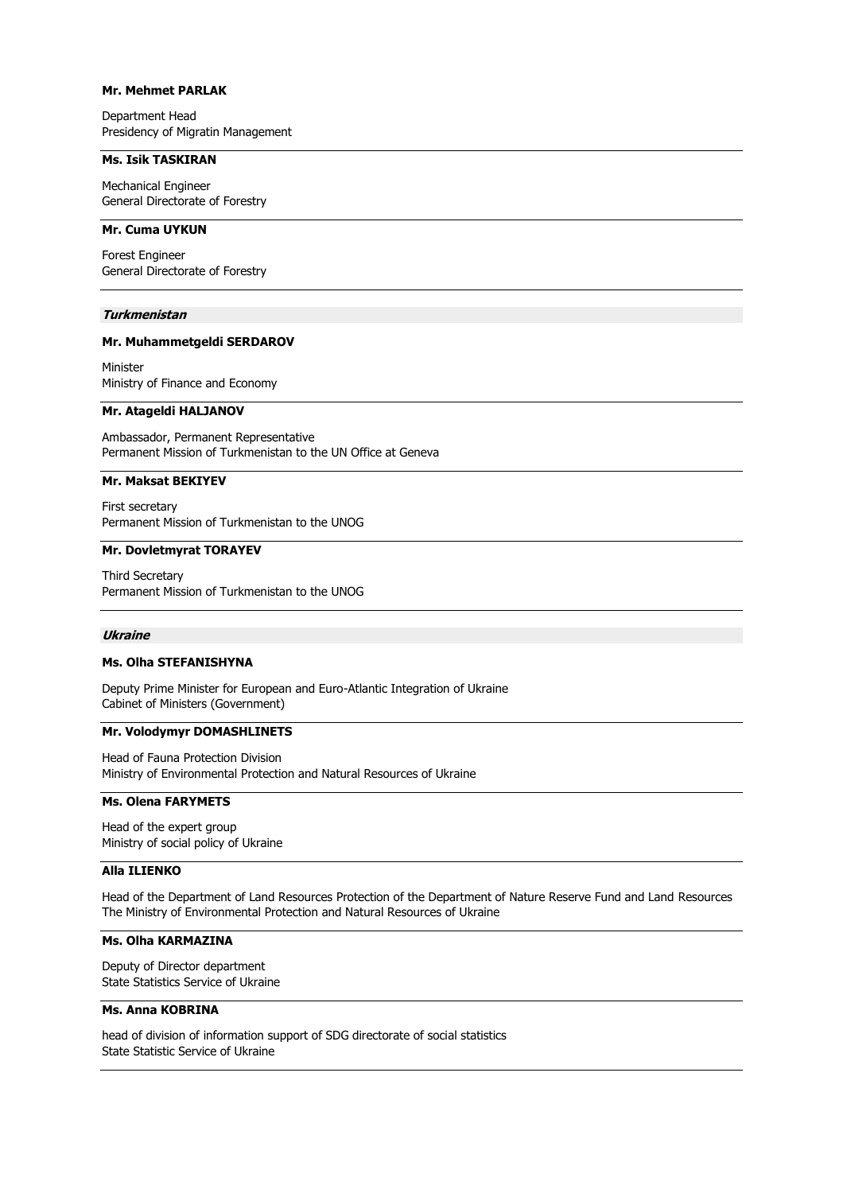# **Mr. Mehmet PARLAK**

Department Head Presidency of Migratin Management

### **Ms. Isik TASKIRAN**

Mechanical Engineer General Directorate of Forestry

# **Mr. Cuma UYKUN**

Forest Engineer General Directorate of Forestry

#### **Turkmenistan**

### **Mr. Muhammetgeldi SERDAROV**

Minister Ministry of Finance and Economy

### **Mr. Atageldi HALJANOV**

Ambassador, Permanent Representative Permanent Mission of Turkmenistan to the UN Office at Geneva

#### **Mr. Maksat BEKIYEV**

First secretary Permanent Mission of Turkmenistan to the UNOG

# **Mr. Dovletmyrat TORAYEV**

Third Secretary Permanent Mission of Turkmenistan to the UNOG

### **Ukraine**

### **Ms. Olha STEFANISHYNA**

Deputy Prime Minister for European and Euro-Atlantic Integration of Ukraine Cabinet of Ministers (Government)

#### **Mr. Volodymyr DOMASHLINETS**

Head of Fauna Protection Division Ministry of Environmental Protection and Natural Resources of Ukraine

# **Ms. Olena FARYMETS**

Head of the expert group Ministry of social policy of Ukraine

# **Alla ILIENKO**

Head of the Department of Land Resources Protection of the Department of Nature Reserve Fund and Land Resources The Ministry of Environmental Protection and Natural Resources of Ukraine

# **Ms. Olha KARMAZINA**

Deputy of Director department State Statistics Service of Ukraine

#### **Ms. Anna KOBRINA**

head of division of information support of SDG directorate of social statistics State Statistic Service of Ukraine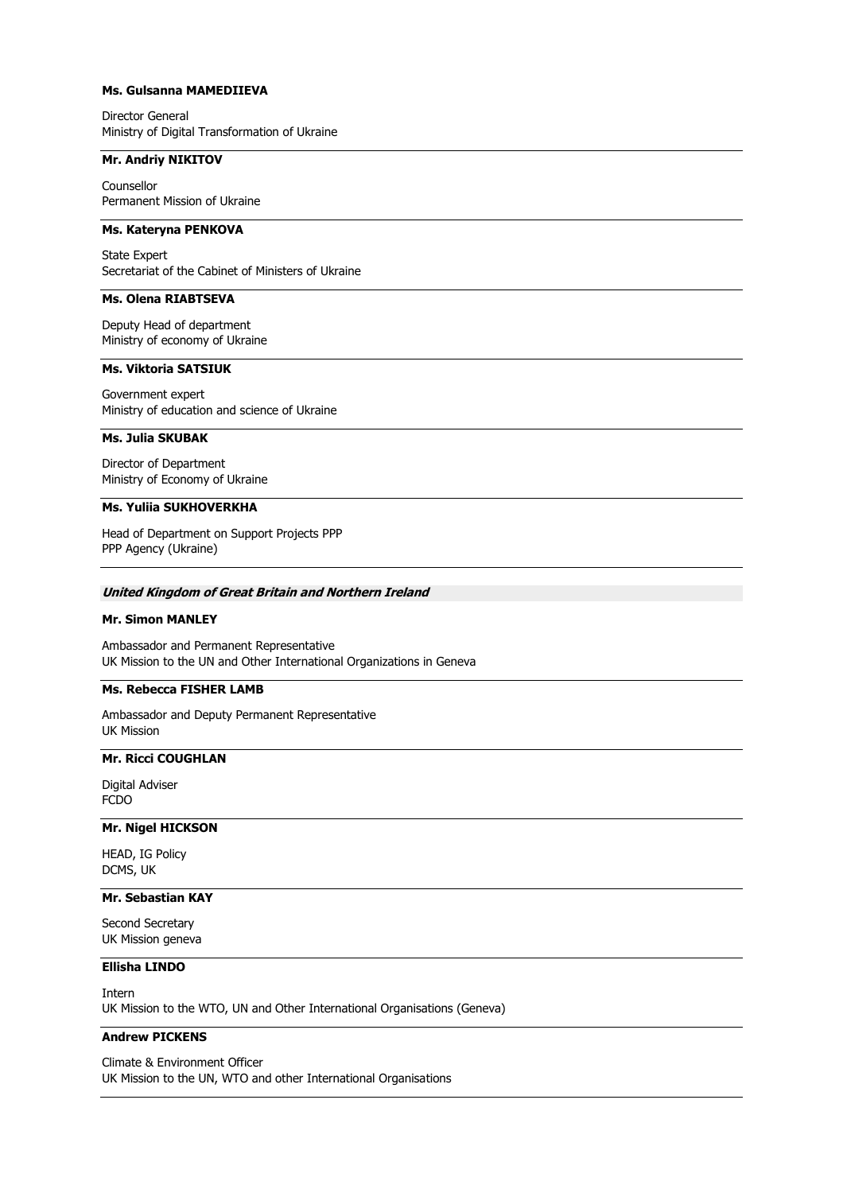# **Ms. Gulsanna MAMEDIIEVA**

Director General Ministry of Digital Transformation of Ukraine

### **Mr. Andriy NIKITOV**

Counsellor Permanent Mission of Ukraine

# **Ms. Kateryna PENKOVA**

State Expert Secretariat of the Cabinet of Ministers of Ukraine

# **Ms. Olena RIABTSEVA**

Deputy Head of department Ministry of economy of Ukraine

### **Ms. Viktoria SATSIUK**

Government expert Ministry of education and science of Ukraine

#### **Ms. Julia SKUBAK**

Director of Department Ministry of Economy of Ukraine

# **Ms. Yuliia SUKHOVERKHA**

Head of Department on Support Projects PPP PPP Agency (Ukraine)

#### **United Kingdom of Great Britain and Northern Ireland**

#### **Mr. Simon MANLEY**

Ambassador and Permanent Representative UK Mission to the UN and Other International Organizations in Geneva

# **Ms. Rebecca FISHER LAMB**

Ambassador and Deputy Permanent Representative UK Mission

### **Mr. Ricci COUGHLAN**

Digital Adviser FCDO

# **Mr. Nigel HICKSON**

HEAD, IG Policy DCMS, UK

# **Mr. Sebastian KAY**

Second Secretary UK Mission geneva

### **Ellisha LINDO**

Intern UK Mission to the WTO, UN and Other International Organisations (Geneva)

# **Andrew PICKENS**

Climate & Environment Officer UK Mission to the UN, WTO and other International Organisations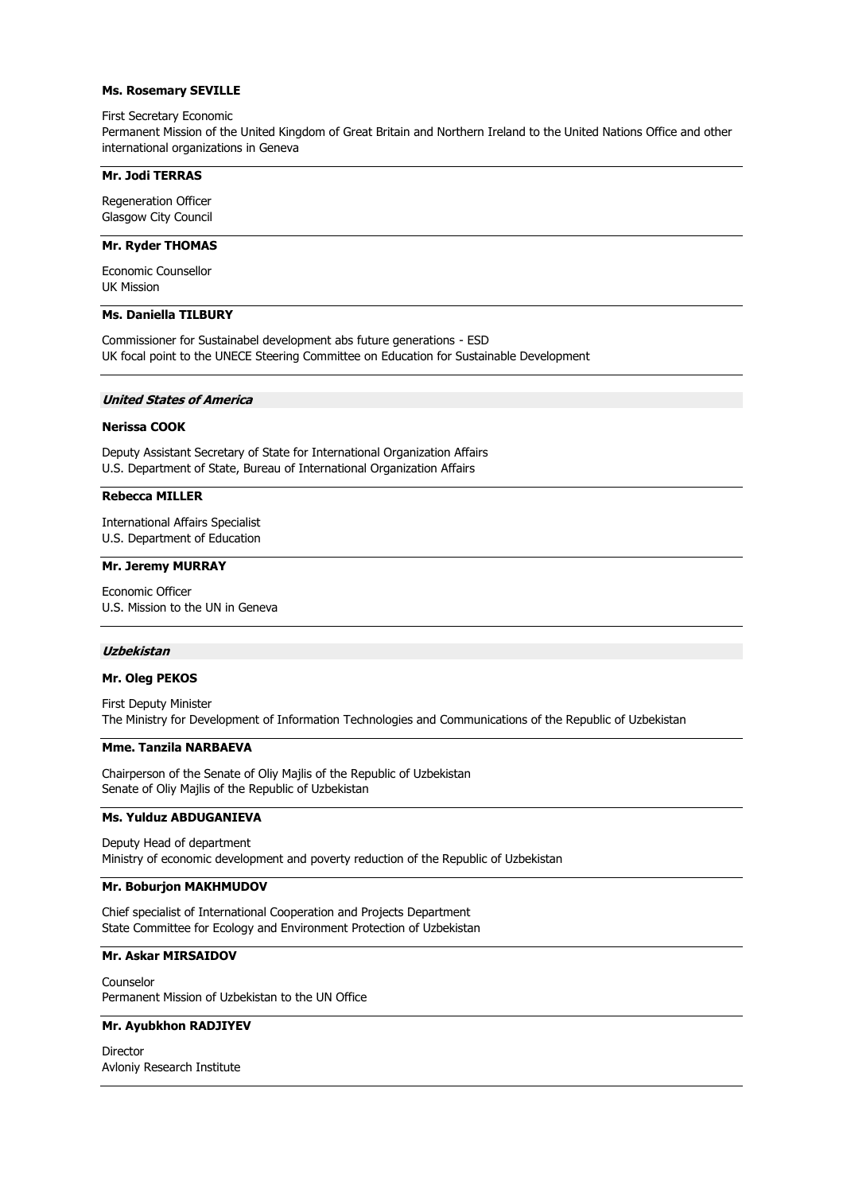### **Ms. Rosemary SEVILLE**

#### First Secretary Economic

Permanent Mission of the United Kingdom of Great Britain and Northern Ireland to the United Nations Office and other international organizations in Geneva

## **Mr. Jodi TERRAS**

Regeneration Officer Glasgow City Council

### **Mr. Ryder THOMAS**

Economic Counsellor UK Mission

### **Ms. Daniella TILBURY**

Commissioner for Sustainabel development abs future generations - ESD UK focal point to the UNECE Steering Committee on Education for Sustainable Development

#### **United States of America**

#### **Nerissa COOK**

Deputy Assistant Secretary of State for International Organization Affairs U.S. Department of State, Bureau of International Organization Affairs

#### **Rebecca MILLER**

International Affairs Specialist U.S. Department of Education

# **Mr. Jeremy MURRAY**

Economic Officer U.S. Mission to the UN in Geneva

#### **Uzbekistan**

# **Mr. Oleg PEKOS**

First Deputy Minister The Ministry for Development of Information Technologies and Communications of the Republic of Uzbekistan

#### **Mme. Tanzila NARBAEVA**

Chairperson of the Senate of Oliy Majlis of the Republic of Uzbekistan Senate of Oliy Majlis of the Republic of Uzbekistan

# **Ms. Yulduz ABDUGANIEVA**

Deputy Head of department Ministry of economic development and poverty reduction of the Republic of Uzbekistan

#### **Mr. Boburjon MAKHMUDOV**

Chief specialist of International Cooperation and Projects Department State Committee for Ecology and Environment Protection of Uzbekistan

# **Mr. Askar MIRSAIDOV**

Counselor Permanent Mission of Uzbekistan to the UN Office

#### **Mr. Ayubkhon RADJIYEV**

Director Avloniy Research Institute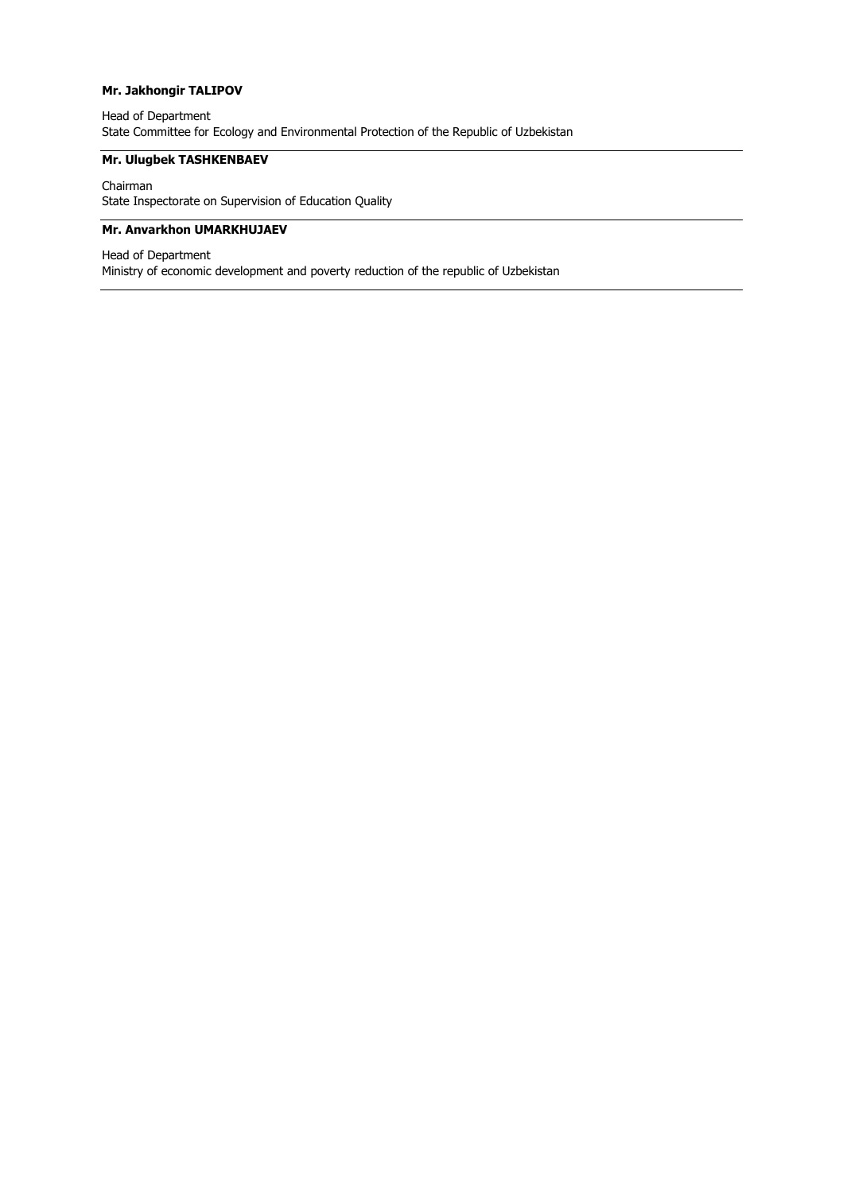# **Mr. Jakhongir TALIPOV**

# Head of Department State Committee for Ecology and Environmental Protection of the Republic of Uzbekistan

# **Mr. Ulugbek TASHKENBAEV**

Chairman State Inspectorate on Supervision of Education Quality

# **Mr. Anvarkhon UMARKHUJAEV**

Head of Department Ministry of economic development and poverty reduction of the republic of Uzbekistan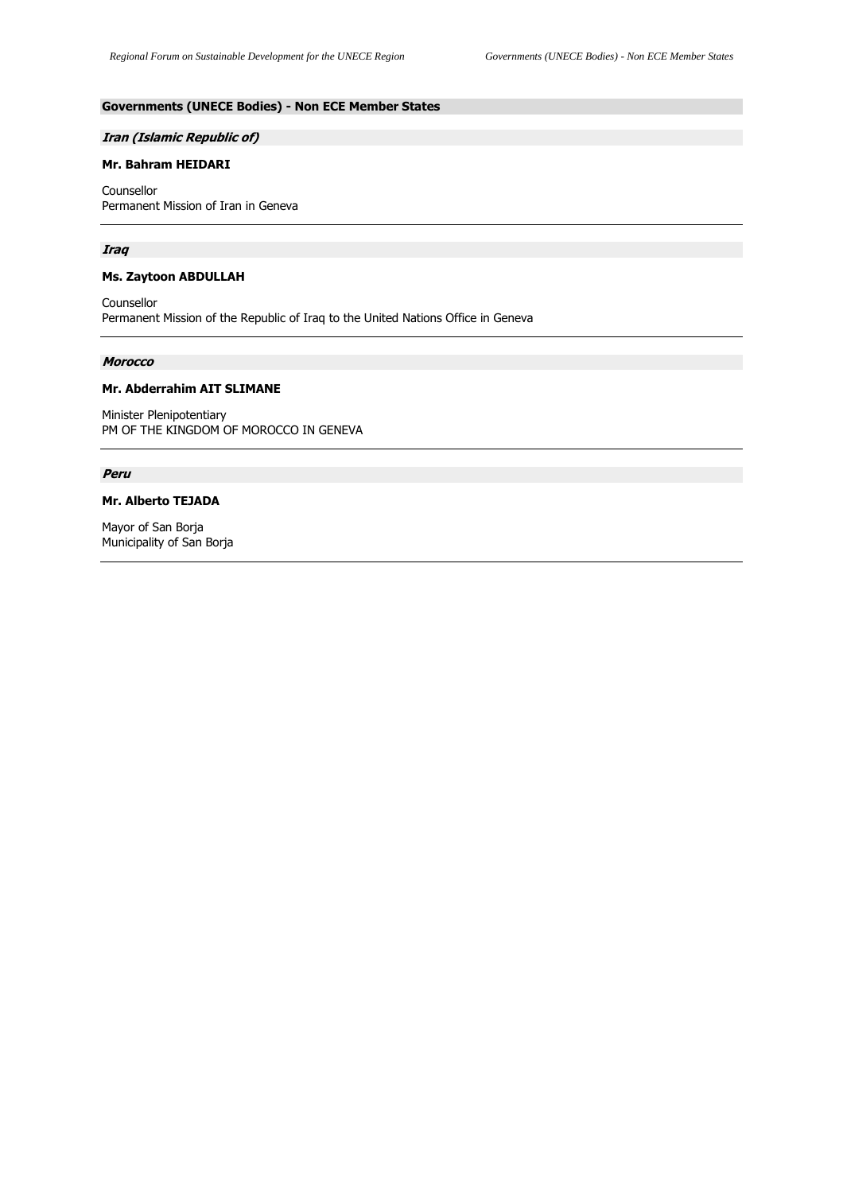# **Governments (UNECE Bodies) - Non ECE Member States**

#### **Iran (Islamic Republic of)**

# **Mr. Bahram HEIDARI**

Counsellor Permanent Mission of Iran in Geneva

### **Iraq**

#### **Ms. Zaytoon ABDULLAH**

Counsellor Permanent Mission of the Republic of Iraq to the United Nations Office in Geneva

#### **Morocco**

### **Mr. Abderrahim AIT SLIMANE**

Minister Plenipotentiary PM OF THE KINGDOM OF MOROCCO IN GENEVA

# **Peru**

### **Mr. Alberto TEJADA**

Mayor of San Borja Municipality of San Borja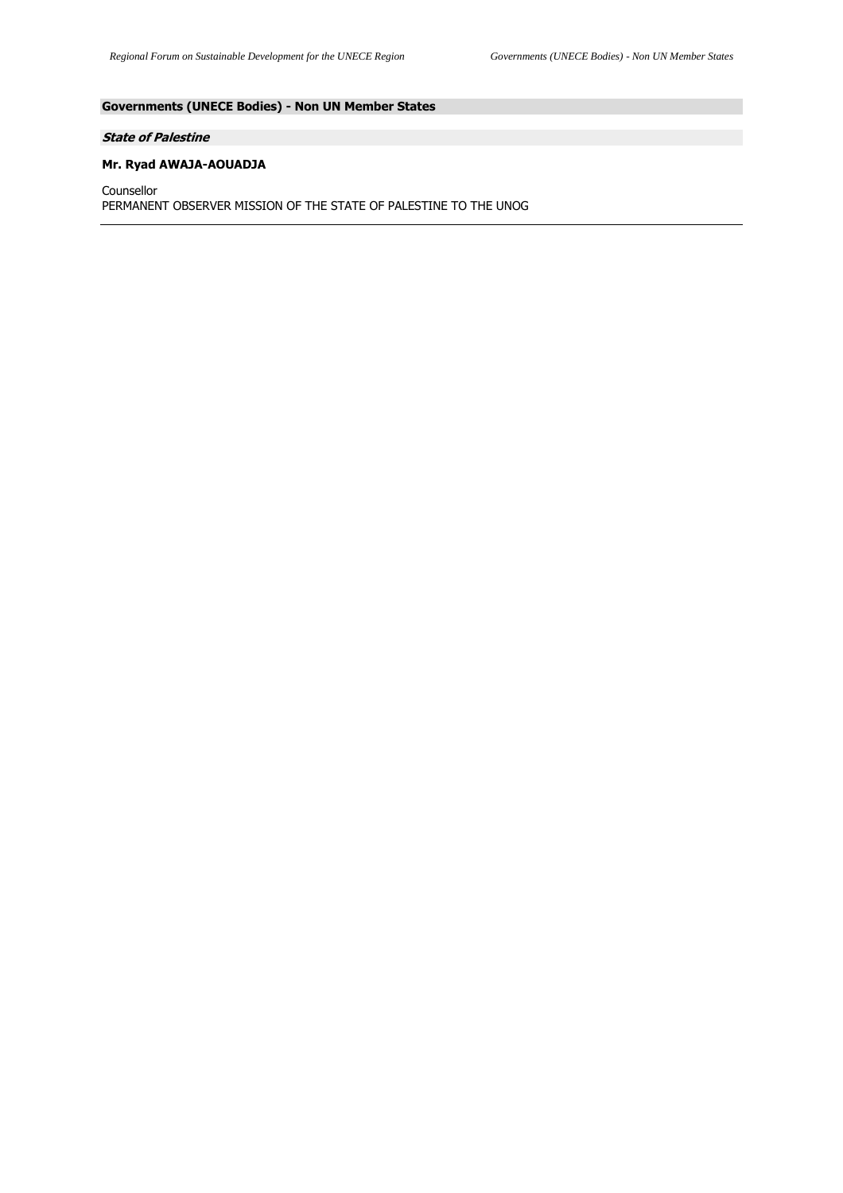# **Governments (UNECE Bodies) - Non UN Member States**

# **State of Palestine**

# **Mr. Ryad AWAJA-AOUADJA**

Counsellor PERMANENT OBSERVER MISSION OF THE STATE OF PALESTINE TO THE UNOG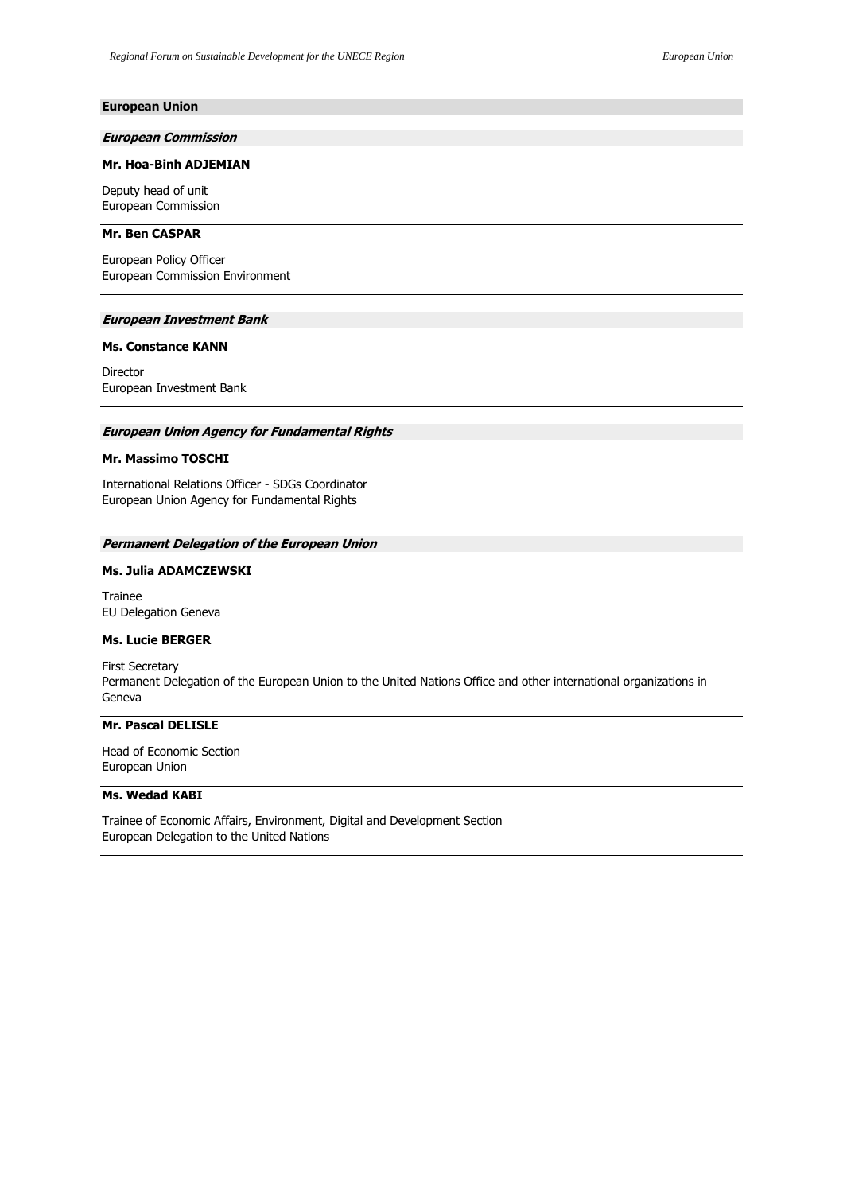### **European Union**

#### **European Commission**

### **Mr. Hoa-Binh ADJEMIAN**

Deputy head of unit European Commission

### **Mr. Ben CASPAR**

European Policy Officer European Commission Environment

#### **European Investment Bank**

**Ms. Constance KANN**

Director European Investment Bank

# **European Union Agency for Fundamental Rights**

### **Mr. Massimo TOSCHI**

International Relations Officer - SDGs Coordinator European Union Agency for Fundamental Rights

#### **Permanent Delegation of the European Union**

### **Ms. Julia ADAMCZEWSKI**

Trainee EU Delegation Geneva

#### **Ms. Lucie BERGER**

First Secretary Permanent Delegation of the European Union to the United Nations Office and other international organizations in Geneva

# **Mr. Pascal DELISLE**

Head of Economic Section European Union

#### **Ms. Wedad KABI**

Trainee of Economic Affairs, Environment, Digital and Development Section European Delegation to the United Nations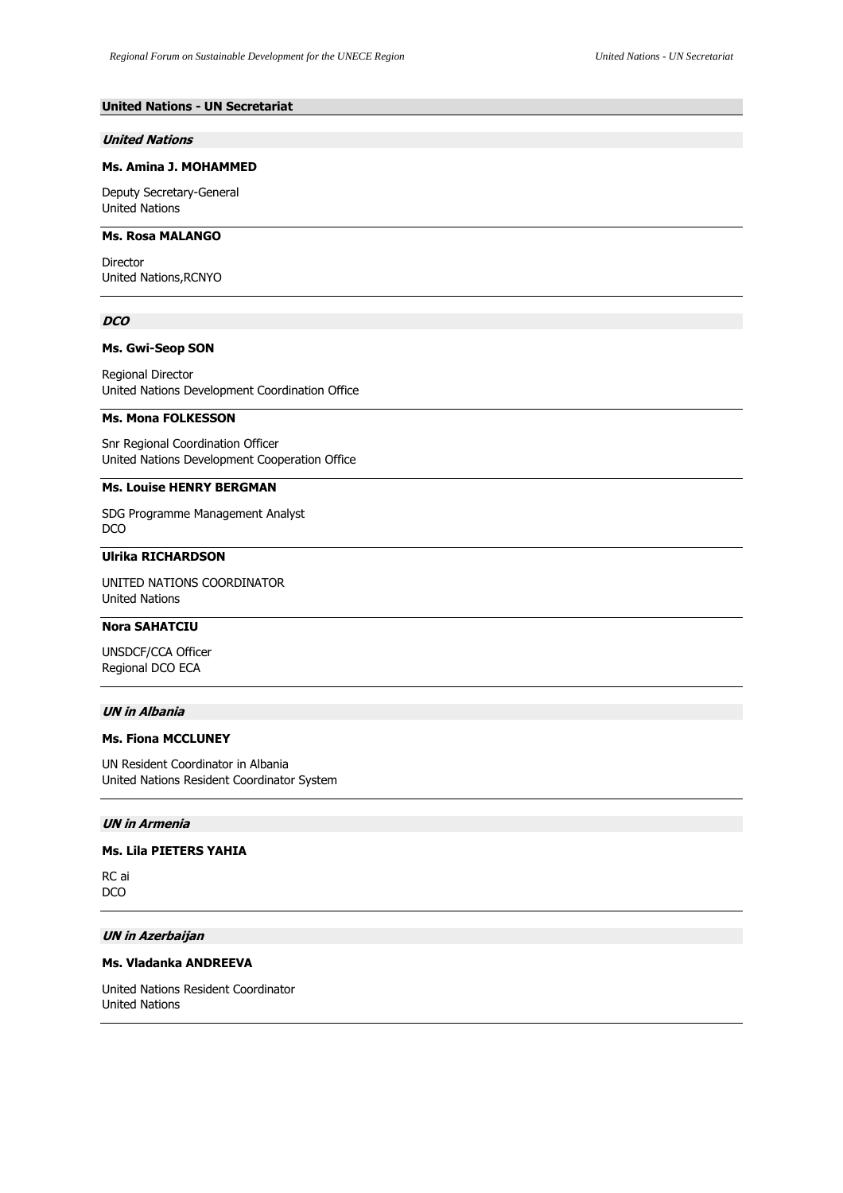# **United Nations - UN Secretariat**

#### **United Nations**

#### **Ms. Amina J. MOHAMMED**

Deputy Secretary-General United Nations

# **Ms. Rosa MALANGO**

Director United Nations,RCNYO

#### **DCO**

# **Ms. Gwi-Seop SON**

Regional Director United Nations Development Coordination Office

### **Ms. Mona FOLKESSON**

Snr Regional Coordination Officer United Nations Development Cooperation Office

#### **Ms. Louise HENRY BERGMAN**

SDG Programme Management Analyst DCO

# **Ulrika RICHARDSON**

UNITED NATIONS COORDINATOR United Nations

# **Nora SAHATCIU**

UNSDCF/CCA Officer Regional DCO ECA

### **UN in Albania**

# **Ms. Fiona MCCLUNEY**

UN Resident Coordinator in Albania United Nations Resident Coordinator System

#### **UN in Armenia**

### **Ms. Lila PIETERS YAHIA**

RC ai DCO

# **UN in Azerbaijan**

# **Ms. Vladanka ANDREEVA**

United Nations Resident Coordinator United Nations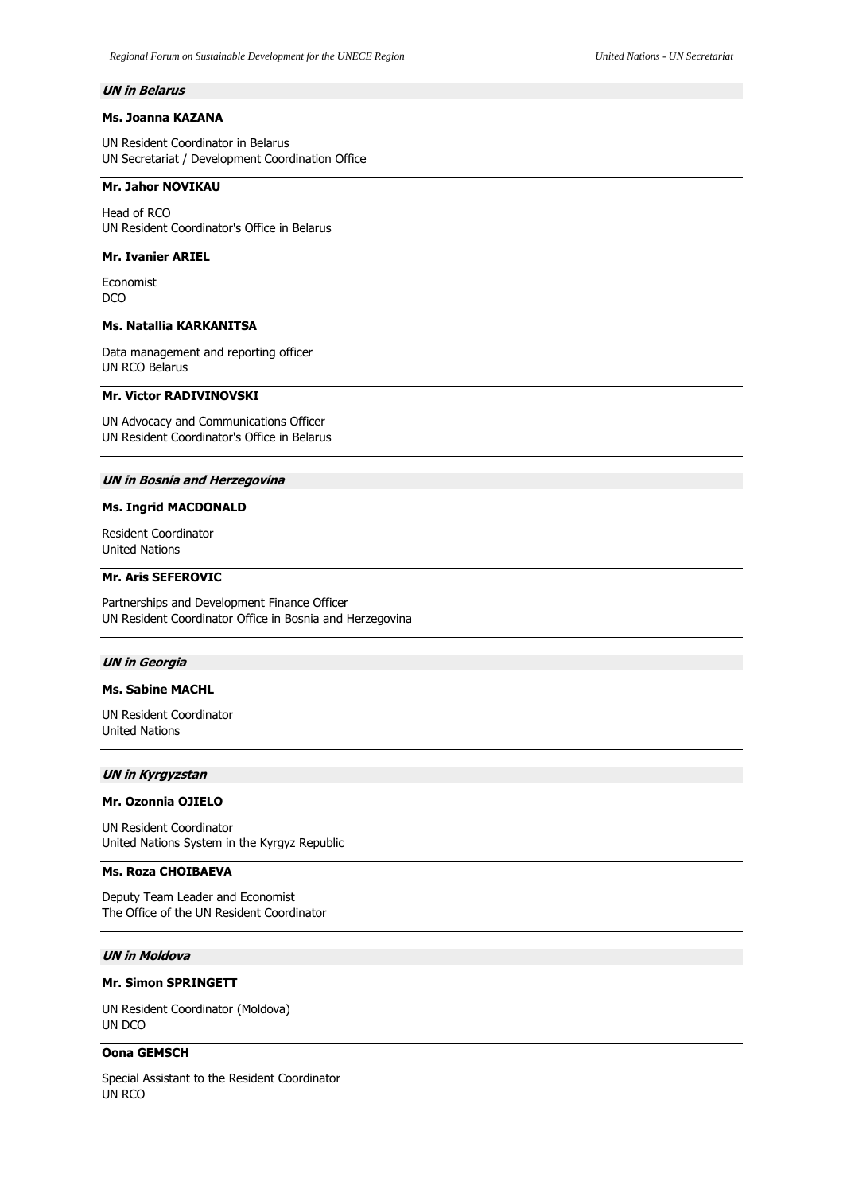#### **UN in Belarus**

# **Ms. Joanna KAZANA**

UN Resident Coordinator in Belarus UN Secretariat / Development Coordination Office

### **Mr. Jahor NOVIKAU**

Head of RCO UN Resident Coordinator's Office in Belarus

### **Mr. Ivanier ARIEL**

Economist DCO

# **Ms. Natallia KARKANITSA**

Data management and reporting officer UN RCO Belarus

# **Mr. Victor RADIVINOVSKI**

UN Advocacy and Communications Officer UN Resident Coordinator's Office in Belarus

#### **UN in Bosnia and Herzegovina**

#### **Ms. Ingrid MACDONALD**

Resident Coordinator United Nations

### **Mr. Aris SEFEROVIC**

Partnerships and Development Finance Officer UN Resident Coordinator Office in Bosnia and Herzegovina

#### **UN in Georgia**

# **Ms. Sabine MACHL**

UN Resident Coordinator United Nations

#### **UN in Kyrgyzstan**

### **Mr. Ozonnia OJIELO**

UN Resident Coordinator United Nations System in the Kyrgyz Republic

#### **Ms. Roza CHOIBAEVA**

Deputy Team Leader and Economist The Office of the UN Resident Coordinator

# **UN in Moldova**

# **Mr. Simon SPRINGETT**

UN Resident Coordinator (Moldova) UN DCO

# **Oona GEMSCH**

Special Assistant to the Resident Coordinator UN RCO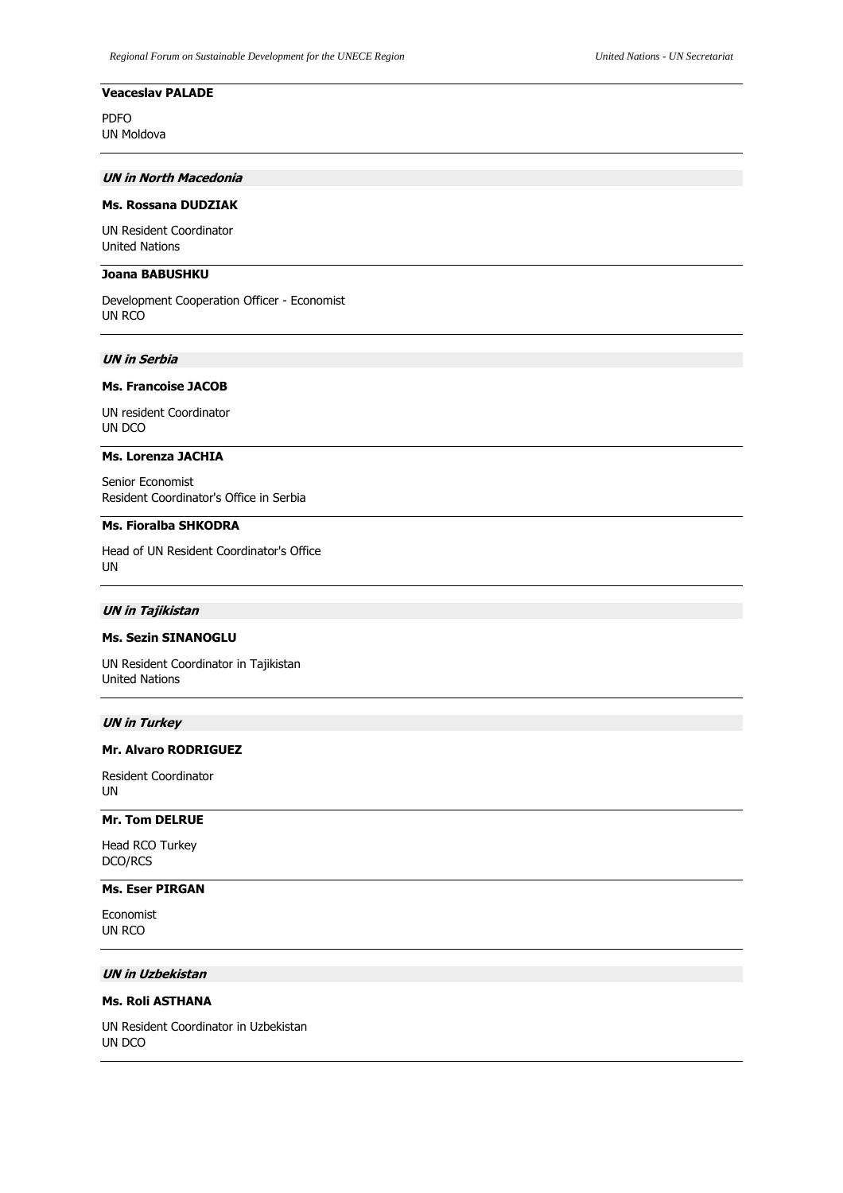# **Veaceslav PALADE**

PDFO UN Moldova

### **UN in North Macedonia**

### **Ms. Rossana DUDZIAK**

UN Resident Coordinator United Nations

# **Joana BABUSHKU**

Development Cooperation Officer - Economist UN RCO

### **UN in Serbia**

### **Ms. Francoise JACOB**

UN resident Coordinator UN DCO

# **Ms. Lorenza JACHIA**

Senior Economist Resident Coordinator's Office in Serbia

#### **Ms. Fioralba SHKODRA**

Head of UN Resident Coordinator's Office UN

# **UN in Tajikistan**

#### **Ms. Sezin SINANOGLU**

UN Resident Coordinator in Tajikistan United Nations

#### **UN in Turkey**

# **Mr. Alvaro RODRIGUEZ**

Resident Coordinator UN

### **Mr. Tom DELRUE**

Head RCO Turkey DCO/RCS

# **Ms. Eser PIRGAN**

Economist UN RCO

### **UN in Uzbekistan**

# **Ms. Roli ASTHANA**

UN Resident Coordinator in Uzbekistan UN DCO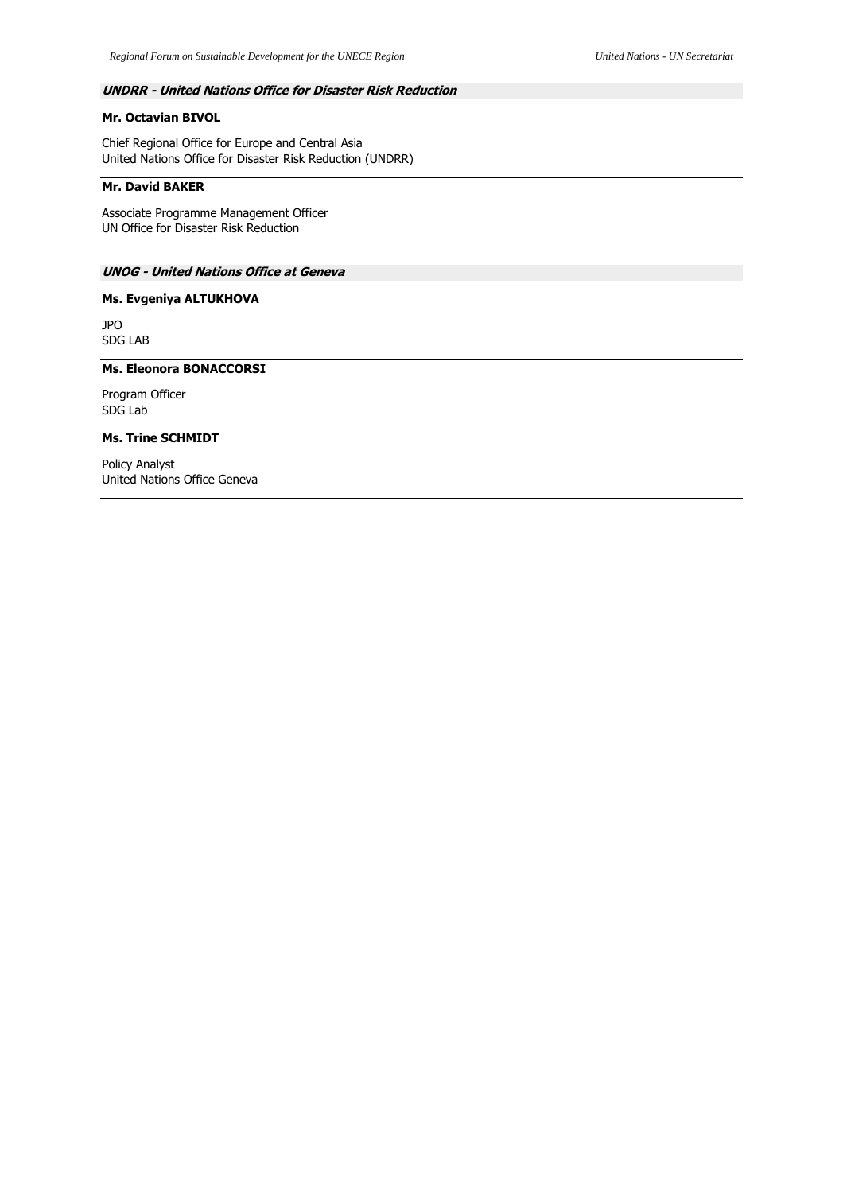# **UNDRR - United Nations Office for Disaster Risk Reduction**

# **Mr. Octavian BIVOL**

Chief Regional Office for Europe and Central Asia United Nations Office for Disaster Risk Reduction (UNDRR)

## **Mr. David BAKER**

Associate Programme Management Officer UN Office for Disaster Risk Reduction

# **UNOG - United Nations Office at Geneva**

# **Ms. Evgeniya ALTUKHOVA**

JPO SDG LAB

# **Ms. Eleonora BONACCORSI**

Program Officer SDG Lab

## **Ms. Trine SCHMIDT**

Policy Analyst United Nations Office Geneva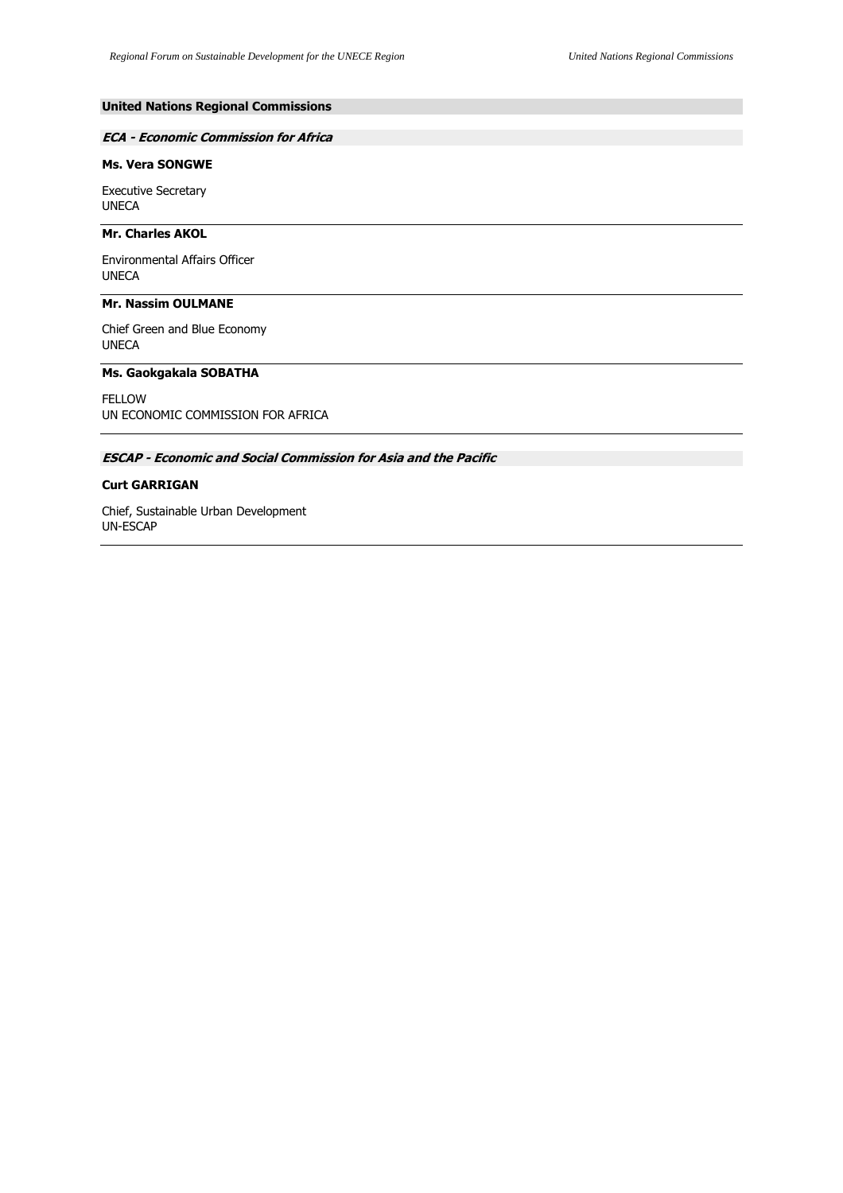# **United Nations Regional Commissions**

## **ECA - Economic Commission for Africa**

# **Ms. Vera SONGWE**

Executive Secretary UNECA

## **Mr. Charles AKOL**

Environmental Affairs Officer UNECA

# **Mr. Nassim OULMANE**

Chief Green and Blue Economy UNECA

## **Ms. Gaokgakala SOBATHA**

FELLOW UN ECONOMIC COMMISSION FOR AFRICA

# **ESCAP - Economic and Social Commission for Asia and the Pacific**

#### **Curt GARRIGAN**

Chief, Sustainable Urban Development UN-ESCAP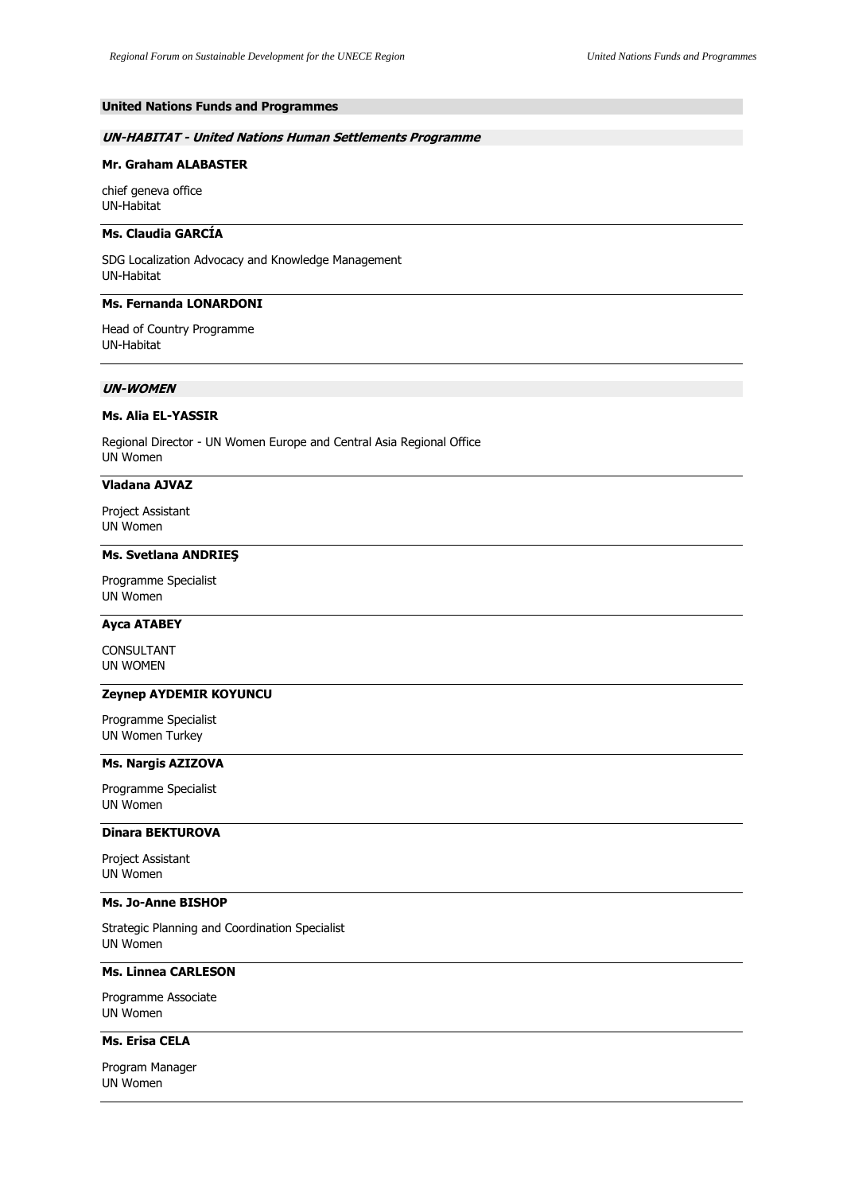# **United Nations Funds and Programmes**

## **UN-HABITAT - United Nations Human Settlements Programme**

## **Mr. Graham ALABASTER**

chief geneva office UN-Habitat

## **Ms. Claudia GARCÍA**

SDG Localization Advocacy and Knowledge Management UN-Habitat

# **Ms. Fernanda LONARDONI**

Head of Country Programme UN-Habitat

# **UN-WOMEN**

## **Ms. Alia EL-YASSIR**

Regional Director - UN Women Europe and Central Asia Regional Office UN Women

#### **Vladana AJVAZ**

Project Assistant UN Women

# **Ms. Svetlana ANDRIEŞ**

Programme Specialist UN Women

## **Ayca ATABEY**

CONSULTANT UN WOMEN

# **Zeynep AYDEMIR KOYUNCU**

Programme Specialist UN Women Turkey

#### **Ms. Nargis AZIZOVA**

Programme Specialist UN Women

# **Dinara BEKTUROVA**

Project Assistant UN Women

## **Ms. Jo-Anne BISHOP**

Strategic Planning and Coordination Specialist UN Women

# **Ms. Linnea CARLESON**

Programme Associate UN Women

### **Ms. Erisa CELA**

Program Manager UN Women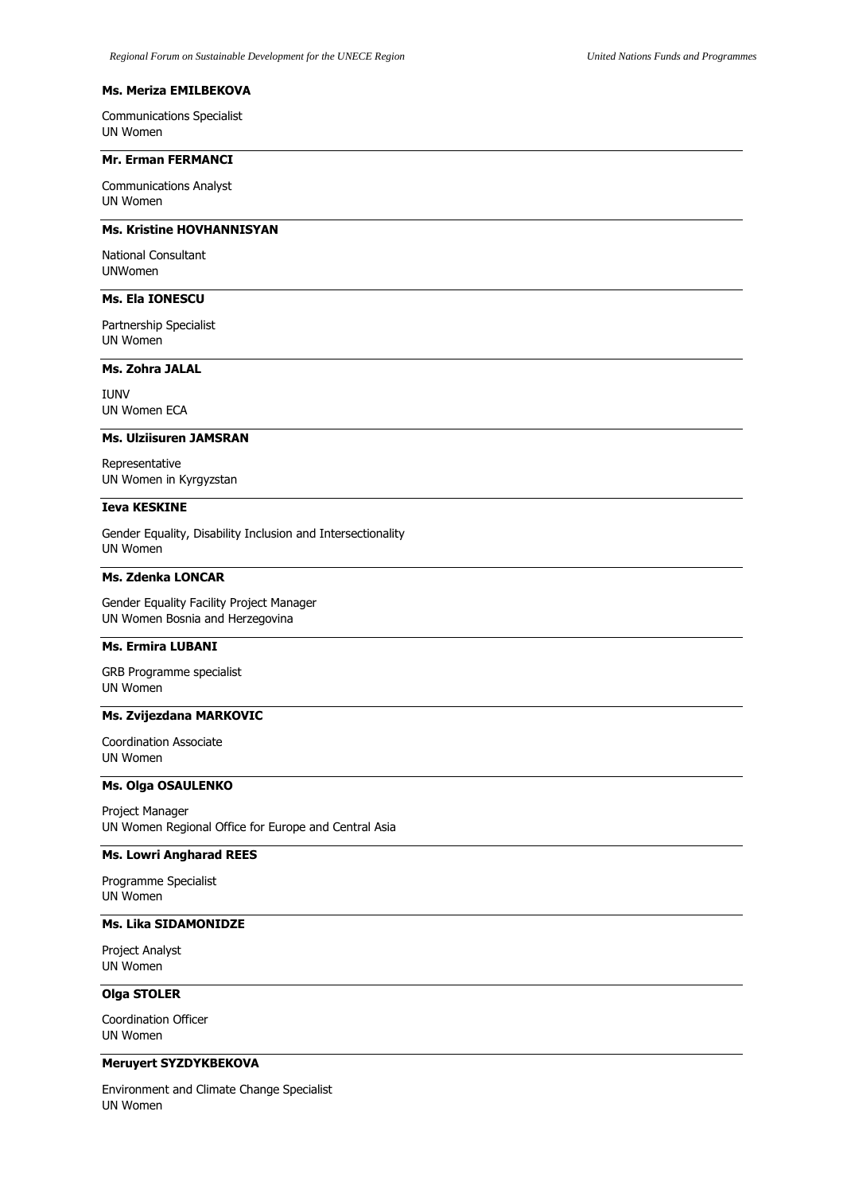### **Ms. Meriza EMILBEKOVA**

Communications Specialist UN Women

## **Mr. Erman FERMANCI**

Communications Analyst UN Women

# **Ms. Kristine HOVHANNISYAN**

National Consultant UNWomen

# **Ms. Ela IONESCU**

Partnership Specialist UN Women

# **Ms. Zohra JALAL**

IUNV UN Women ECA

#### **Ms. Ulziisuren JAMSRAN**

Representative UN Women in Kyrgyzstan

# **Ieva KESKINE**

Gender Equality, Disability Inclusion and Intersectionality UN Women

## **Ms. Zdenka LONCAR**

Gender Equality Facility Project Manager UN Women Bosnia and Herzegovina

## **Ms. Ermira LUBANI**

GRB Programme specialist UN Women

### **Ms. Zvijezdana MARKOVIC**

Coordination Associate UN Women

# **Ms. Olga OSAULENKO**

Project Manager UN Women Regional Office for Europe and Central Asia

#### **Ms. Lowri Angharad REES**

Programme Specialist UN Women

# **Ms. Lika SIDAMONIDZE**

Project Analyst UN Women

## **Olga STOLER**

Coordination Officer UN Women

# **Meruyert SYZDYKBEKOVA**

Environment and Climate Change Specialist UN Women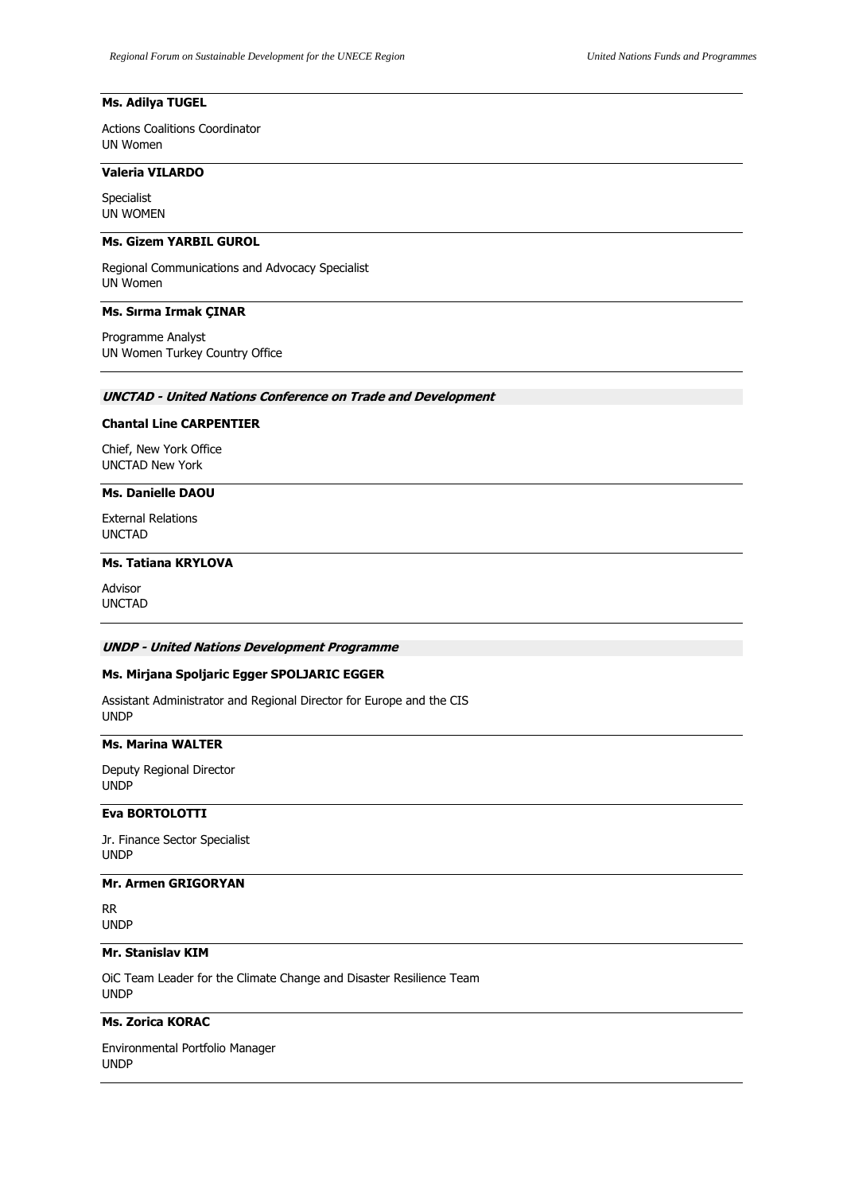# **Ms. Adilya TUGEL**

Actions Coalitions Coordinator UN Women

## **Valeria VILARDO**

Specialist UN WOMEN

### **Ms. Gizem YARBIL GUROL**

Regional Communications and Advocacy Specialist UN Women

## **Ms. Sırma Irmak ÇINAR**

Programme Analyst UN Women Turkey Country Office

## **UNCTAD - United Nations Conference on Trade and Development**

### **Chantal Line CARPENTIER**

Chief, New York Office UNCTAD New York

### **Ms. Danielle DAOU**

External Relations UNCTAD

# **Ms. Tatiana KRYLOVA**

Advisor UNCTAD

# **UNDP - United Nations Development Programme**

## **Ms. Mirjana Spoljaric Egger SPOLJARIC EGGER**

Assistant Administrator and Regional Director for Europe and the CIS UNDP

## **Ms. Marina WALTER**

Deputy Regional Director UNDP

# **Eva BORTOLOTTI**

Jr. Finance Sector Specialist UNDP

### **Mr. Armen GRIGORYAN**

RR UNDP

# **Mr. Stanislav KIM**

OiC Team Leader for the Climate Change and Disaster Resilience Team UNDP

# **Ms. Zorica KORAC**

Environmental Portfolio Manager UNDP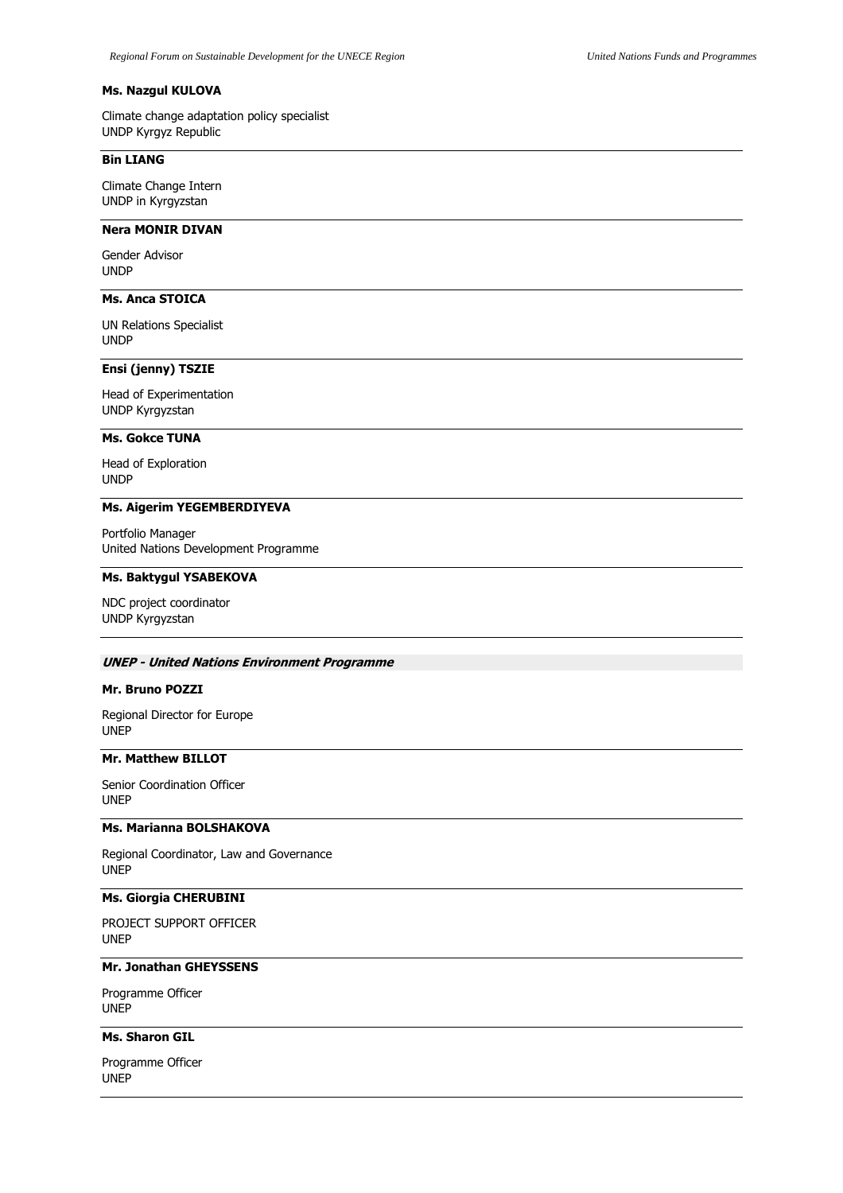## **Ms. Nazgul KULOVA**

Climate change adaptation policy specialist UNDP Kyrgyz Republic

## **Bin LIANG**

Climate Change Intern UNDP in Kyrgyzstan

# **Nera MONIR DIVAN**

Gender Advisor UNDP

# **Ms. Anca STOICA**

UN Relations Specialist UNDP

## **Ensi (jenny) TSZIE**

Head of Experimentation UNDP Kyrgyzstan

### **Ms. Gokce TUNA**

Head of Exploration UNDP

# **Ms. Aigerim YEGEMBERDIYEVA**

Portfolio Manager United Nations Development Programme

#### **Ms. Baktygul YSABEKOVA**

NDC project coordinator UNDP Kyrgyzstan

## **UNEP - United Nations Environment Programme**

# **Mr. Bruno POZZI**

Regional Director for Europe UNEP

## **Mr. Matthew BILLOT**

Senior Coordination Officer UNEP

# **Ms. Marianna BOLSHAKOVA**

Regional Coordinator, Law and Governance UNEP

# **Ms. Giorgia CHERUBINI**

PROJECT SUPPORT OFFICER UNEP

### **Mr. Jonathan GHEYSSENS**

Programme Officer UNEP

# **Ms. Sharon GIL**

Programme Officer UNEP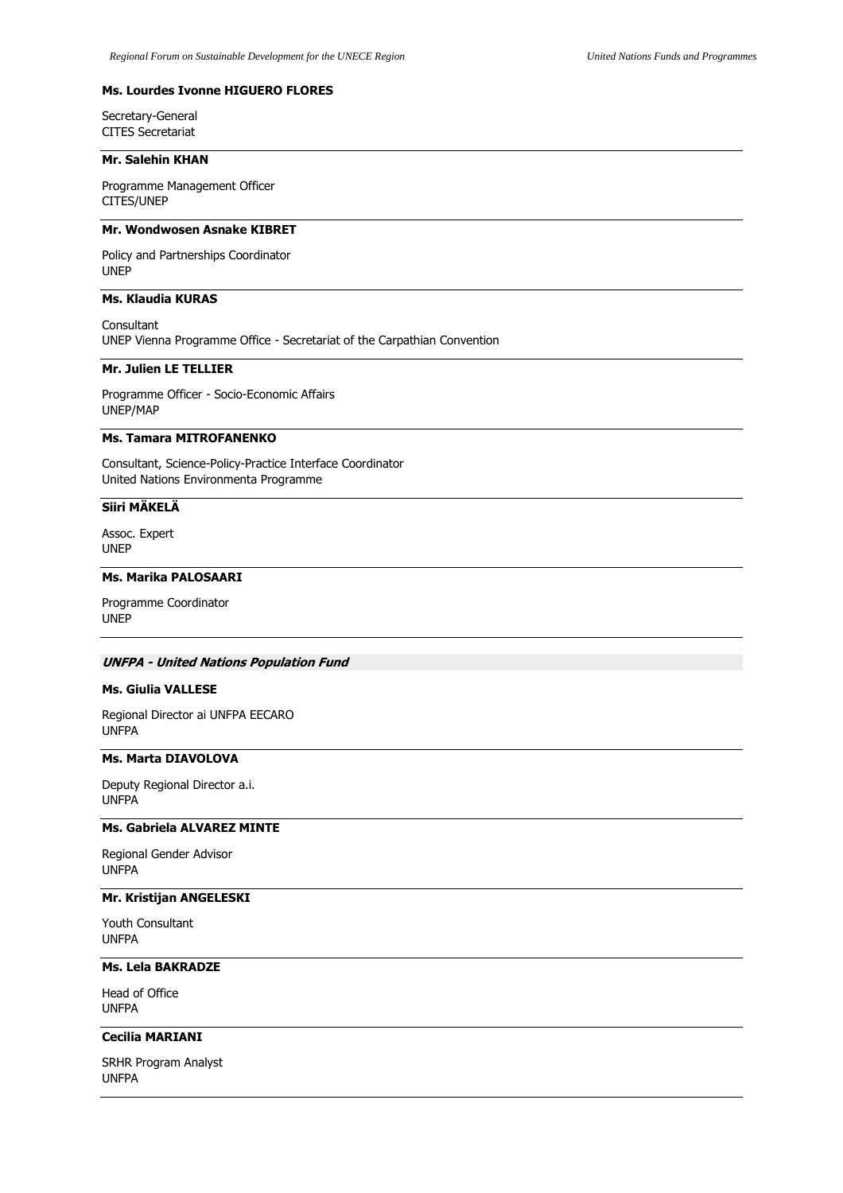## **Ms. Lourdes Ivonne HIGUERO FLORES**

Secretary-General CITES Secretariat

#### **Mr. Salehin KHAN**

Programme Management Officer CITES/UNEP

# **Mr. Wondwosen Asnake KIBRET**

Policy and Partnerships Coordinator UNEP

# **Ms. Klaudia KURAS**

Consultant UNEP Vienna Programme Office - Secretariat of the Carpathian Convention

# **Mr. Julien LE TELLIER**

Programme Officer - Socio-Economic Affairs UNEP/MAP

# **Ms. Tamara MITROFANENKO**

Consultant, Science-Policy-Practice Interface Coordinator United Nations Environmenta Programme

# **Siiri MÄKELÄ**

Assoc. Expert UNEP

#### **Ms. Marika PALOSAARI**

Programme Coordinator UNEP

### **UNFPA - United Nations Population Fund**

### **Ms. Giulia VALLESE**

Regional Director ai UNFPA EECARO UNFPA

## **Ms. Marta DIAVOLOVA**

Deputy Regional Director a.i. UNFPA

# **Ms. Gabriela ALVAREZ MINTE**

Regional Gender Advisor UNFPA

# **Mr. Kristijan ANGELESKI**

Youth Consultant UNFPA

# **Ms. Lela BAKRADZE**

Head of Office UNFPA

# **Cecilia MARIANI**

SRHR Program Analyst UNFPA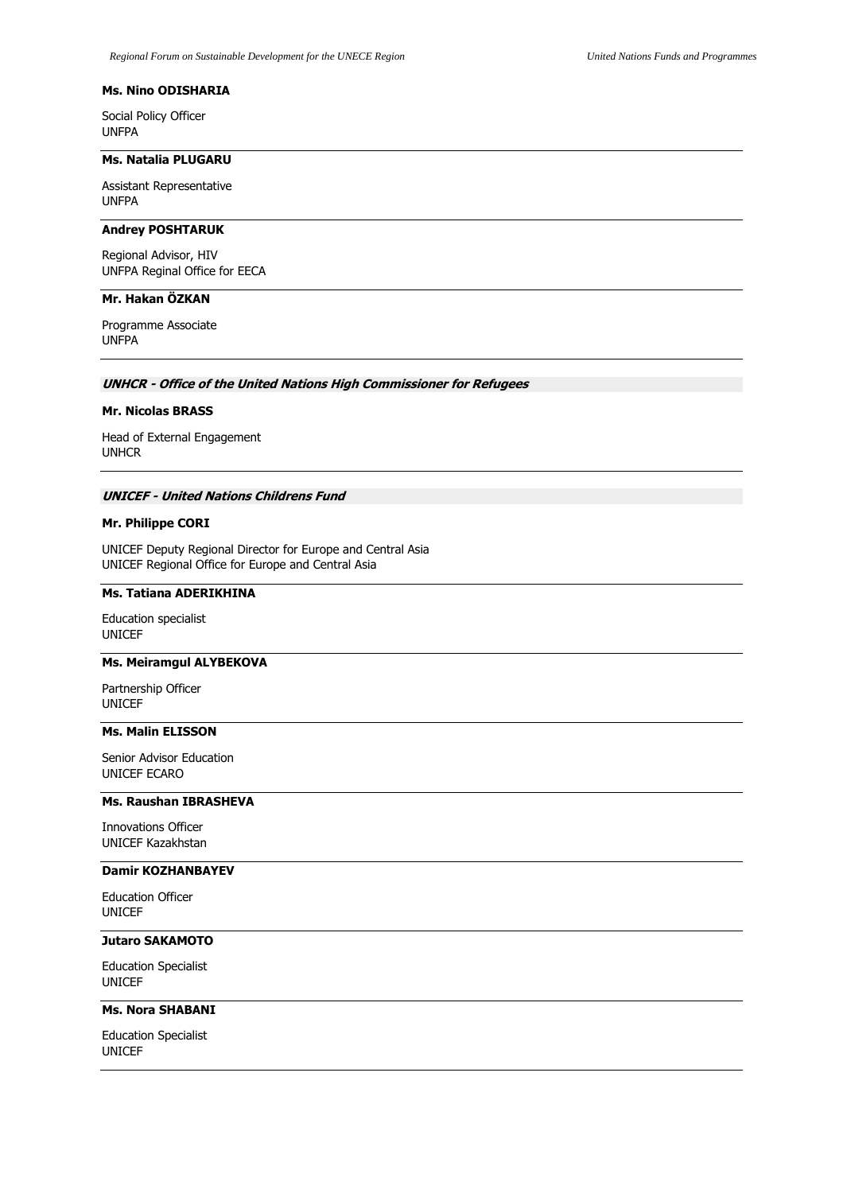## **Ms. Nino ODISHARIA**

Social Policy Officer UNFPA

#### **Ms. Natalia PLUGARU**

Assistant Representative UNFPA

# **Andrey POSHTARUK**

Regional Advisor, HIV UNFPA Reginal Office for EECA

## **Mr. Hakan ÖZKAN**

Programme Associate UNFPA

### **UNHCR - Office of the United Nations High Commissioner for Refugees**

## **Mr. Nicolas BRASS**

Head of External Engagement UNHCR

#### **UNICEF - United Nations Childrens Fund**

## **Mr. Philippe CORI**

UNICEF Deputy Regional Director for Europe and Central Asia UNICEF Regional Office for Europe and Central Asia

#### **Ms. Tatiana ADERIKHINA**

Education specialist UNICEF

### **Ms. Meiramgul ALYBEKOVA**

Partnership Officer UNICEF

### **Ms. Malin ELISSON**

Senior Advisor Education UNICEF ECARO

# **Ms. Raushan IBRASHEVA**

Innovations Officer UNICEF Kazakhstan

#### **Damir KOZHANBAYEV**

Education Officer UNICEF

# **Jutaro SAKAMOTO**

Education Specialist UNICEF

## **Ms. Nora SHABANI**

Education Specialist UNICEF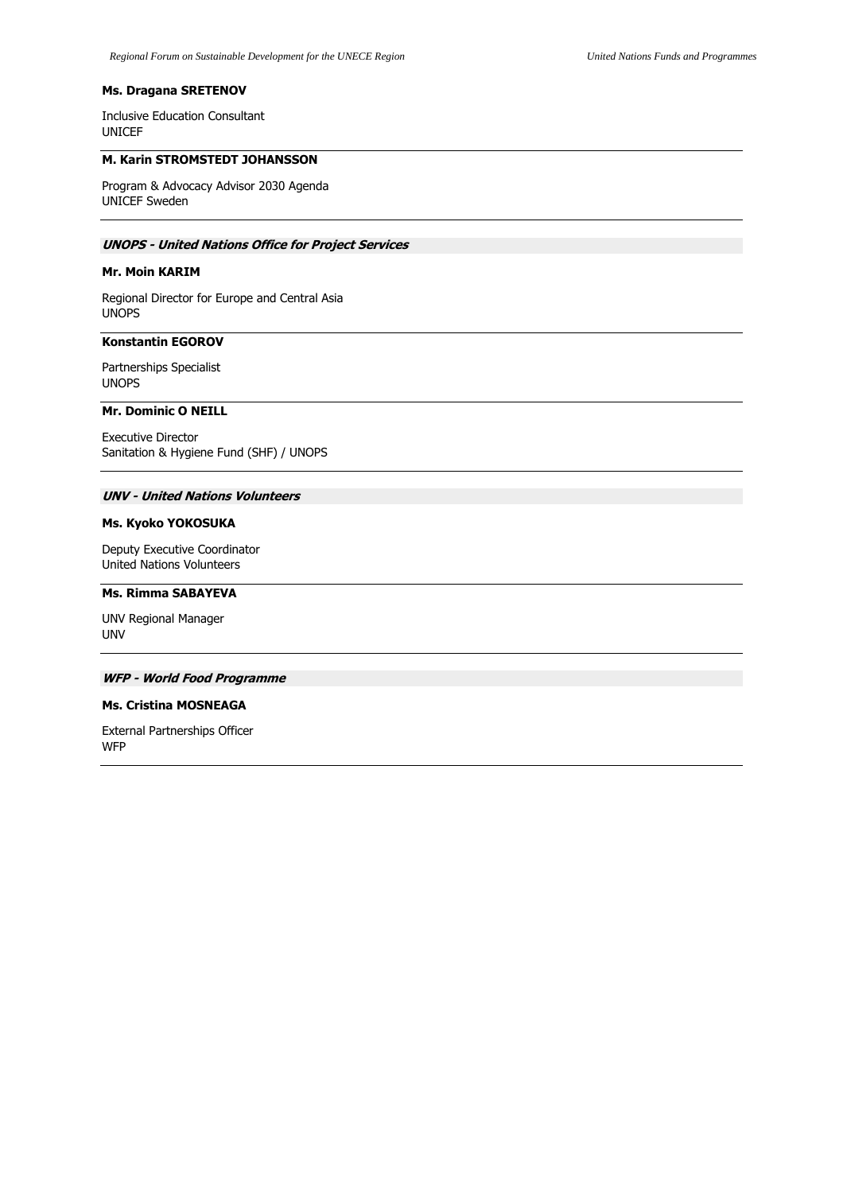## **Ms. Dragana SRETENOV**

Inclusive Education Consultant UNICEF

### **M. Karin STROMSTEDT JOHANSSON**

Program & Advocacy Advisor 2030 Agenda UNICEF Sweden

# **UNOPS - United Nations Office for Project Services**

# **Mr. Moin KARIM**

Regional Director for Europe and Central Asia UNOPS

### **Konstantin EGOROV**

Partnerships Specialist UNOPS

# **Mr. Dominic O NEILL**

Executive Director Sanitation & Hygiene Fund (SHF) / UNOPS

# **UNV - United Nations Volunteers**

# **Ms. Kyoko YOKOSUKA**

Deputy Executive Coordinator United Nations Volunteers

#### **Ms. Rimma SABAYEVA**

UNV Regional Manager UNV

## **WFP - World Food Programme**

# **Ms. Cristina MOSNEAGA**

External Partnerships Officer WFP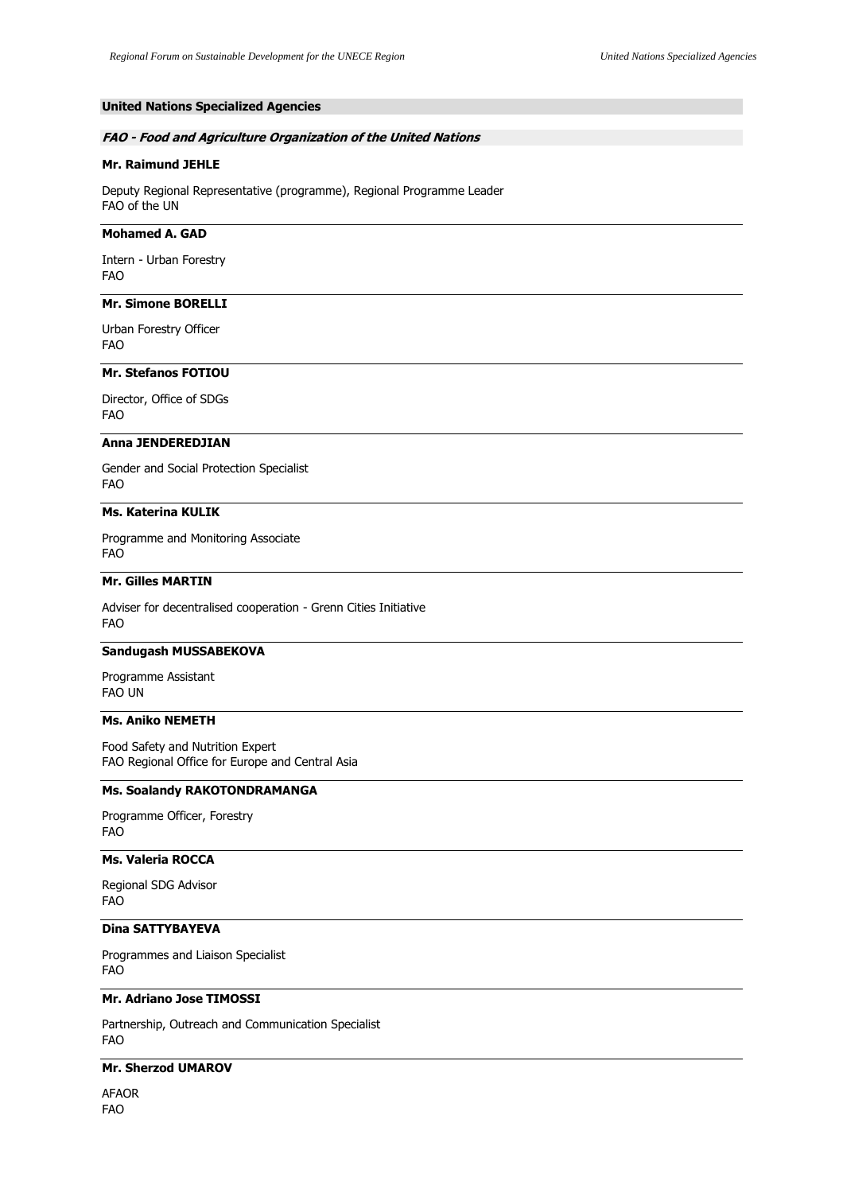# **United Nations Specialized Agencies**

### **FAO - Food and Agriculture Organization of the United Nations**

## **Mr. Raimund JEHLE**

Deputy Regional Representative (programme), Regional Programme Leader FAO of the UN

#### **Mohamed A. GAD**

Intern - Urban Forestry FAO

# **Mr. Simone BORELLI**

Urban Forestry Officer FAO

# **Mr. Stefanos FOTIOU**

Director, Office of SDGs FAO

# **Anna JENDEREDJIAN**

Gender and Social Protection Specialist FAO

## **Ms. Katerina KULIK**

Programme and Monitoring Associate FAO

# **Mr. Gilles MARTIN**

Adviser for decentralised cooperation - Grenn Cities Initiative FAO

## **Sandugash MUSSABEKOVA**

Programme Assistant FAO UN

# **Ms. Aniko NEMETH**

Food Safety and Nutrition Expert FAO Regional Office for Europe and Central Asia

## **Ms. Soalandy RAKOTONDRAMANGA**

Programme Officer, Forestry FAO

# **Ms. Valeria ROCCA**

Regional SDG Advisor FAO

# **Dina SATTYBAYEVA**

Programmes and Liaison Specialist FAO

# **Mr. Adriano Jose TIMOSSI**

Partnership, Outreach and Communication Specialist FAO

# **Mr. Sherzod UMAROV**

AFAOR FAO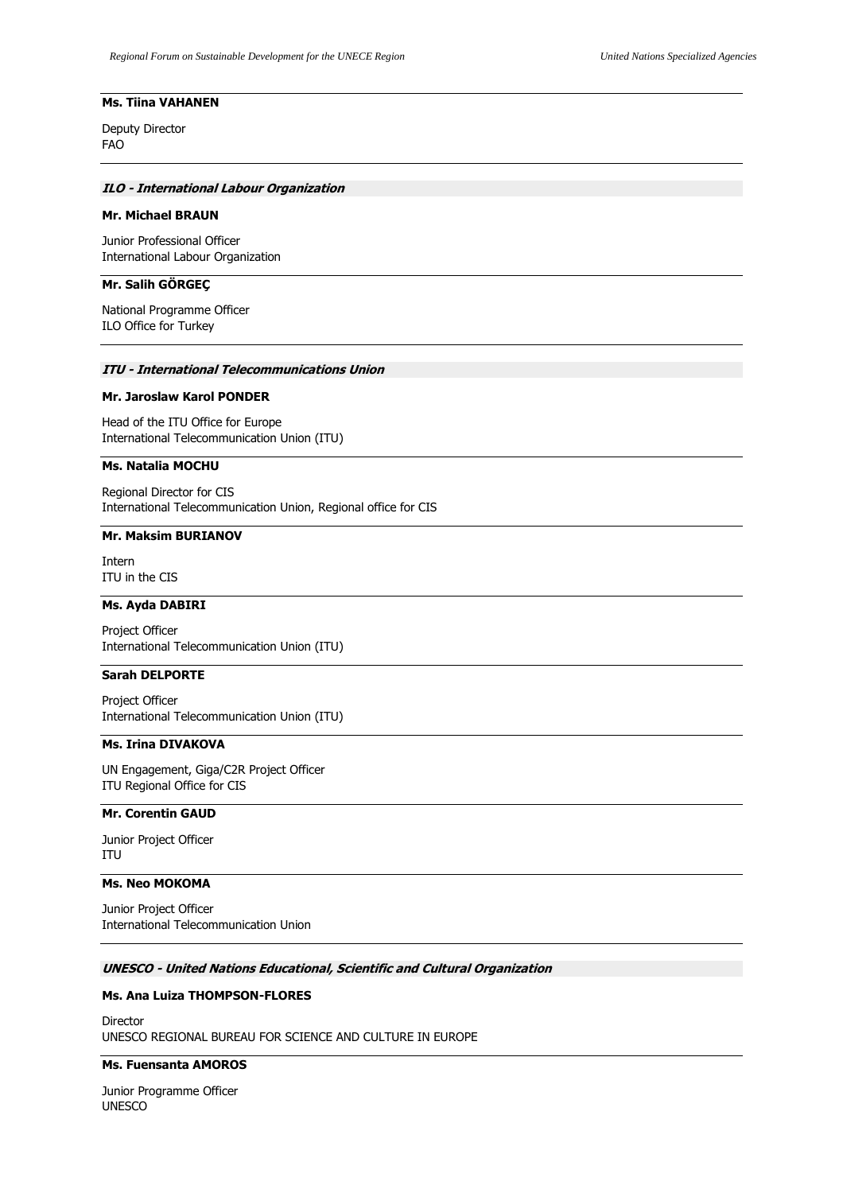## **Ms. Tiina VAHANEN**

Deputy Director FAO

## **ILO - International Labour Organization**

## **Mr. Michael BRAUN**

Junior Professional Officer International Labour Organization

#### **Mr. Salih GÖRGEÇ**

National Programme Officer ILO Office for Turkey

#### **ITU - International Telecommunications Union**

#### **Mr. Jaroslaw Karol PONDER**

Head of the ITU Office for Europe International Telecommunication Union (ITU)

## **Ms. Natalia MOCHU**

Regional Director for CIS International Telecommunication Union, Regional office for CIS

#### **Mr. Maksim BURIANOV**

Intern ITU in the CIS

# **Ms. Ayda DABIRI**

Project Officer International Telecommunication Union (ITU)

# **Sarah DELPORTE**

Project Officer International Telecommunication Union (ITU)

# **Ms. Irina DIVAKOVA**

UN Engagement, Giga/C2R Project Officer ITU Regional Office for CIS

# **Mr. Corentin GAUD**

Junior Project Officer ITU

# **Ms. Neo MOKOMA**

Junior Project Officer International Telecommunication Union

# **UNESCO - United Nations Educational, Scientific and Cultural Organization**

# **Ms. Ana Luiza THOMPSON-FLORES**

Director UNESCO REGIONAL BUREAU FOR SCIENCE AND CULTURE IN EUROPE

#### **Ms. Fuensanta AMOROS**

Junior Programme Officer UNESCO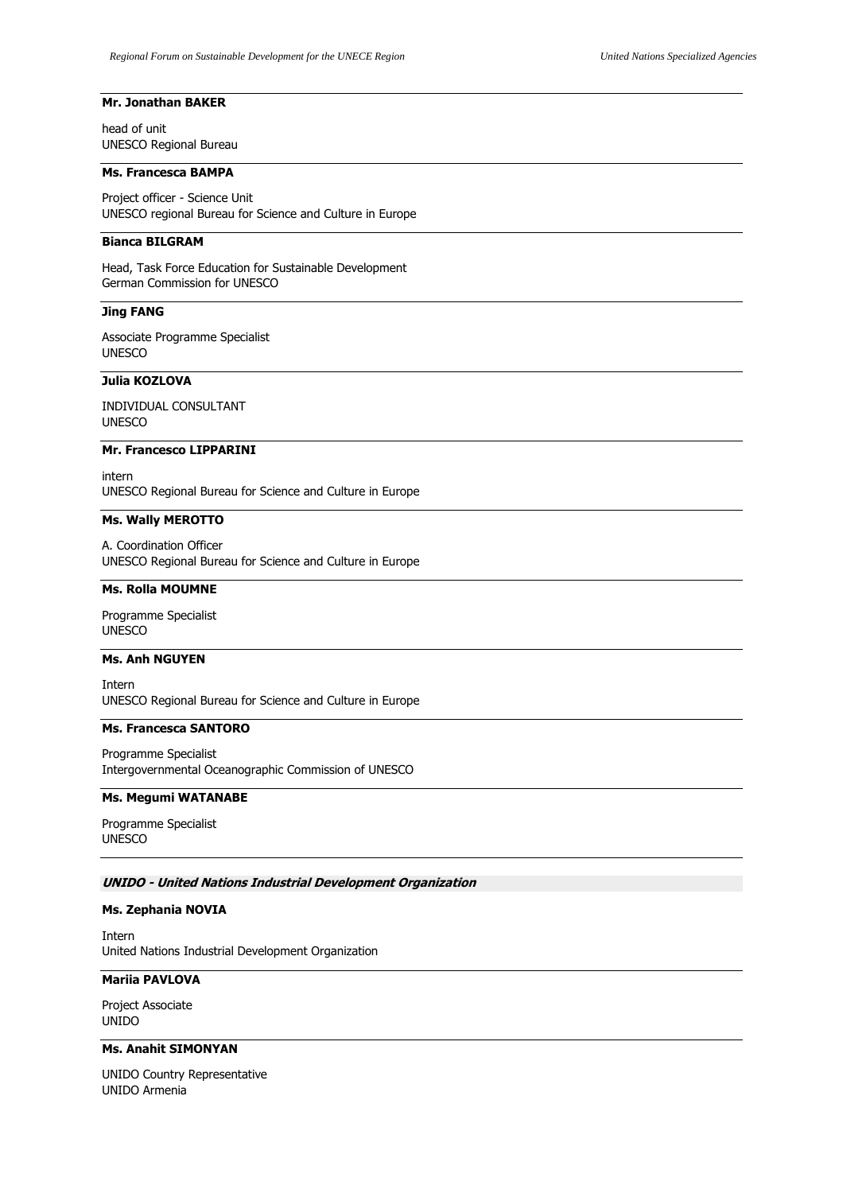# **Mr. Jonathan BAKER**

head of unit UNESCO Regional Bureau

# **Ms. Francesca BAMPA**

Project officer - Science Unit UNESCO regional Bureau for Science and Culture in Europe

#### **Bianca BILGRAM**

Head, Task Force Education for Sustainable Development German Commission for UNESCO

## **Jing FANG**

Associate Programme Specialist UNESCO

# **Julia KOZLOVA**

INDIVIDUAL CONSULTANT UNESCO

## **Mr. Francesco LIPPARINI**

intern UNESCO Regional Bureau for Science and Culture in Europe

# **Ms. Wally MEROTTO**

A. Coordination Officer UNESCO Regional Bureau for Science and Culture in Europe

## **Ms. Rolla MOUMNE**

Programme Specialist UNESCO

# **Ms. Anh NGUYEN**

Intern UNESCO Regional Bureau for Science and Culture in Europe

### **Ms. Francesca SANTORO**

Programme Specialist Intergovernmental Oceanographic Commission of UNESCO

# **Ms. Megumi WATANABE**

Programme Specialist UNESCO

#### **UNIDO - United Nations Industrial Development Organization**

#### **Ms. Zephania NOVIA**

Intern United Nations Industrial Development Organization

# **Mariia PAVLOVA**

Project Associate UNIDO

# **Ms. Anahit SIMONYAN**

UNIDO Country Representative UNIDO Armenia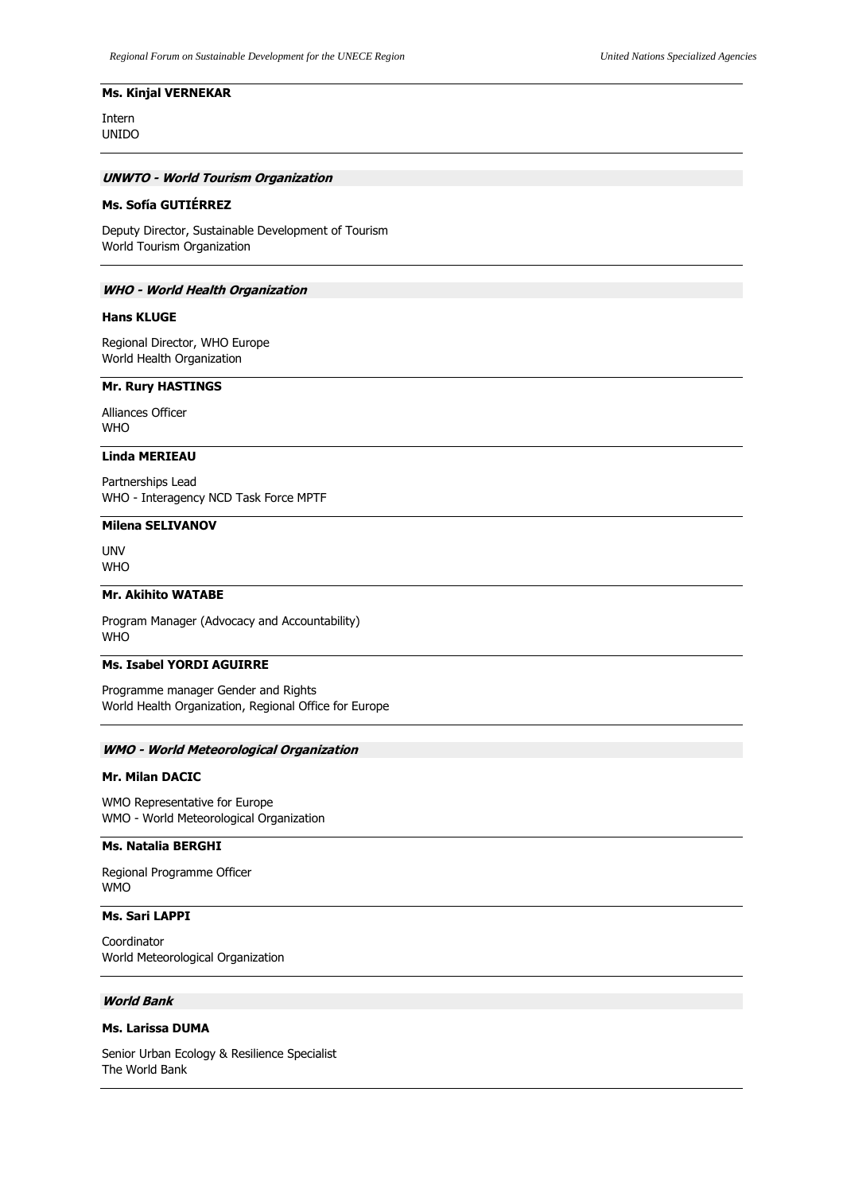## **Ms. Kinjal VERNEKAR**

Intern UNIDO

## **UNWTO - World Tourism Organization**

## **Ms. Sofía GUTIÉRREZ**

Deputy Director, Sustainable Development of Tourism World Tourism Organization

### **WHO - World Health Organization**

## **Hans KLUGE**

Regional Director, WHO Europe World Health Organization

## **Mr. Rury HASTINGS**

Alliances Officer WHO

# **Linda MERIEAU**

Partnerships Lead WHO - Interagency NCD Task Force MPTF

## **Milena SELIVANOV**

UNV WHO

### **Mr. Akihito WATABE**

Program Manager (Advocacy and Accountability) WHO

## **Ms. Isabel YORDI AGUIRRE**

Programme manager Gender and Rights World Health Organization, Regional Office for Europe

### **WMO - World Meteorological Organization**

# **Mr. Milan DACIC**

WMO Representative for Europe WMO - World Meteorological Organization

### **Ms. Natalia BERGHI**

Regional Programme Officer WMO

# **Ms. Sari LAPPI**

Coordinator World Meteorological Organization

# **World Bank**

### **Ms. Larissa DUMA**

Senior Urban Ecology & Resilience Specialist The World Bank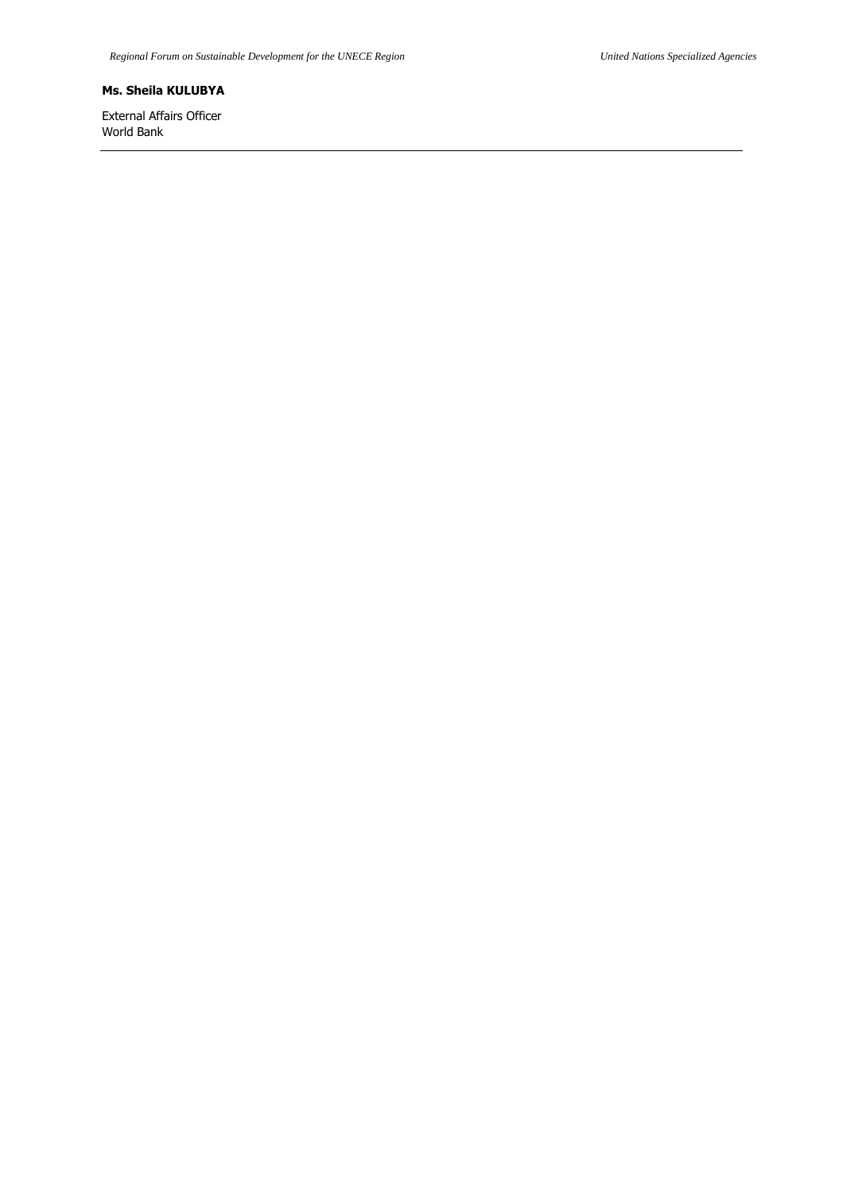# **Ms. Sheila KULUBYA**

External Affairs Officer World Bank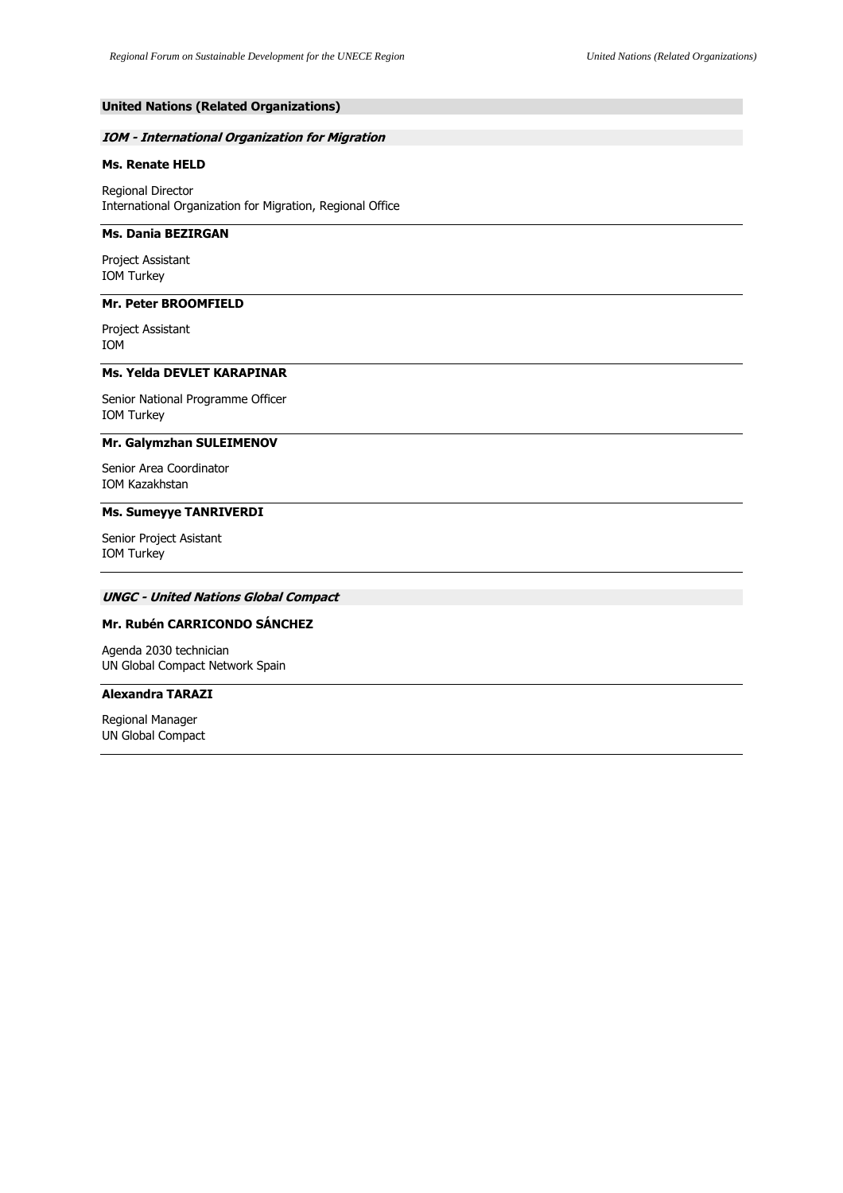## **United Nations (Related Organizations)**

## **IOM - International Organization for Migration**

# **Ms. Renate HELD**

Regional Director International Organization for Migration, Regional Office

## **Ms. Dania BEZIRGAN**

Project Assistant IOM Turkey

# **Mr. Peter BROOMFIELD**

Project Assistant IOM

## **Ms. Yelda DEVLET KARAPINAR**

Senior National Programme Officer IOM Turkey

# **Mr. Galymzhan SULEIMENOV**

Senior Area Coordinator IOM Kazakhstan

## **Ms. Sumeyye TANRIVERDI**

Senior Project Asistant IOM Turkey

# **UNGC - United Nations Global Compact**

## **Mr. Rubén CARRICONDO SÁNCHEZ**

Agenda 2030 technician UN Global Compact Network Spain

# **Alexandra TARAZI**

Regional Manager UN Global Compact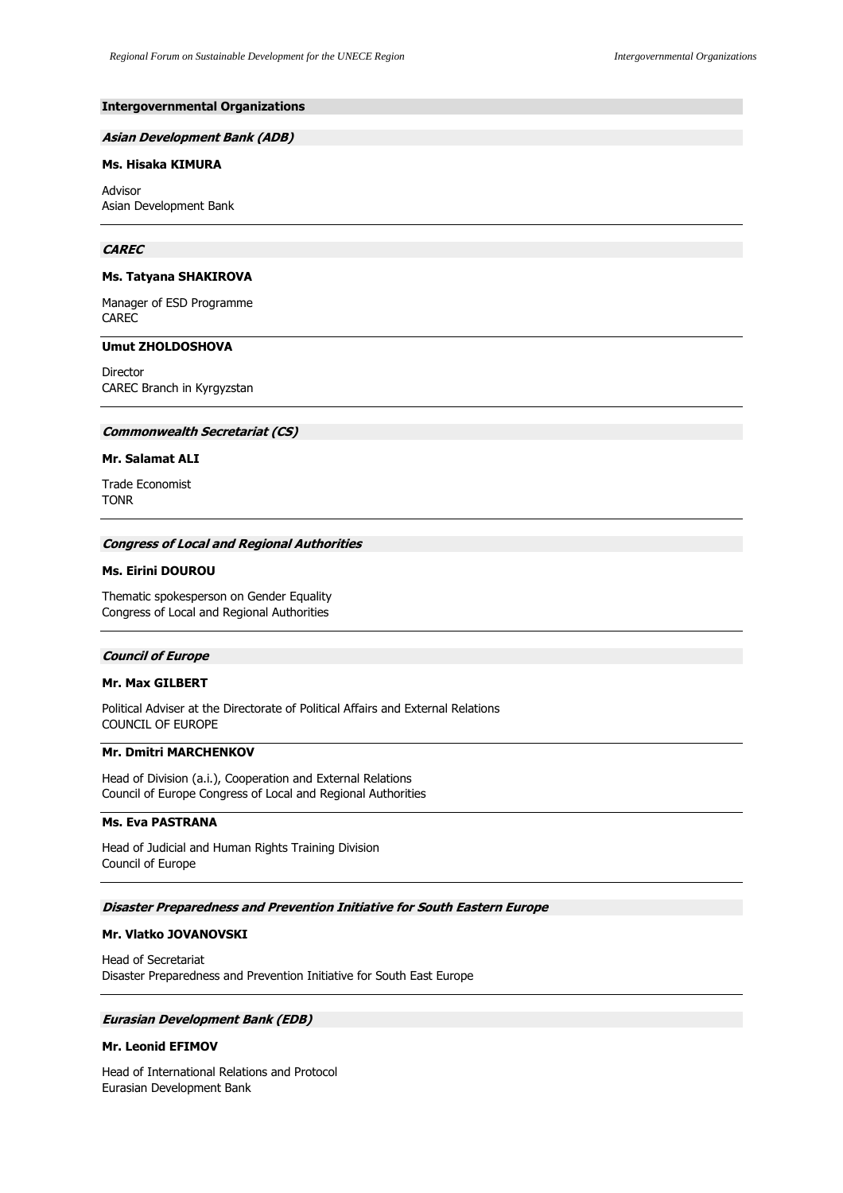## **Intergovernmental Organizations**

#### **Asian Development Bank (ADB)**

## **Ms. Hisaka KIMURA**

Advisor Asian Development Bank

#### **CAREC**

#### **Ms. Tatyana SHAKIROVA**

Manager of ESD Programme CAREC

## **Umut ZHOLDOSHOVA**

Director CAREC Branch in Kyrgyzstan

## **Commonwealth Secretariat (CS)**

## **Mr. Salamat ALI**

Trade Economist TONR

#### **Congress of Local and Regional Authorities**

## **Ms. Eirini DOUROU**

Thematic spokesperson on Gender Equality Congress of Local and Regional Authorities

## **Council of Europe**

### **Mr. Max GILBERT**

Political Adviser at the Directorate of Political Affairs and External Relations COUNCIL OF EUROPE

# **Mr. Dmitri MARCHENKOV**

Head of Division (a.i.), Cooperation and External Relations Council of Europe Congress of Local and Regional Authorities

### **Ms. Eva PASTRANA**

Head of Judicial and Human Rights Training Division Council of Europe

## **Disaster Preparedness and Prevention Initiative for South Eastern Europe**

#### **Mr. Vlatko JOVANOVSKI**

Head of Secretariat Disaster Preparedness and Prevention Initiative for South East Europe

## **Eurasian Development Bank (EDB)**

## **Mr. Leonid EFIMOV**

Head of International Relations and Protocol Eurasian Development Bank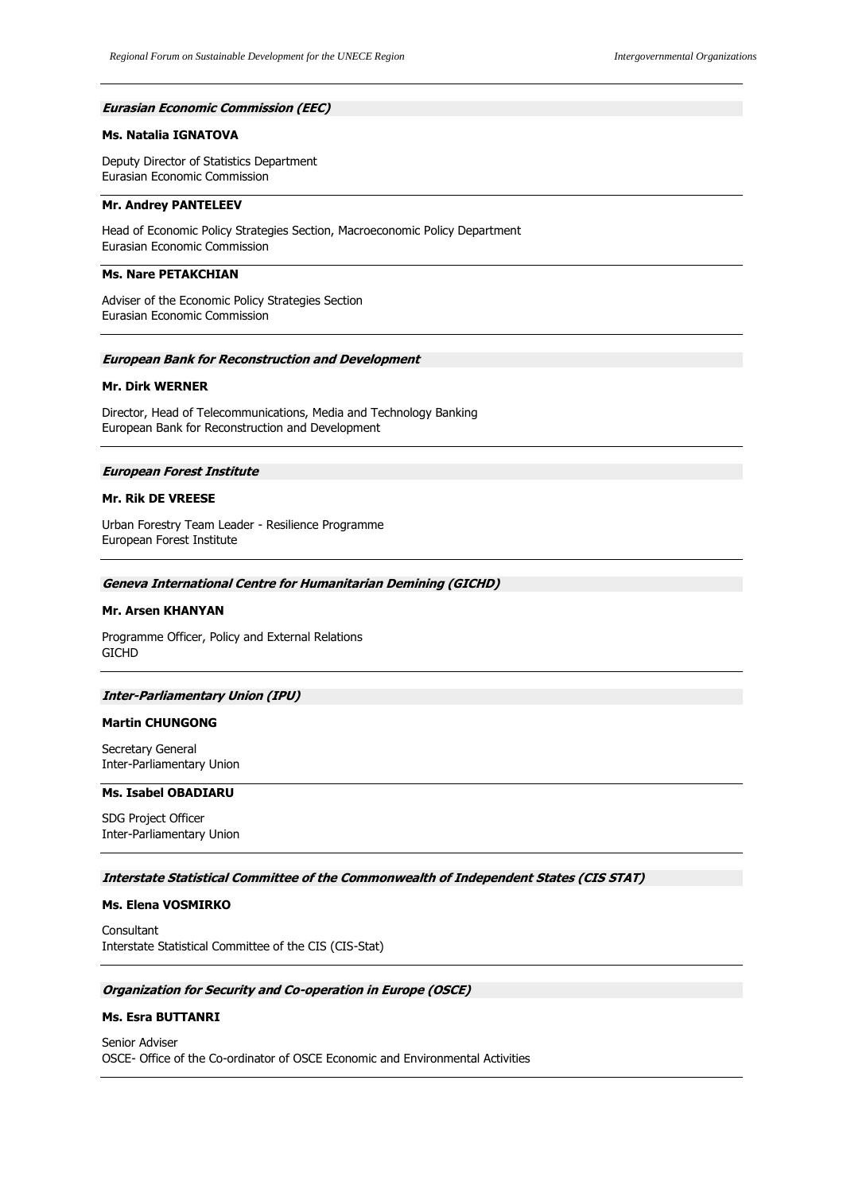### **Eurasian Economic Commission (EEC)**

## **Ms. Natalia IGNATOVA**

Deputy Director of Statistics Department Eurasian Economic Commission

## **Mr. Andrey PANTELEEV**

Head of Economic Policy Strategies Section, Macroeconomic Policy Department Eurasian Economic Commission

## **Ms. Nare PETAKCHIAN**

Adviser of the Economic Policy Strategies Section Eurasian Economic Commission

# **European Bank for Reconstruction and Development**

## **Mr. Dirk WERNER**

Director, Head of Telecommunications, Media and Technology Banking European Bank for Reconstruction and Development

#### **European Forest Institute**

#### **Mr. Rik DE VREESE**

Urban Forestry Team Leader - Resilience Programme European Forest Institute

#### **Geneva International Centre for Humanitarian Demining (GICHD)**

#### **Mr. Arsen KHANYAN**

Programme Officer, Policy and External Relations **GICHD** 

#### **Inter-Parliamentary Union (IPU)**

#### **Martin CHUNGONG**

Secretary General Inter-Parliamentary Union

# **Ms. Isabel OBADIARU**

SDG Project Officer Inter-Parliamentary Union

#### **Interstate Statistical Committee of the Commonwealth of Independent States (CIS STAT)**

#### **Ms. Elena VOSMIRKO**

Consultant Interstate Statistical Committee of the CIS (CIS-Stat)

#### **Organization for Security and Co-operation in Europe (OSCE)**

#### **Ms. Esra BUTTANRI**

Senior Adviser OSCE- Office of the Co-ordinator of OSCE Economic and Environmental Activities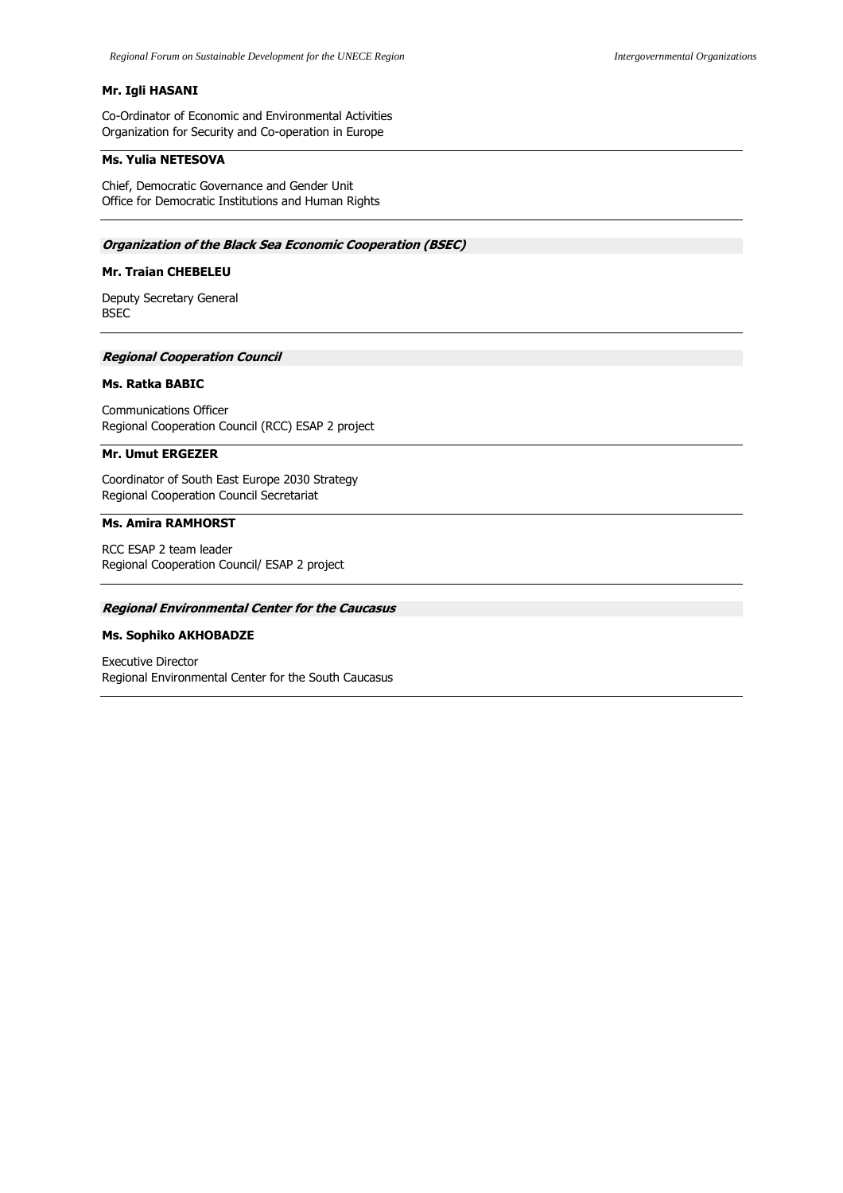# **Mr. Igli HASANI**

Co-Ordinator of Economic and Environmental Activities Organization for Security and Co-operation in Europe

# **Ms. Yulia NETESOVA**

Chief, Democratic Governance and Gender Unit Office for Democratic Institutions and Human Rights

## **Organization of the Black Sea Economic Cooperation (BSEC)**

# **Mr. Traian CHEBELEU**

Deputy Secretary General BSEC

#### **Regional Cooperation Council**

## **Ms. Ratka BABIC**

Communications Officer Regional Cooperation Council (RCC) ESAP 2 project

### **Mr. Umut ERGEZER**

Coordinator of South East Europe 2030 Strategy Regional Cooperation Council Secretariat

# **Ms. Amira RAMHORST**

RCC ESAP 2 team leader Regional Cooperation Council/ ESAP 2 project

#### **Regional Environmental Center for the Caucasus**

#### **Ms. Sophiko AKHOBADZE**

Executive Director Regional Environmental Center for the South Caucasus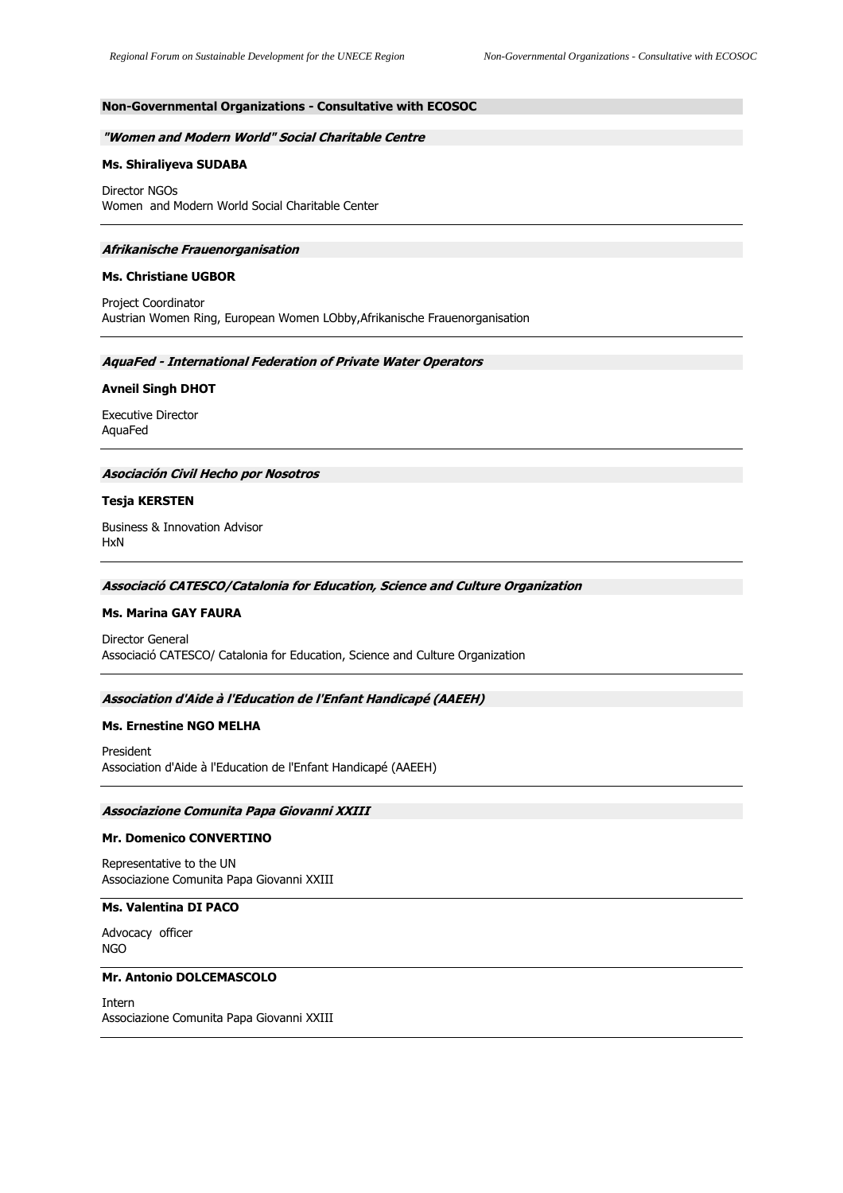# **Non-Governmental Organizations - Consultative with ECOSOC**

#### **"Women and Modern World" Social Charitable Centre**

### **Ms. Shiraliyeva SUDABA**

Director NGOs Women and Modern World Social Charitable Center

#### **Afrikanische Frauenorganisation**

#### **Ms. Christiane UGBOR**

Project Coordinator Austrian Women Ring, European Women LObby,Afrikanische Frauenorganisation

### **AquaFed - International Federation of Private Water Operators**

#### **Avneil Singh DHOT**

Executive Director AquaFed

## **Asociación Civil Hecho por Nosotros**

#### **Tesja KERSTEN**

Business & Innovation Advisor HxN

# **Associació CATESCO/Catalonia for Education, Science and Culture Organization**

#### **Ms. Marina GAY FAURA**

Director General Associació CATESCO/ Catalonia for Education, Science and Culture Organization

#### **Association d'Aide à l'Education de l'Enfant Handicapé (AAEEH)**

## **Ms. Ernestine NGO MELHA**

President Association d'Aide à l'Education de l'Enfant Handicapé (AAEEH)

#### **Associazione Comunita Papa Giovanni XXIII**

#### **Mr. Domenico CONVERTINO**

Representative to the UN Associazione Comunita Papa Giovanni XXIII

# **Ms. Valentina DI PACO**

Advocacy officer NGO

## **Mr. Antonio DOLCEMASCOLO**

Intern Associazione Comunita Papa Giovanni XXIII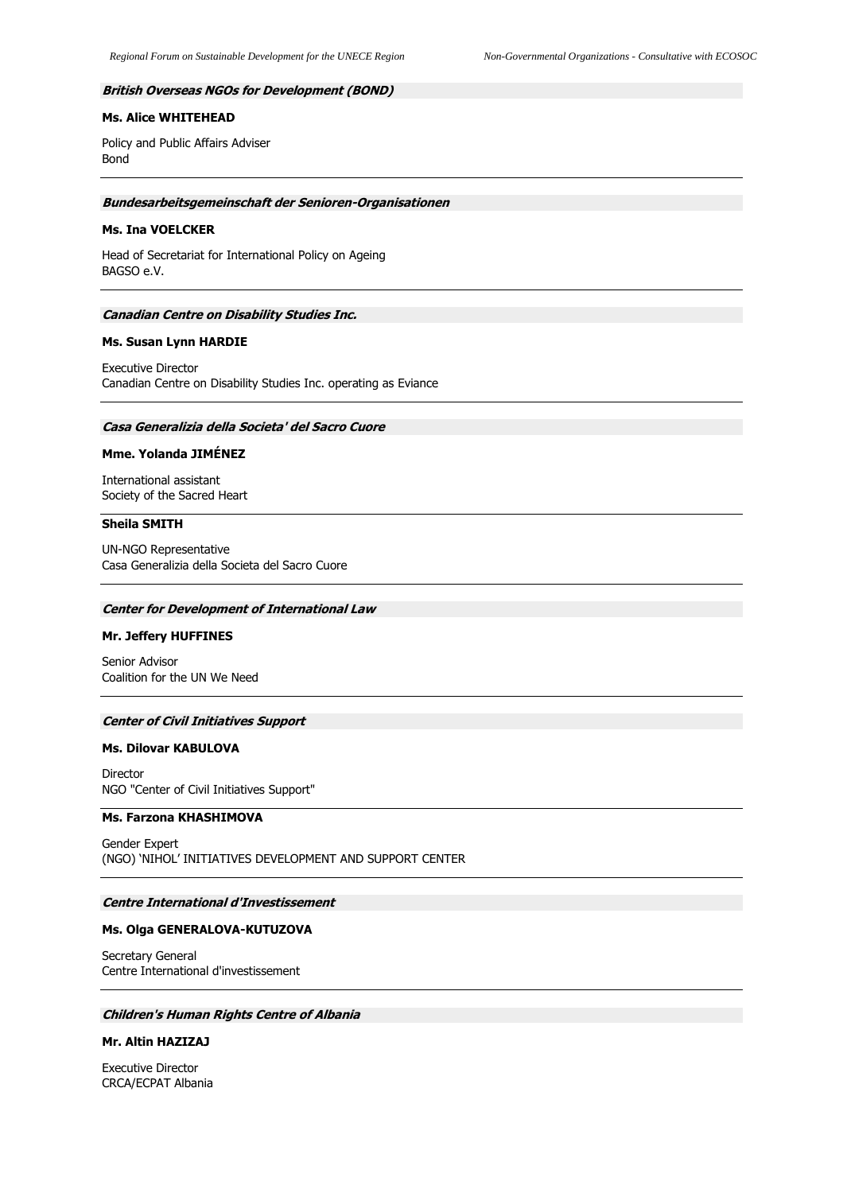### **British Overseas NGOs for Development (BOND)**

## **Ms. Alice WHITEHEAD**

Policy and Public Affairs Adviser Bond

#### **Bundesarbeitsgemeinschaft der Senioren-Organisationen**

#### **Ms. Ina VOELCKER**

Head of Secretariat for International Policy on Ageing BAGSO e.V.

#### **Canadian Centre on Disability Studies Inc.**

### **Ms. Susan Lynn HARDIE**

Executive Director Canadian Centre on Disability Studies Inc. operating as Eviance

# **Casa Generalizia della Societa' del Sacro Cuore**

## **Mme. Yolanda JIMÉNEZ**

International assistant Society of the Sacred Heart

#### **Sheila SMITH**

UN-NGO Representative Casa Generalizia della Societa del Sacro Cuore

#### **Center for Development of International Law**

#### **Mr. Jeffery HUFFINES**

Senior Advisor Coalition for the UN We Need

# **Center of Civil Initiatives Support**

# **Ms. Dilovar KABULOVA**

Director NGO "Center of Civil Initiatives Support"

# **Ms. Farzona KHASHIMOVA**

Gender Expert (NGO) 'NIHOL' INITIATIVES DEVELOPMENT AND SUPPORT CENTER

#### **Centre International d'Investissement**

### **Ms. Olga GENERALOVA-KUTUZOVA**

Secretary General Centre International d'investissement

# **Children's Human Rights Centre of Albania**

#### **Mr. Altin HAZIZAJ**

Executive Director CRCA/ECPAT Albania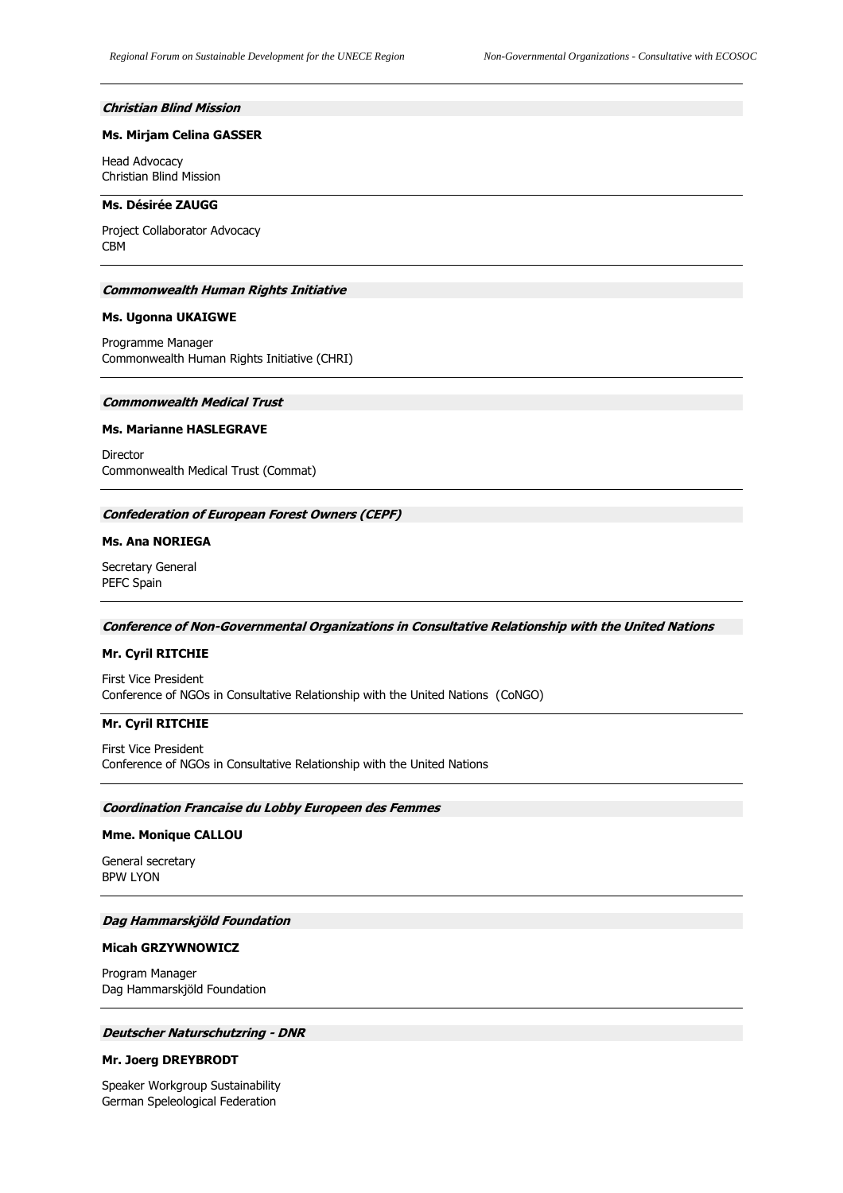## **Christian Blind Mission**

### **Ms. Mirjam Celina GASSER**

Head Advocacy Christian Blind Mission

# **Ms. Désirée ZAUGG**

Project Collaborator Advocacy CBM

#### **Commonwealth Human Rights Initiative**

#### **Ms. Ugonna UKAIGWE**

Programme Manager Commonwealth Human Rights Initiative (CHRI)

# **Commonwealth Medical Trust**

#### **Ms. Marianne HASLEGRAVE**

Director Commonwealth Medical Trust (Commat)

### **Confederation of European Forest Owners (CEPF)**

## **Ms. Ana NORIEGA**

Secretary General PEFC Spain

# **Conference of Non-Governmental Organizations in Consultative Relationship with the United Nations**

#### **Mr. Cyril RITCHIE**

First Vice President Conference of NGOs in Consultative Relationship with the United Nations (CoNGO)

## **Mr. Cyril RITCHIE**

First Vice President Conference of NGOs in Consultative Relationship with the United Nations

### **Coordination Francaise du Lobby Europeen des Femmes**

# **Mme. Monique CALLOU**

General secretary BPW LYON

# **Dag Hammarskjöld Foundation**

## **Micah GRZYWNOWICZ**

Program Manager Dag Hammarskjöld Foundation

### **Deutscher Naturschutzring - DNR**

#### **Mr. Joerg DREYBRODT**

Speaker Workgroup Sustainability German Speleological Federation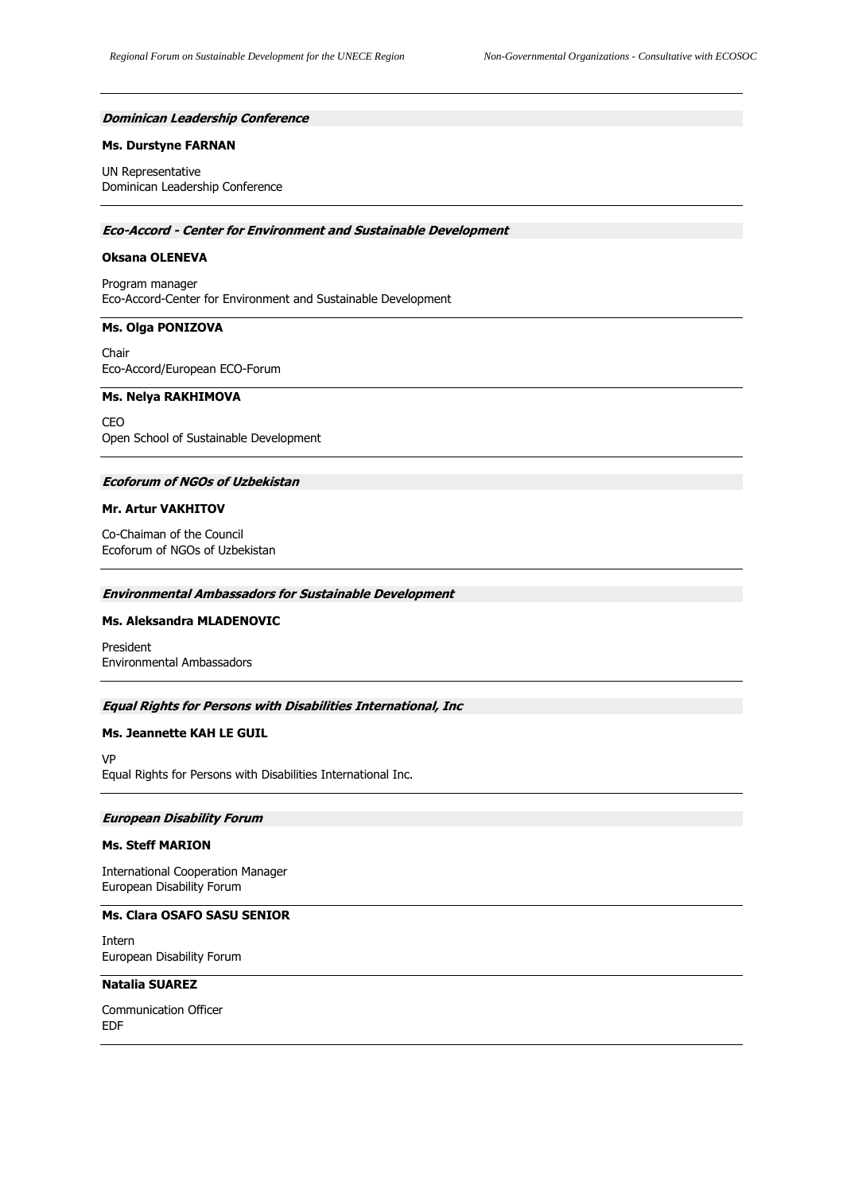#### **Dominican Leadership Conference**

#### **Ms. Durstyne FARNAN**

UN Representative Dominican Leadership Conference

#### **Eco-Accord - Center for Environment and Sustainable Development**

#### **Oksana OLENEVA**

Program manager Eco-Accord-Center for Environment and Sustainable Development

## **Ms. Olga PONIZOVA**

Chair Eco-Accord/European ECO-Forum

## **Ms. Nelya RAKHIMOVA**

CEO Open School of Sustainable Development

### **Ecoforum of NGOs of Uzbekistan**

#### **Mr. Artur VAKHITOV**

Co-Chaiman of the Council Ecoforum of NGOs of Uzbekistan

### **Environmental Ambassadors for Sustainable Development**

## **Ms. Aleksandra MLADENOVIC**

President Environmental Ambassadors

# **Equal Rights for Persons with Disabilities International, Inc**

### **Ms. Jeannette KAH LE GUIL**

VP Equal Rights for Persons with Disabilities International Inc.

#### **European Disability Forum**

## **Ms. Steff MARION**

International Cooperation Manager European Disability Forum

### **Ms. Clara OSAFO SASU SENIOR**

Intern European Disability Forum

# **Natalia SUAREZ**

Communication Officer EDF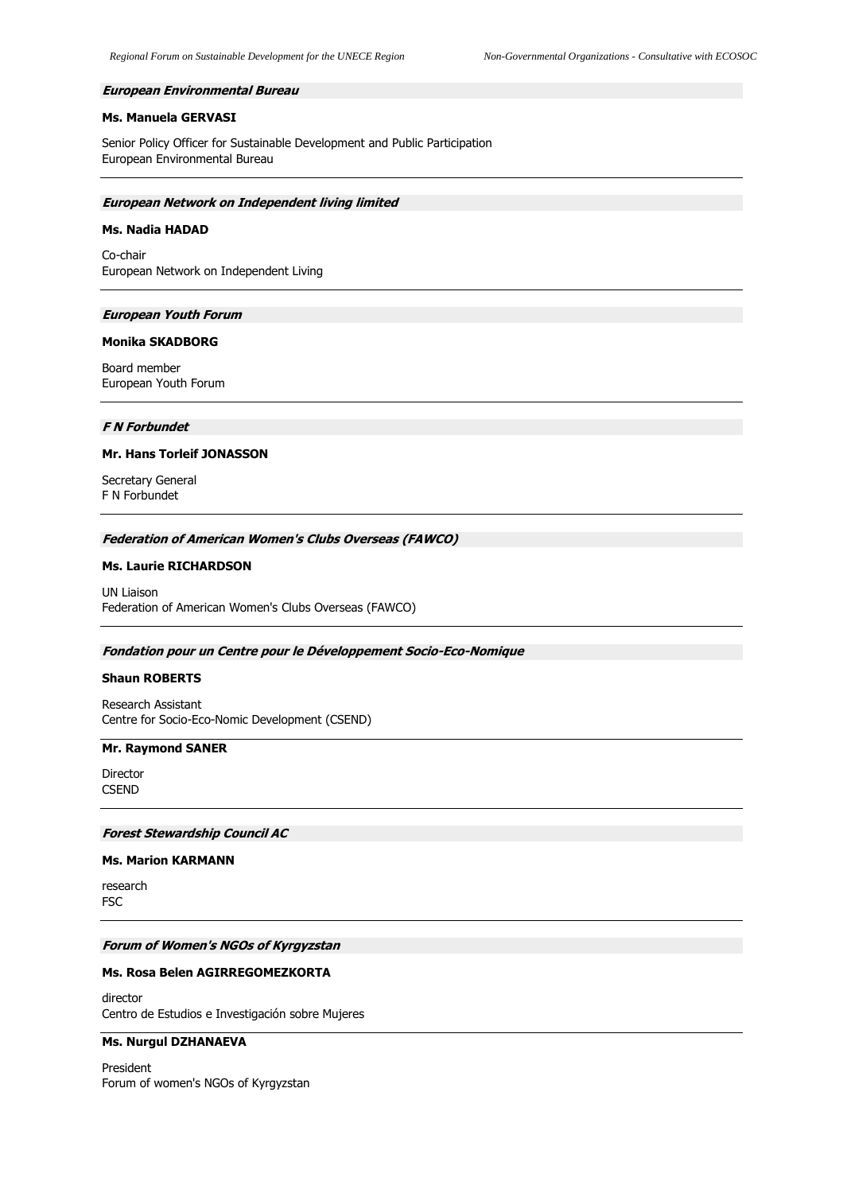#### **European Environmental Bureau**

#### **Ms. Manuela GERVASI**

Senior Policy Officer for Sustainable Development and Public Participation European Environmental Bureau

#### **European Network on Independent living limited**

#### **Ms. Nadia HADAD**

Co-chair European Network on Independent Living

### **European Youth Forum**

### **Monika SKADBORG**

Board member European Youth Forum

# **F N Forbundet**

### **Mr. Hans Torleif JONASSON**

Secretary General F N Forbundet

#### **Federation of American Women's Clubs Overseas (FAWCO)**

#### **Ms. Laurie RICHARDSON**

UN Liaison Federation of American Women's Clubs Overseas (FAWCO)

#### **Fondation pour un Centre pour le Développement Socio-Eco-Nomique**

### **Shaun ROBERTS**

Research Assistant Centre for Socio-Eco-Nomic Development (CSEND)

#### **Mr. Raymond SANER**

Director **CSEND** 

### **Forest Stewardship Council AC**

### **Ms. Marion KARMANN**

research FSC

#### **Forum of Women's NGOs of Kyrgyzstan**

# **Ms. Rosa Belen AGIRREGOMEZKORTA**

director Centro de Estudios e Investigación sobre Mujeres

## **Ms. Nurgul DZHANAEVA**

President Forum of women's NGOs of Kyrgyzstan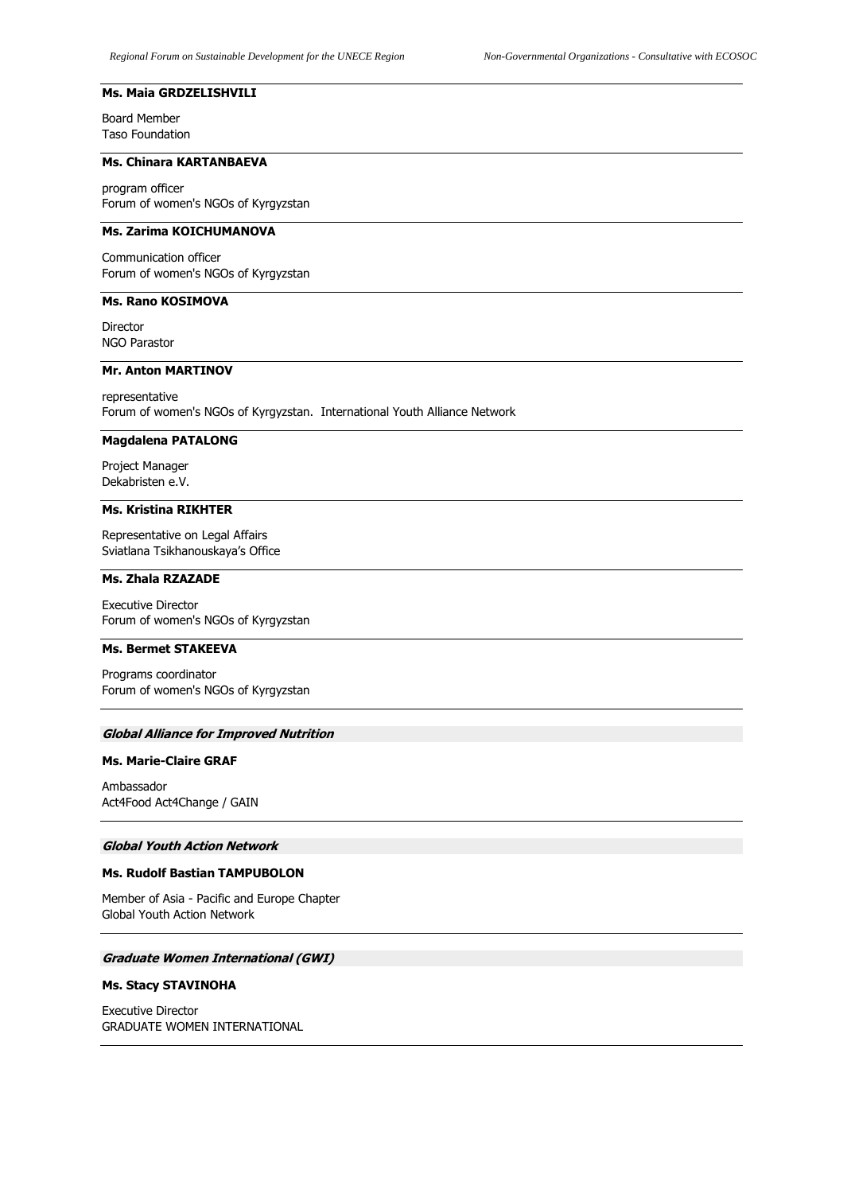# **Ms. Maia GRDZELISHVILI**

Board Member Taso Foundation

## **Ms. Chinara KARTANBAEVA**

program officer Forum of women's NGOs of Kyrgyzstan

## **Ms. Zarima KOICHUMANOVA**

Communication officer Forum of women's NGOs of Kyrgyzstan

## **Ms. Rano KOSIMOVA**

Director NGO Parastor

## **Mr. Anton MARTINOV**

representative Forum of women's NGOs of Kyrgyzstan. International Youth Alliance Network

## **Magdalena PATALONG**

Project Manager Dekabristen e.V.

## **Ms. Kristina RIKHTER**

Representative on Legal Affairs Sviatlana Tsikhanouskaya's Office

## **Ms. Zhala RZAZADE**

Executive Director Forum of women's NGOs of Kyrgyzstan

## **Ms. Bermet STAKEEVA**

Programs coordinator Forum of women's NGOs of Kyrgyzstan

### **Global Alliance for Improved Nutrition**

## **Ms. Marie-Claire GRAF**

Ambassador Act4Food Act4Change / GAIN

## **Global Youth Action Network**

## **Ms. Rudolf Bastian TAMPUBOLON**

Member of Asia - Pacific and Europe Chapter Global Youth Action Network

#### **Graduate Women International (GWI)**

## **Ms. Stacy STAVINOHA**

Executive Director GRADUATE WOMEN INTERNATIONAL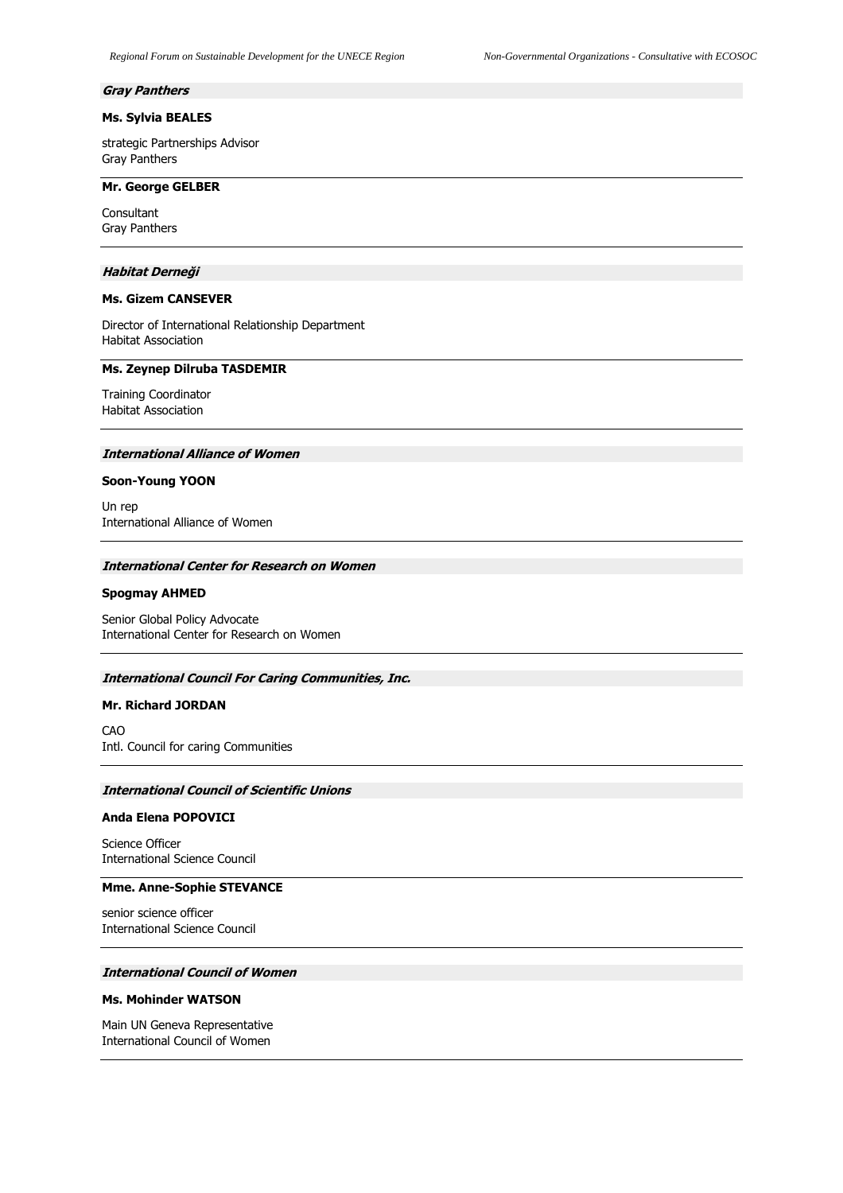#### **Gray Panthers**

## **Ms. Sylvia BEALES**

strategic Partnerships Advisor Gray Panthers

## **Mr. George GELBER**

Consultant Gray Panthers

## **Habitat Derneği**

## **Ms. Gizem CANSEVER**

Director of International Relationship Department Habitat Association

### **Ms. Zeynep Dilruba TASDEMIR**

Training Coordinator Habitat Association

### **International Alliance of Women**

#### **Soon-Young YOON**

Un rep International Alliance of Women

#### **International Center for Research on Women**

#### **Spogmay AHMED**

Senior Global Policy Advocate International Center for Research on Women

#### **International Council For Caring Communities, Inc.**

## **Mr. Richard JORDAN**

CAO Intl. Council for caring Communities

#### **International Council of Scientific Unions**

## **Anda Elena POPOVICI**

Science Officer International Science Council

#### **Mme. Anne-Sophie STEVANCE**

senior science officer International Science Council

# **International Council of Women**

### **Ms. Mohinder WATSON**

Main UN Geneva Representative International Council of Women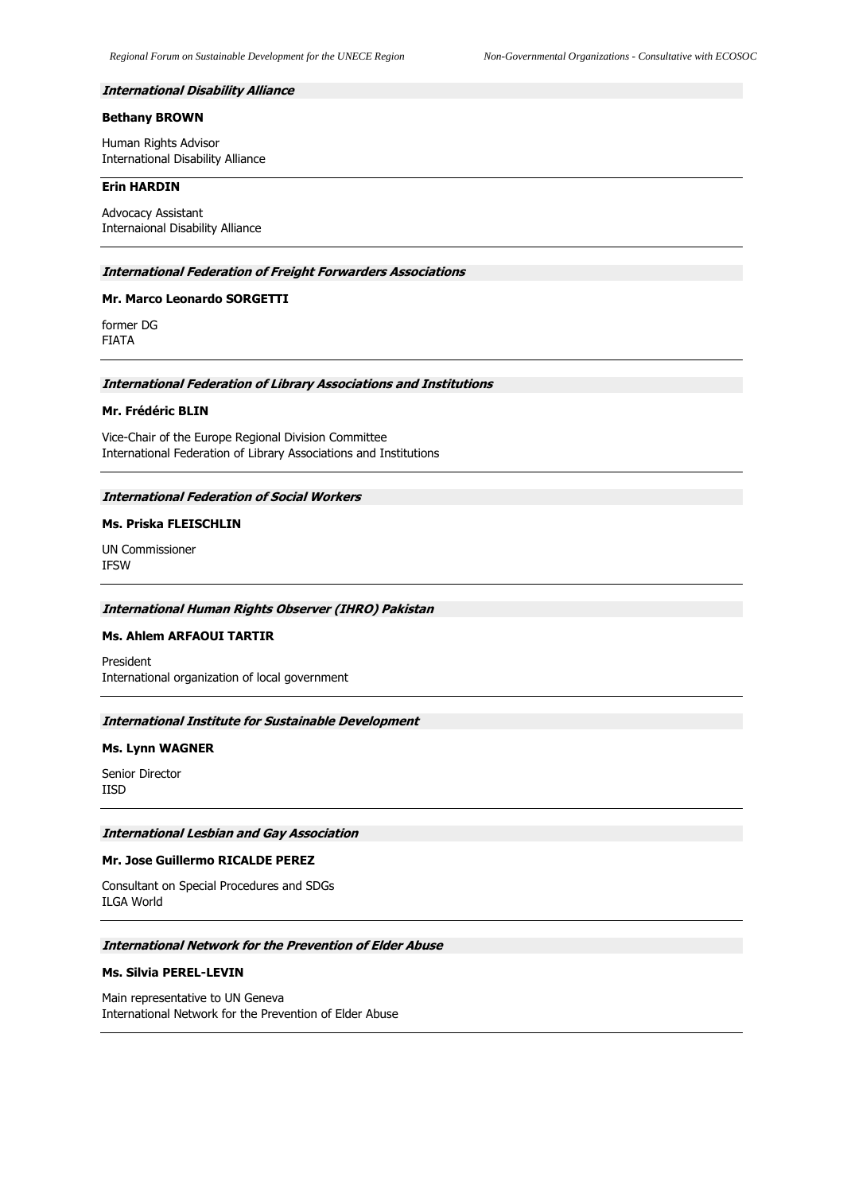#### **International Disability Alliance**

# **Bethany BROWN**

Human Rights Advisor International Disability Alliance

#### **Erin HARDIN**

Advocacy Assistant Internaional Disability Alliance

## **International Federation of Freight Forwarders Associations**

## **Mr. Marco Leonardo SORGETTI**

former DG FIATA

#### **International Federation of Library Associations and Institutions**

### **Mr. Frédéric BLIN**

Vice-Chair of the Europe Regional Division Committee International Federation of Library Associations and Institutions

## **International Federation of Social Workers**

## **Ms. Priska FLEISCHLIN**

UN Commissioner IFSW

#### **International Human Rights Observer (IHRO) Pakistan**

#### **Ms. Ahlem ARFAOUI TARTIR**

President International organization of local government

## **International Institute for Sustainable Development**

#### **Ms. Lynn WAGNER**

Senior Director IISD

#### **International Lesbian and Gay Association**

### **Mr. Jose Guillermo RICALDE PEREZ**

Consultant on Special Procedures and SDGs ILGA World

#### **International Network for the Prevention of Elder Abuse**

#### **Ms. Silvia PEREL-LEVIN**

Main representative to UN Geneva International Network for the Prevention of Elder Abuse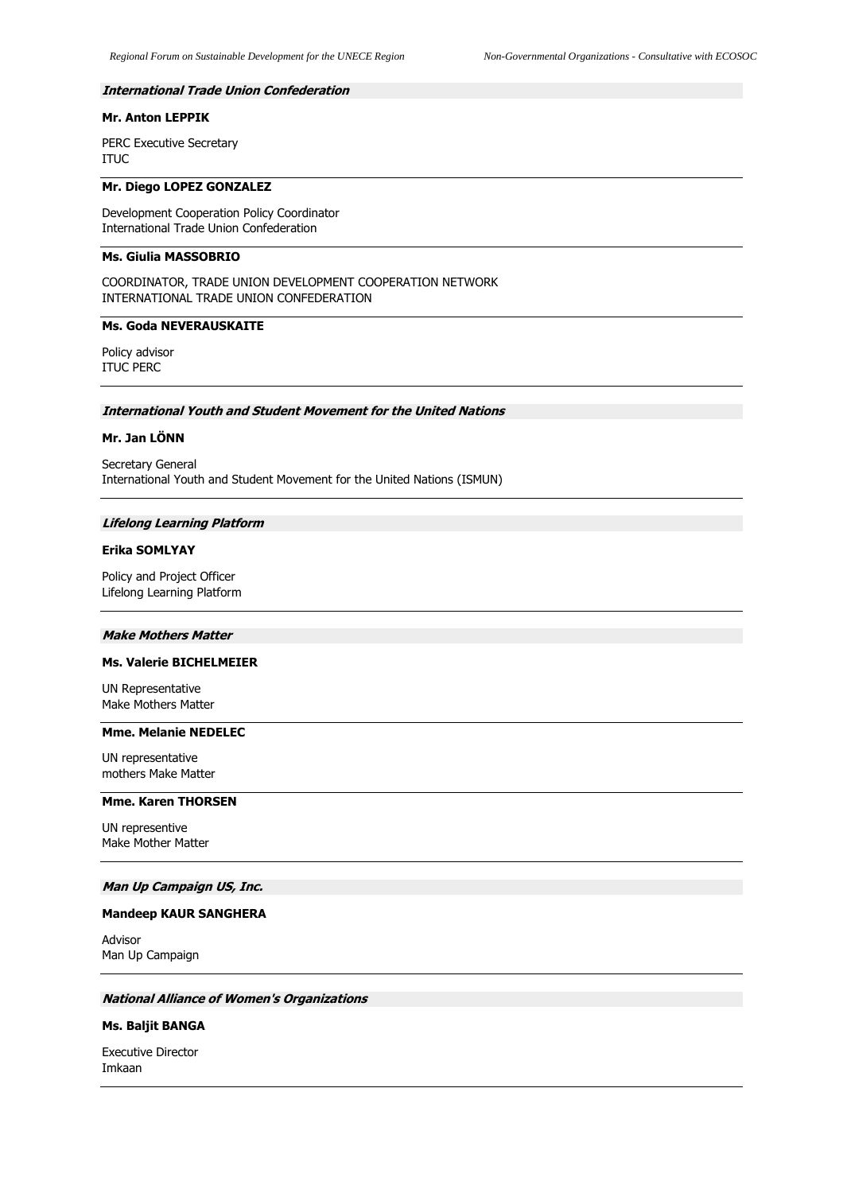## **International Trade Union Confederation**

# **Mr. Anton LEPPIK**

PERC Executive Secretary ITUC

## **Mr. Diego LOPEZ GONZALEZ**

Development Cooperation Policy Coordinator International Trade Union Confederation

## **Ms. Giulia MASSOBRIO**

COORDINATOR, TRADE UNION DEVELOPMENT COOPERATION NETWORK INTERNATIONAL TRADE UNION CONFEDERATION

## **Ms. Goda NEVERAUSKAITE**

Policy advisor ITUC PERC

# **International Youth and Student Movement for the United Nations**

#### **Mr. Jan LÖNN**

Secretary General International Youth and Student Movement for the United Nations (ISMUN)

#### **Lifelong Learning Platform**

# **Erika SOMLYAY**

Policy and Project Officer Lifelong Learning Platform

#### **Make Mothers Matter**

## **Ms. Valerie BICHELMEIER**

UN Representative Make Mothers Matter

#### **Mme. Melanie NEDELEC**

UN representative mothers Make Matter

# **Mme. Karen THORSEN**

UN representive Make Mother Matter

#### **Man Up Campaign US, Inc.**

#### **Mandeep KAUR SANGHERA**

Advisor Man Up Campaign

### **National Alliance of Women's Organizations**

#### **Ms. Baljit BANGA**

Executive Director Imkaan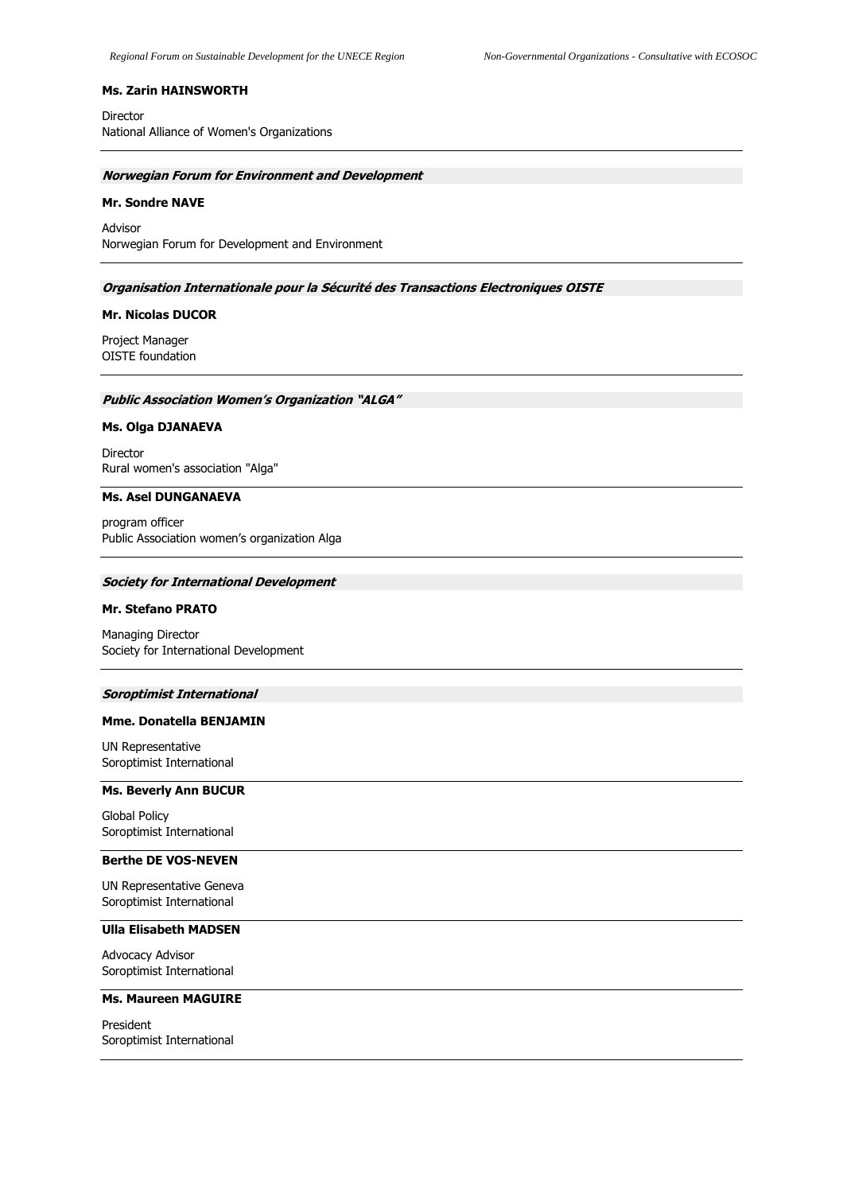### **Ms. Zarin HAINSWORTH**

Director National Alliance of Women's Organizations

### **Norwegian Forum for Environment and Development**

#### **Mr. Sondre NAVE**

Advisor Norwegian Forum for Development and Environment

## **Organisation Internationale pour la Sécurité des Transactions Electroniques OISTE**

#### **Mr. Nicolas DUCOR**

Project Manager OISTE foundation

#### **Public Association Women's Organization "ALGA"**

### **Ms. Olga DJANAEVA**

Director Rural women's association "Alga"

## **Ms. Asel DUNGANAEVA**

program officer Public Association women's organization Alga

## **Society for International Development**

#### **Mr. Stefano PRATO**

Managing Director Society for International Development

#### **Soroptimist International**

### **Mme. Donatella BENJAMIN**

UN Representative Soroptimist International

# **Ms. Beverly Ann BUCUR**

Global Policy Soroptimist International

## **Berthe DE VOS-NEVEN**

UN Representative Geneva Soroptimist International

# **Ulla Elisabeth MADSEN**

Advocacy Advisor Soroptimist International

# **Ms. Maureen MAGUIRE**

President Soroptimist International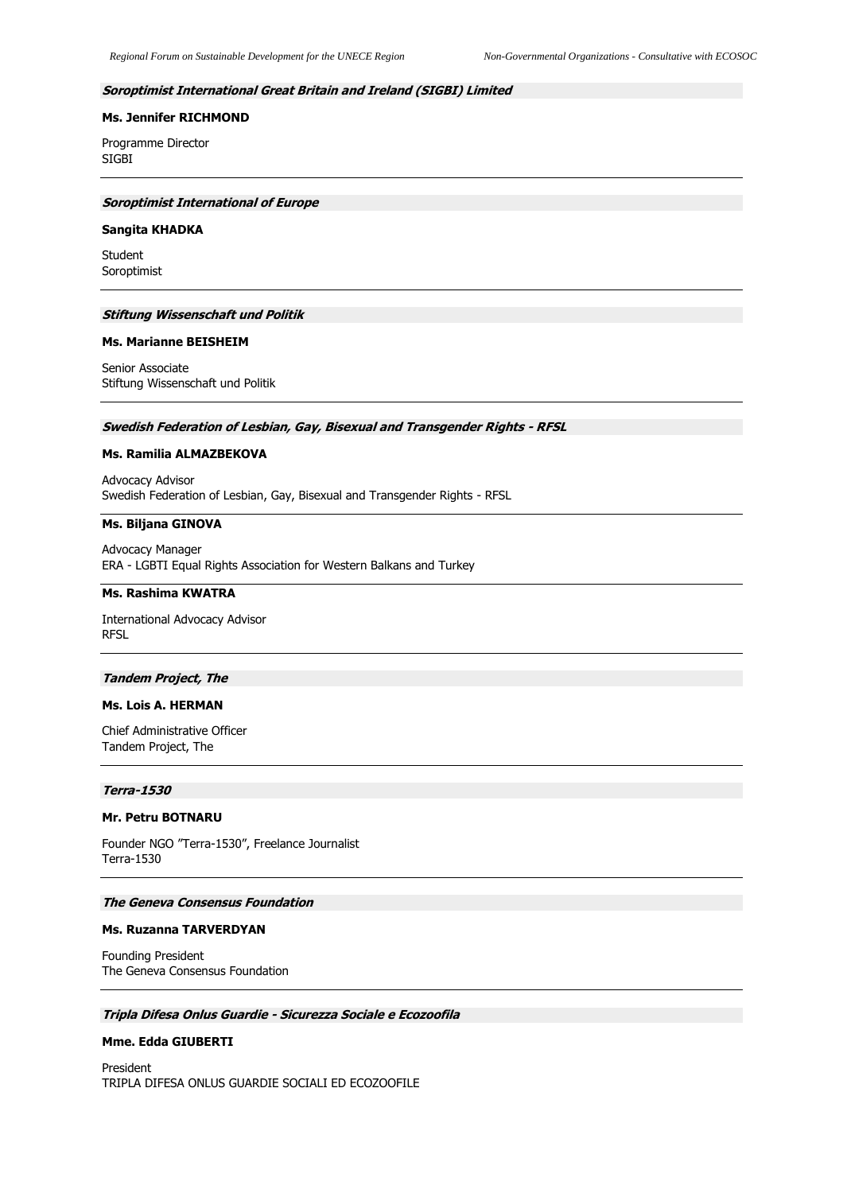## **Soroptimist International Great Britain and Ireland (SIGBI) Limited**

## **Ms. Jennifer RICHMOND**

Programme Director SIGBI

## **Soroptimist International of Europe**

#### **Sangita KHADKA**

Student Soroptimist

#### **Stiftung Wissenschaft und Politik**

#### **Ms. Marianne BEISHEIM**

Senior Associate Stiftung Wissenschaft und Politik

## **Swedish Federation of Lesbian, Gay, Bisexual and Transgender Rights - RFSL**

### **Ms. Ramilia ALMAZBEKOVA**

Advocacy Advisor Swedish Federation of Lesbian, Gay, Bisexual and Transgender Rights - RFSL

# **Ms. Biljana GINOVA**

Advocacy Manager ERA - LGBTI Equal Rights Association for Western Balkans and Turkey

#### **Ms. Rashima KWATRA**

International Advocacy Advisor RFSL

#### **Tandem Project, The**

## **Ms. Lois A. HERMAN**

Chief Administrative Officer Tandem Project, The

#### **Terra-1530**

## **Mr. Petru BOTNARU**

Founder NGO "Terra-1530", Freelance Journalist Terra-1530

#### **The Geneva Consensus Foundation**

#### **Ms. Ruzanna TARVERDYAN**

Founding President The Geneva Consensus Foundation

# **Tripla Difesa Onlus Guardie - Sicurezza Sociale e Ecozoofila**

#### **Mme. Edda GIUBERTI**

President TRIPLA DIFESA ONLUS GUARDIE SOCIALI ED ECOZOOFILE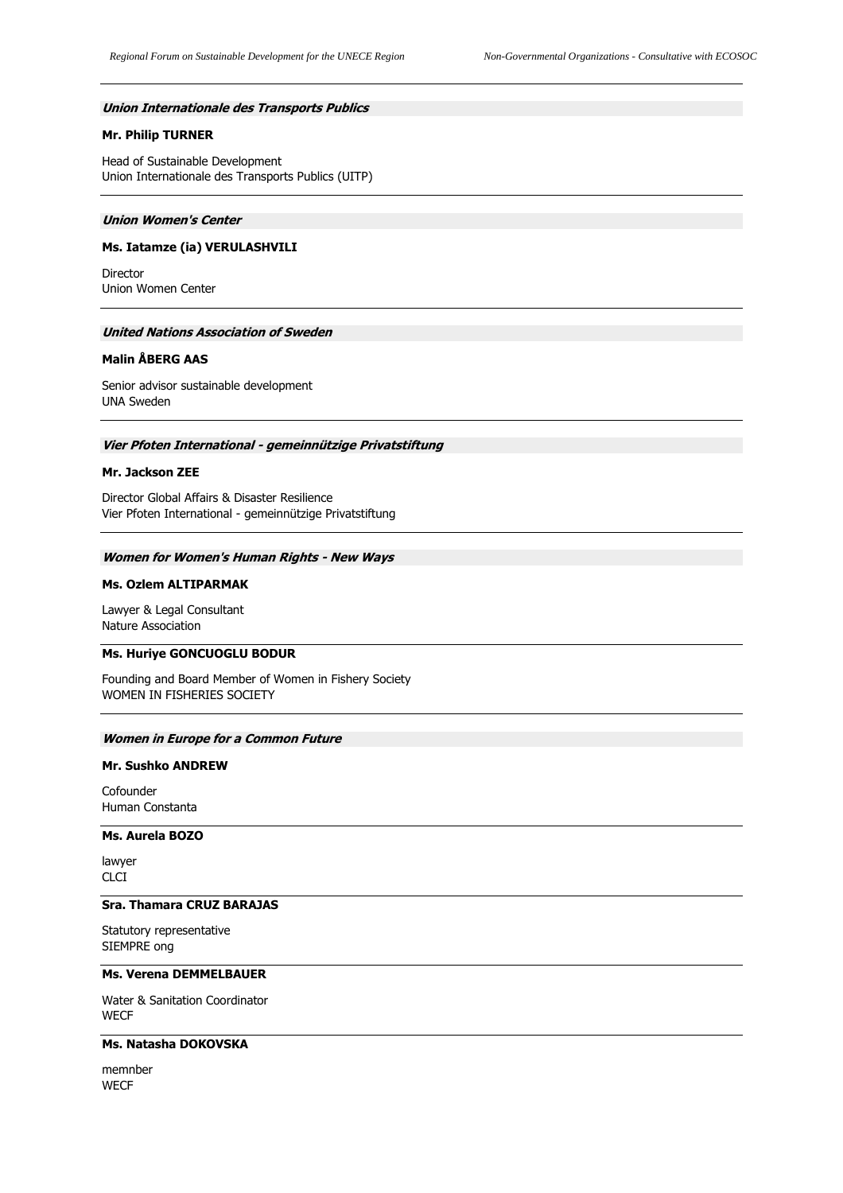### **Union Internationale des Transports Publics**

## **Mr. Philip TURNER**

Head of Sustainable Development Union Internationale des Transports Publics (UITP)

#### **Union Women's Center**

## **Ms. Iatamze (ia) VERULASHVILI**

Director Union Women Center

## **United Nations Association of Sweden**

### **Malin ÅBERG AAS**

Senior advisor sustainable development UNA Sweden

### **Vier Pfoten International - gemeinnützige Privatstiftung**

## **Mr. Jackson ZEE**

Director Global Affairs & Disaster Resilience Vier Pfoten International - gemeinnützige Privatstiftung

## **Women for Women's Human Rights - New Ways**

#### **Ms. Ozlem ALTIPARMAK**

Lawyer & Legal Consultant Nature Association

### **Ms. Huriye GONCUOGLU BODUR**

Founding and Board Member of Women in Fishery Society WOMEN IN FISHERIES SOCIETY

#### **Women in Europe for a Common Future**

## **Mr. Sushko ANDREW**

Cofounder Human Constanta

### **Ms. Aurela BOZO**

lawyer CLCI

## **Sra. Thamara CRUZ BARAJAS**

Statutory representative SIEMPRE ong

## **Ms. Verena DEMMELBAUER**

Water & Sanitation Coordinator **WECF** 

## **Ms. Natasha DOKOVSKA**

memnber **WECF**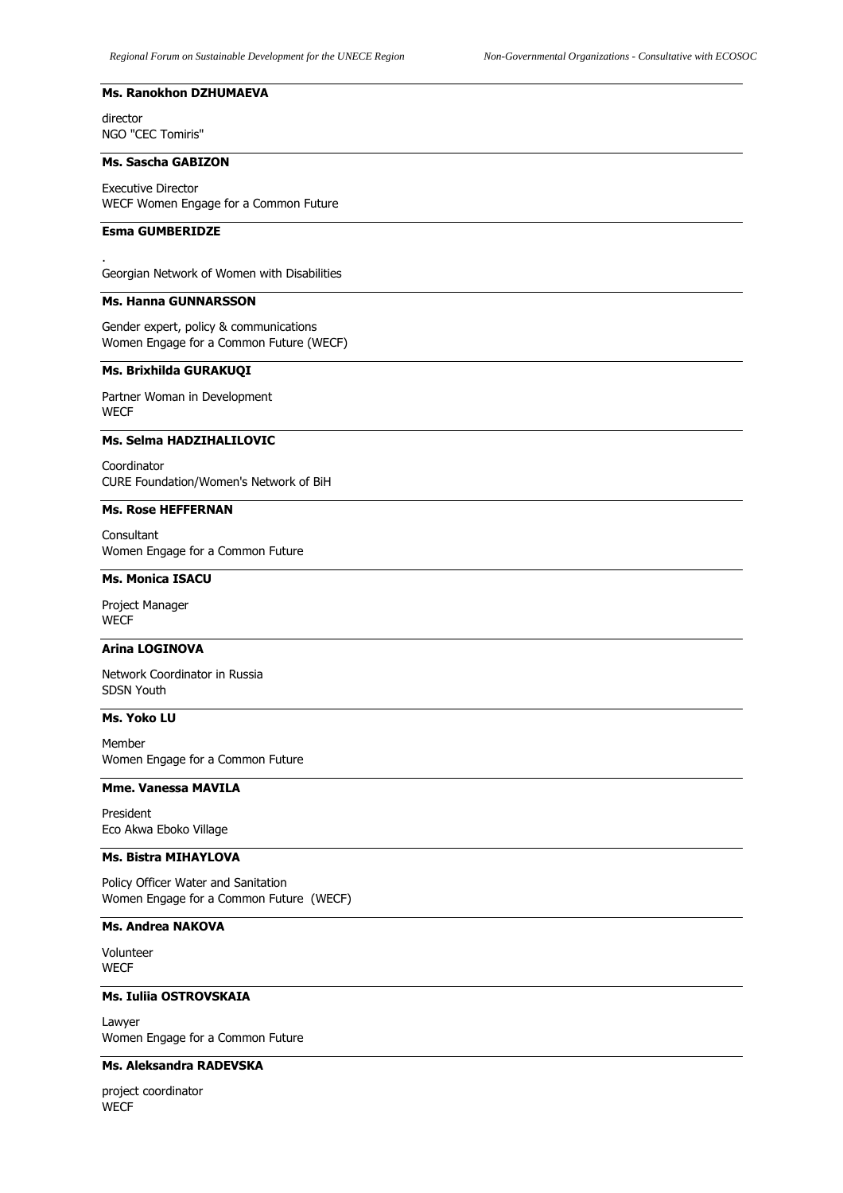#### **Ms. Ranokhon DZHUMAEVA**

director NGO "CEC Tomiris"

#### **Ms. Sascha GABIZON**

Executive Director WECF Women Engage for a Common Future

### **Esma GUMBERIDZE**

.

Georgian Network of Women with Disabilities

# **Ms. Hanna GUNNARSSON**

Gender expert, policy & communications Women Engage for a Common Future (WECF)

## **Ms. Brixhilda GURAKUQI**

Partner Woman in Development **WECF** 

## **Ms. Selma HADZIHALILOVIC**

Coordinator CURE Foundation/Women's Network of BiH

## **Ms. Rose HEFFERNAN**

Consultant Women Engage for a Common Future

## **Ms. Monica ISACU**

Project Manager **WECF** 

### **Arina LOGINOVA**

Network Coordinator in Russia SDSN Youth

## **Ms. Yoko LU**

Member Women Engage for a Common Future

## **Mme. Vanessa MAVILA**

President Eco Akwa Eboko Village

## **Ms. Bistra MIHAYLOVA**

Policy Officer Water and Sanitation Women Engage for a Common Future (WECF)

# **Ms. Andrea NAKOVA**

Volunteer **WECF** 

**Ms. Iuliia OSTROVSKAIA**

Lawyer Women Engage for a Common Future

## **Ms. Aleksandra RADEVSKA**

project coordinator **WECF**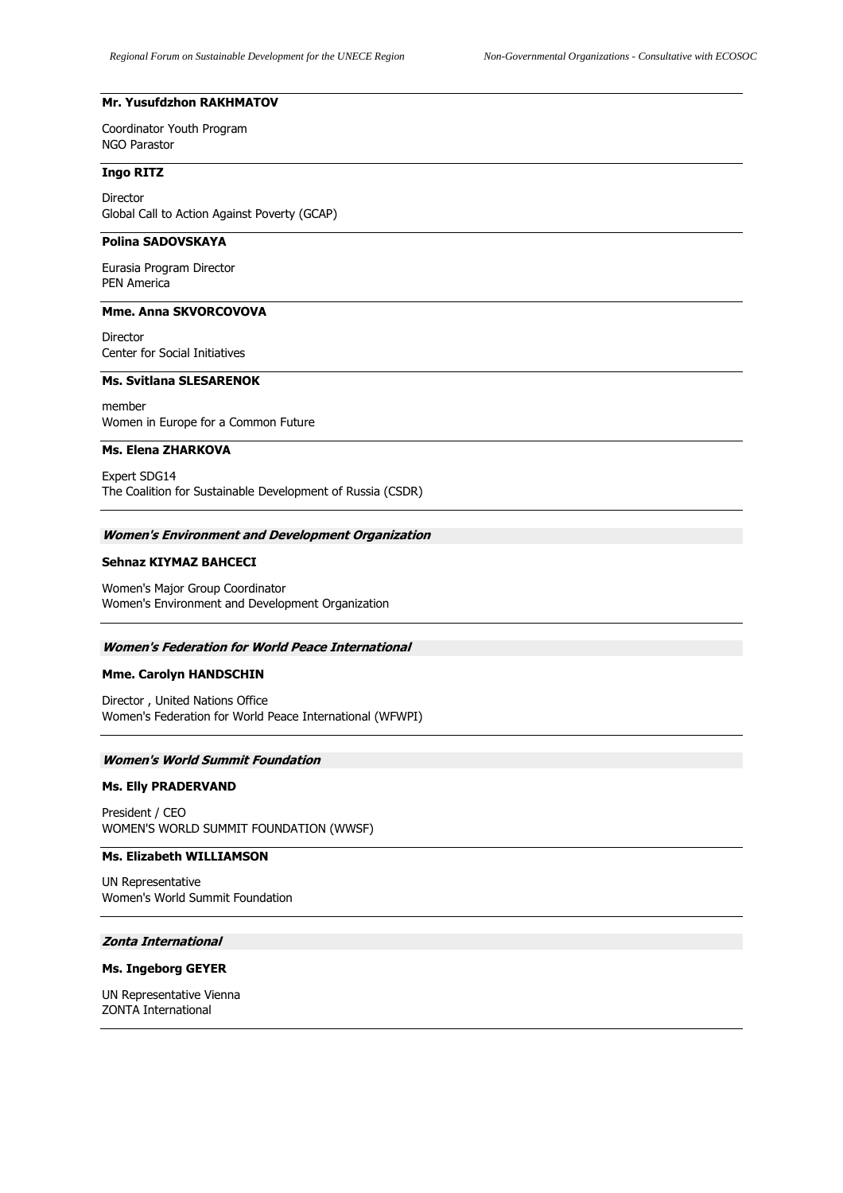## **Mr. Yusufdzhon RAKHMATOV**

Coordinator Youth Program NGO Parastor

## **Ingo RITZ**

Director Global Call to Action Against Poverty (GCAP)

# **Polina SADOVSKAYA**

Eurasia Program Director PEN America

#### **Mme. Anna SKVORCOVOVA**

Director Center for Social Initiatives

# **Ms. Svitlana SLESARENOK**

member Women in Europe for a Common Future

# **Ms. Elena ZHARKOVA**

Expert SDG14 The Coalition for Sustainable Development of Russia (CSDR)

#### **Women's Environment and Development Organization**

#### **Sehnaz KIYMAZ BAHCECI**

Women's Major Group Coordinator Women's Environment and Development Organization

#### **Women's Federation for World Peace International**

#### **Mme. Carolyn HANDSCHIN**

Director , United Nations Office Women's Federation for World Peace International (WFWPI)

#### **Women's World Summit Foundation**

## **Ms. Elly PRADERVAND**

President / CEO WOMEN'S WORLD SUMMIT FOUNDATION (WWSF)

## **Ms. Elizabeth WILLIAMSON**

UN Representative Women's World Summit Foundation

### **Zonta International**

#### **Ms. Ingeborg GEYER**

UN Representative Vienna ZONTA International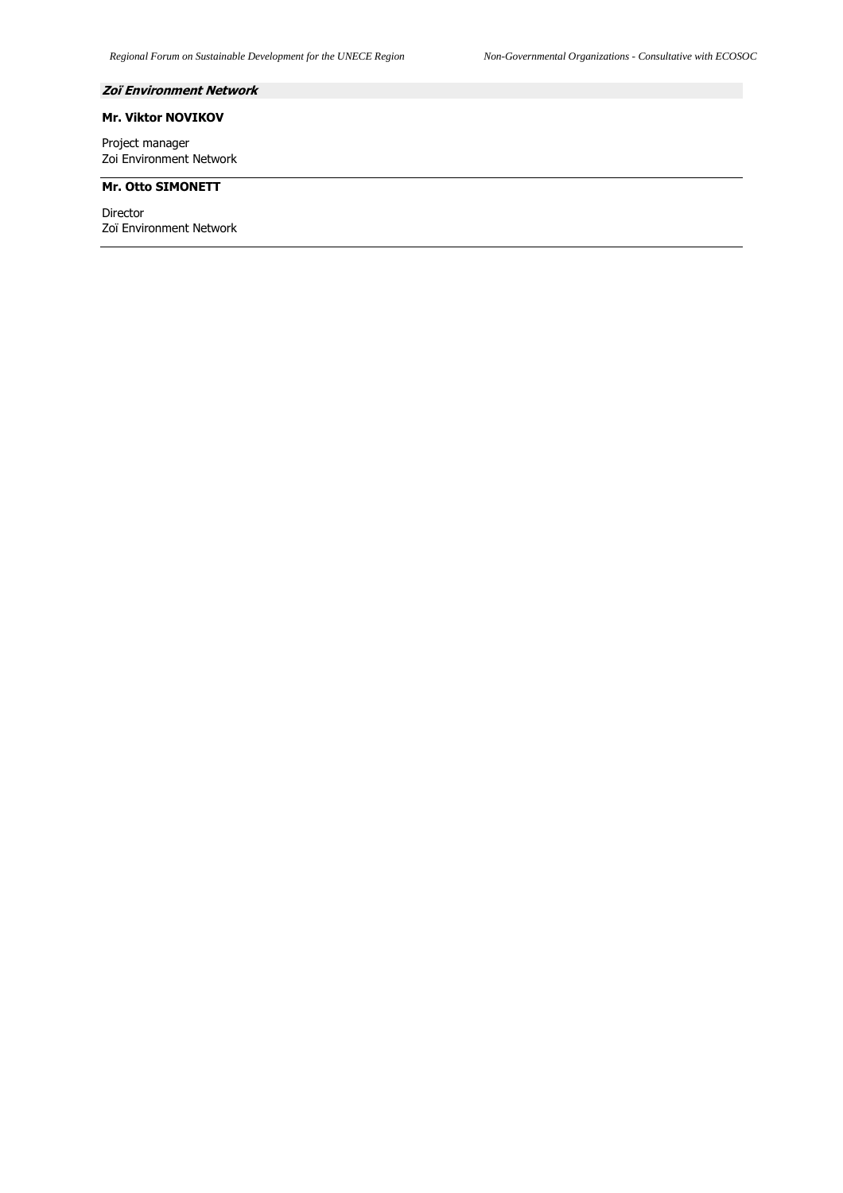# **Zoï Environment Network**

# **Mr. Viktor NOVIKOV**

Project manager Zoi Environment Network

## **Mr. Otto SIMONETT**

Director Zoï Environment Network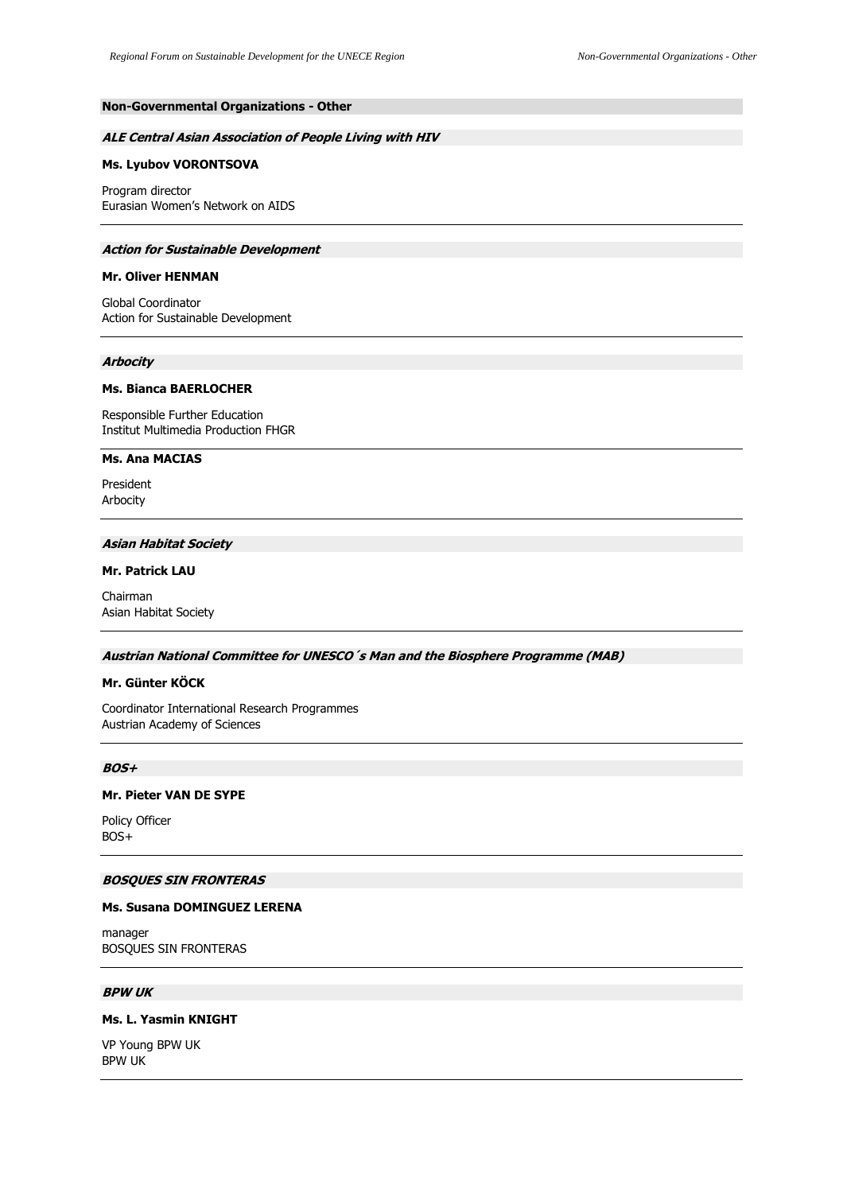# **Non-Governmental Organizations - Other**

### **ALE Central Asian Association of People Living with HIV**

### **Ms. Lyubov VORONTSOVA**

Program director Eurasian Women's Network on AIDS

#### **Action for Sustainable Development**

#### **Mr. Oliver HENMAN**

Global Coordinator Action for Sustainable Development

#### **Arbocity**

## **Ms. Bianca BAERLOCHER**

Responsible Further Education Institut Multimedia Production FHGR

## **Ms. Ana MACIAS**

President Arbocity

### **Asian Habitat Society**

## **Mr. Patrick LAU**

Chairman Asian Habitat Society

#### **Austrian National Committee for UNESCO´s Man and the Biosphere Programme (MAB)**

## **Mr. Günter KÖCK**

Coordinator International Research Programmes Austrian Academy of Sciences

## **BOS+**

## **Mr. Pieter VAN DE SYPE**

Policy Officer BOS+

## **BOSQUES SIN FRONTERAS**

# **Ms. Susana DOMINGUEZ LERENA**

manager BOSQUES SIN FRONTERAS

## **BPW UK**

# **Ms. L. Yasmin KNIGHT**

VP Young BPW UK BPW UK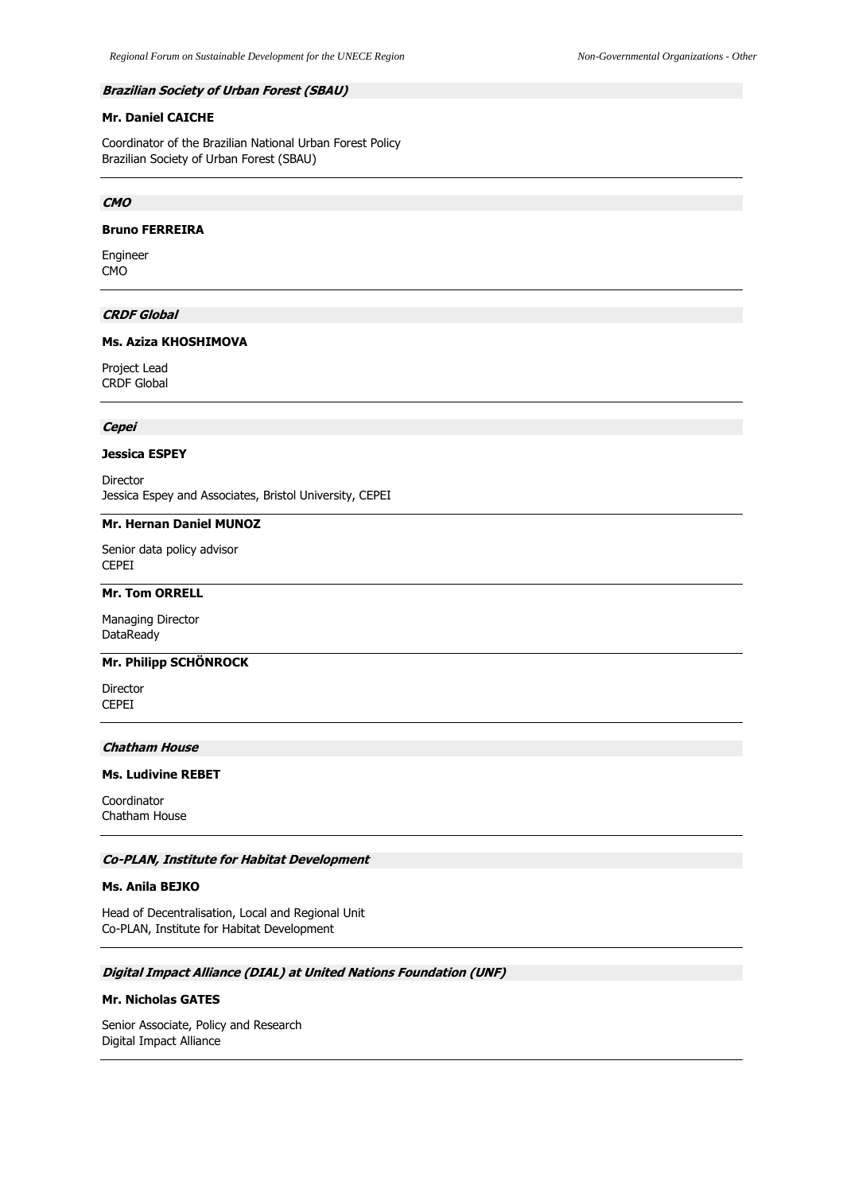### **Brazilian Society of Urban Forest (SBAU)**

# **Mr. Daniel CAICHE**

Coordinator of the Brazilian National Urban Forest Policy Brazilian Society of Urban Forest (SBAU)

## **CMO**

## **Bruno FERREIRA**

Engineer CMO

# **CRDF Global**

## **Ms. Aziza KHOSHIMOVA**

Project Lead CRDF Global

# **Cepei**

### **Jessica ESPEY**

Director Jessica Espey and Associates, Bristol University, CEPEI

## **Mr. Hernan Daniel MUNOZ**

Senior data policy advisor CEPEI

## **Mr. Tom ORRELL**

Managing Director DataReady

# **Mr. Philipp SCHÖNROCK**

Director CEPEI

#### **Chatham House**

#### **Ms. Ludivine REBET**

Coordinator Chatham House

## **Co-PLAN, Institute for Habitat Development**

## **Ms. Anila BEJKO**

Head of Decentralisation, Local and Regional Unit Co-PLAN, Institute for Habitat Development

# **Digital Impact Alliance (DIAL) at United Nations Foundation (UNF)**

# **Mr. Nicholas GATES**

Senior Associate, Policy and Research Digital Impact Alliance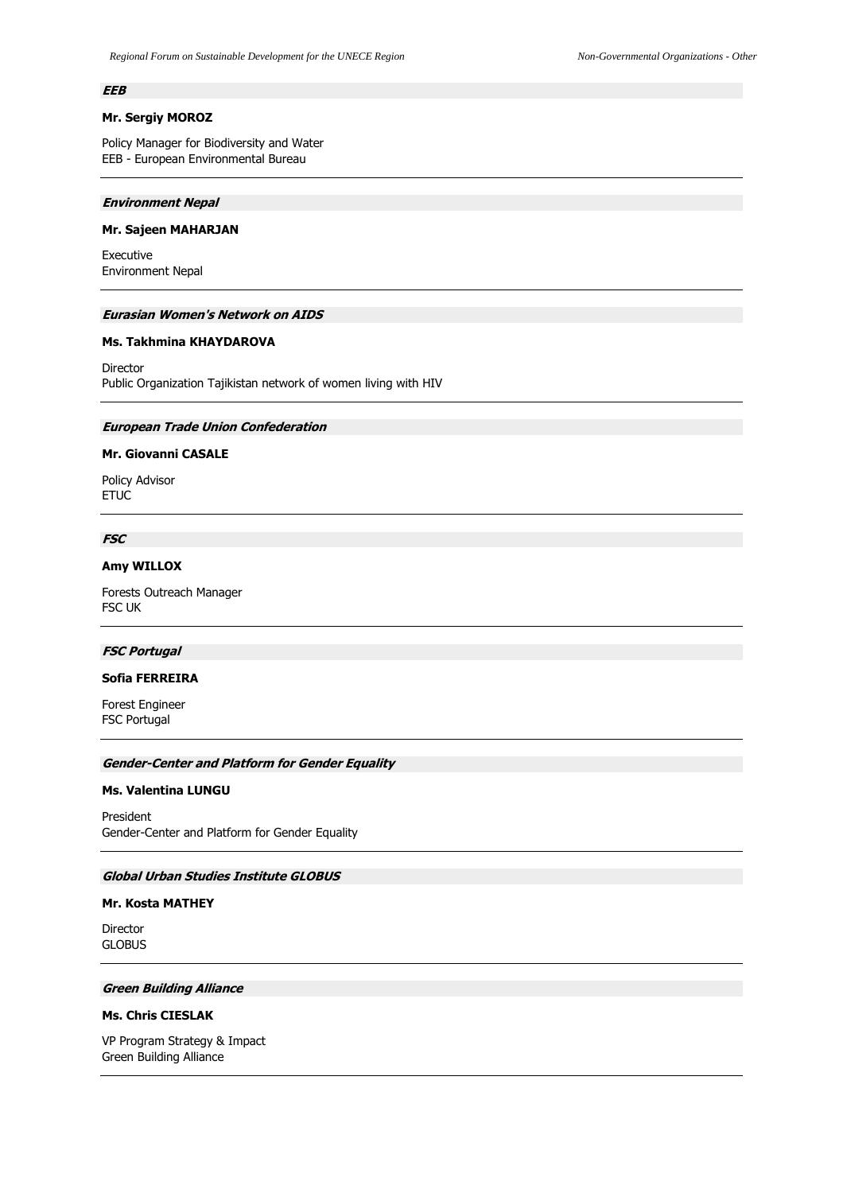### **EEB**

# **Mr. Sergiy MOROZ**

Policy Manager for Biodiversity and Water EEB - European Environmental Bureau

#### **Environment Nepal**

#### **Mr. Sajeen MAHARJAN**

Executive Environment Nepal

#### **Eurasian Women's Network on AIDS**

## **Ms. Takhmina KHAYDAROVA**

Director Public Organization Tajikistan network of women living with HIV

## **European Trade Union Confederation**

# **Mr. Giovanni CASALE**

Policy Advisor ETUC

# **FSC**

# **Amy WILLOX**

Forests Outreach Manager FSC UK

#### **FSC Portugal**

## **Sofia FERREIRA**

Forest Engineer FSC Portugal

#### **Gender-Center and Platform for Gender Equality**

#### **Ms. Valentina LUNGU**

President Gender-Center and Platform for Gender Equality

# **Global Urban Studies Institute GLOBUS**

#### **Mr. Kosta MATHEY**

Director GLOBUS

# **Green Building Alliance**

# **Ms. Chris CIESLAK**

VP Program Strategy & Impact Green Building Alliance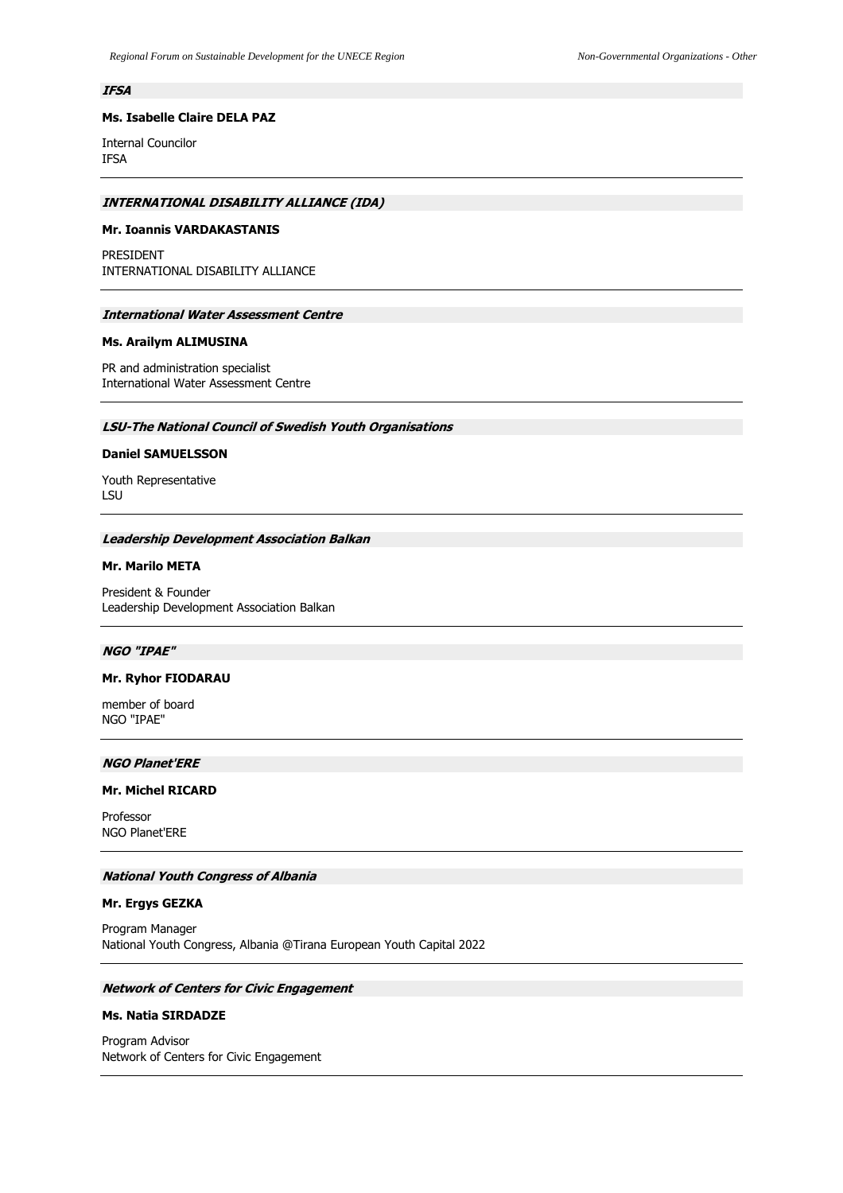## **IFSA**

# **Ms. Isabelle Claire DELA PAZ**

Internal Councilor IFSA

## **INTERNATIONAL DISABILITY ALLIANCE (IDA)**

## **Mr. Ioannis VARDAKASTANIS**

PRESIDENT INTERNATIONAL DISABILITY ALLIANCE

### **International Water Assessment Centre**

### **Ms. Arailym ALIMUSINA**

PR and administration specialist International Water Assessment Centre

# **LSU-The National Council of Swedish Youth Organisations**

## **Daniel SAMUELSSON**

Youth Representative LSU

#### **Leadership Development Association Balkan**

# **Mr. Marilo META**

President & Founder Leadership Development Association Balkan

### **NGO "IPAE"**

## **Mr. Ryhor FIODARAU**

member of board NGO "IPAE"

# **NGO Planet'ERE**

#### **Mr. Michel RICARD**

Professor NGO Planet'ERE

### **National Youth Congress of Albania**

### **Mr. Ergys GEZKA**

Program Manager National Youth Congress, Albania @Tirana European Youth Capital 2022

# **Network of Centers for Civic Engagement**

# **Ms. Natia SIRDADZE**

Program Advisor Network of Centers for Civic Engagement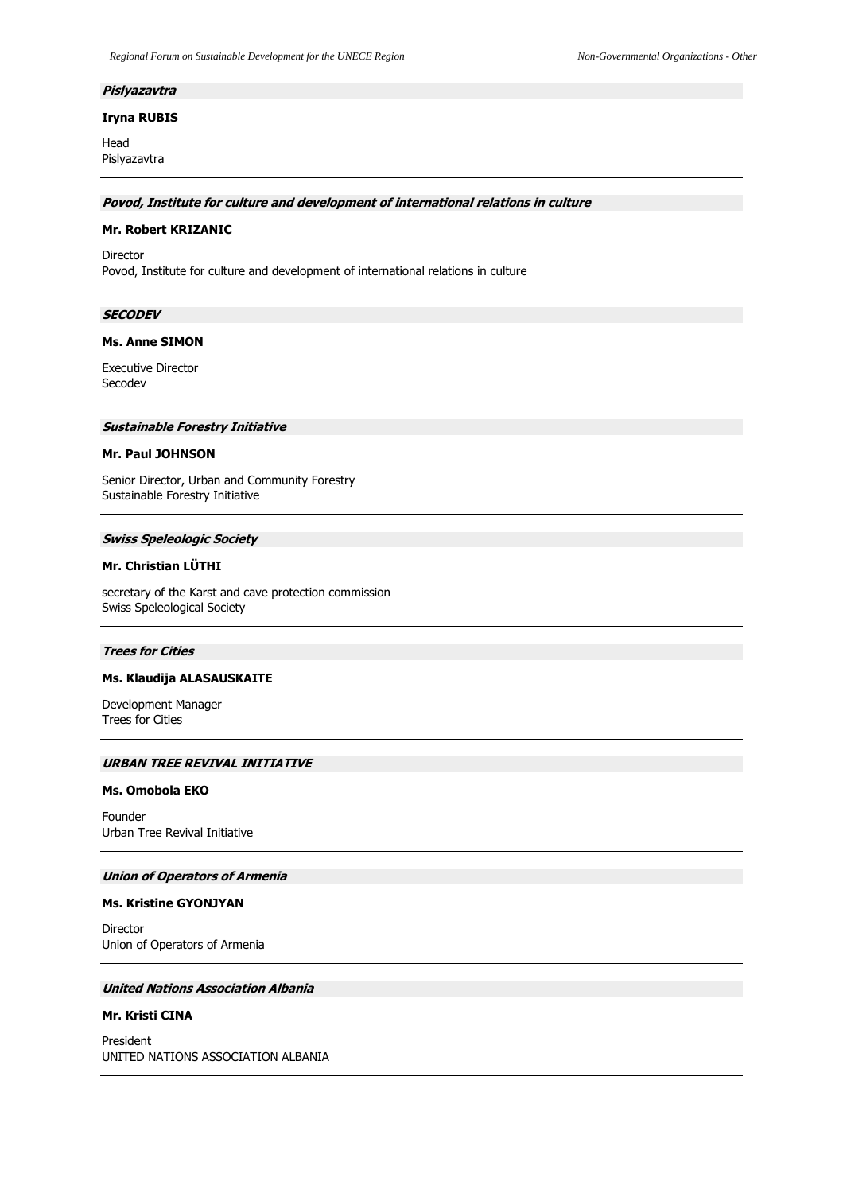#### **Pislyazavtra**

### **Iryna RUBIS**

Head Pislyazavtra

**Povod, Institute for culture and development of international relations in culture**

### **Mr. Robert KRIZANIC**

Director Povod, Institute for culture and development of international relations in culture

### **SECODEV**

### **Ms. Anne SIMON**

Executive Director Secodev

### **Sustainable Forestry Initiative**

## **Mr. Paul JOHNSON**

Senior Director, Urban and Community Forestry Sustainable Forestry Initiative

#### **Swiss Speleologic Society**

# **Mr. Christian LÜTHI**

secretary of the Karst and cave protection commission Swiss Speleological Society

### **Trees for Cities**

### **Ms. Klaudija ALASAUSKAITE**

Development Manager Trees for Cities

## **URBAN TREE REVIVAL INITIATIVE**

#### **Ms. Omobola EKO**

Founder Urban Tree Revival Initiative

### **Union of Operators of Armenia**

### **Ms. Kristine GYONJYAN**

Director Union of Operators of Armenia

# **United Nations Association Albania**

# **Mr. Kristi CINA**

President UNITED NATIONS ASSOCIATION ALBANIA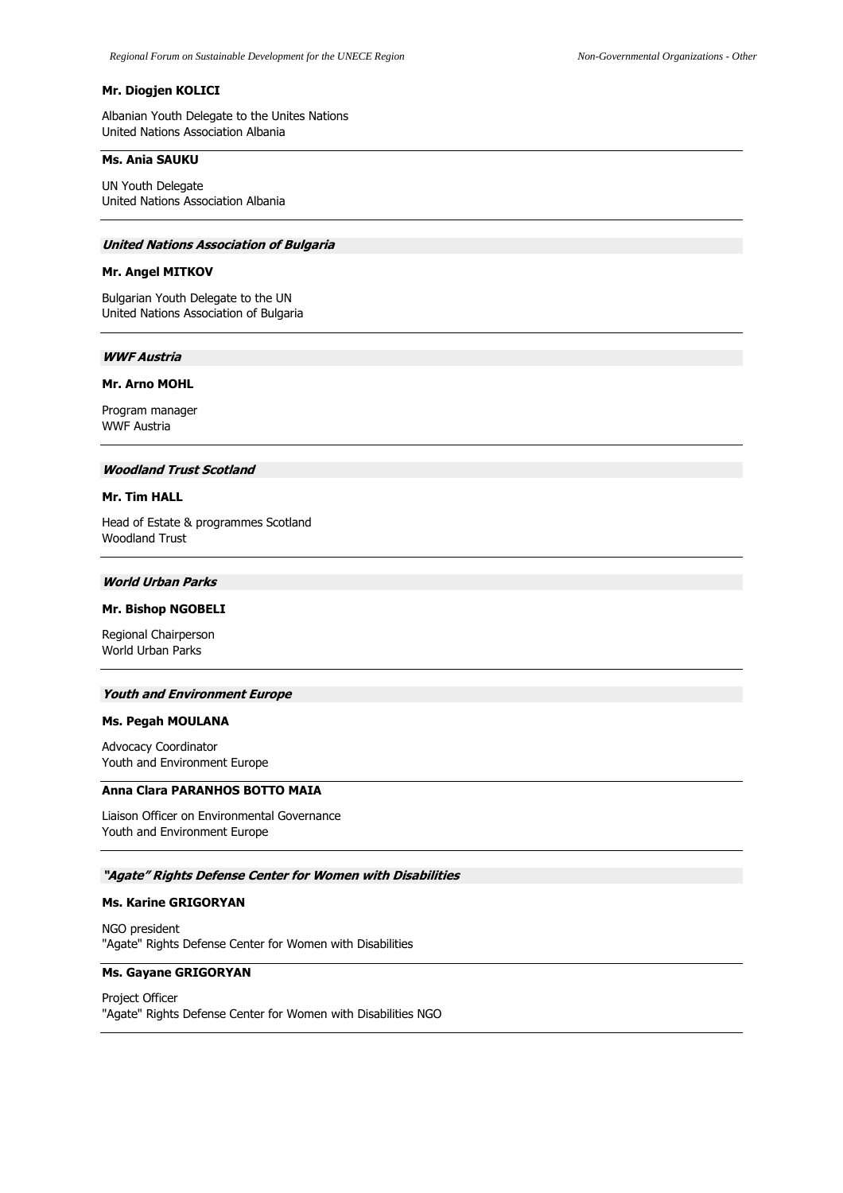## **Mr. Diogjen KOLICI**

Albanian Youth Delegate to the Unites Nations United Nations Association Albania

## **Ms. Ania SAUKU**

UN Youth Delegate United Nations Association Albania

### **United Nations Association of Bulgaria**

# **Mr. Angel MITKOV**

Bulgarian Youth Delegate to the UN United Nations Association of Bulgaria

### **WWF Austria**

### **Mr. Arno MOHL**

Program manager WWF Austria

### **Woodland Trust Scotland**

### **Mr. Tim HALL**

Head of Estate & programmes Scotland Woodland Trust

# **World Urban Parks**

### **Mr. Bishop NGOBELI**

Regional Chairperson World Urban Parks

#### **Youth and Environment Europe**

### **Ms. Pegah MOULANA**

Advocacy Coordinator Youth and Environment Europe

### **Anna Clara PARANHOS BOTTO MAIA**

Liaison Officer on Environmental Governance Youth and Environment Europe

### **"Agate" Rights Defense Center for Women with Disabilities**

#### **Ms. Karine GRIGORYAN**

NGO president "Agate" Rights Defense Center for Women with Disabilities

### **Ms. Gayane GRIGORYAN**

Project Officer "Agate" Rights Defense Center for Women with Disabilities NGO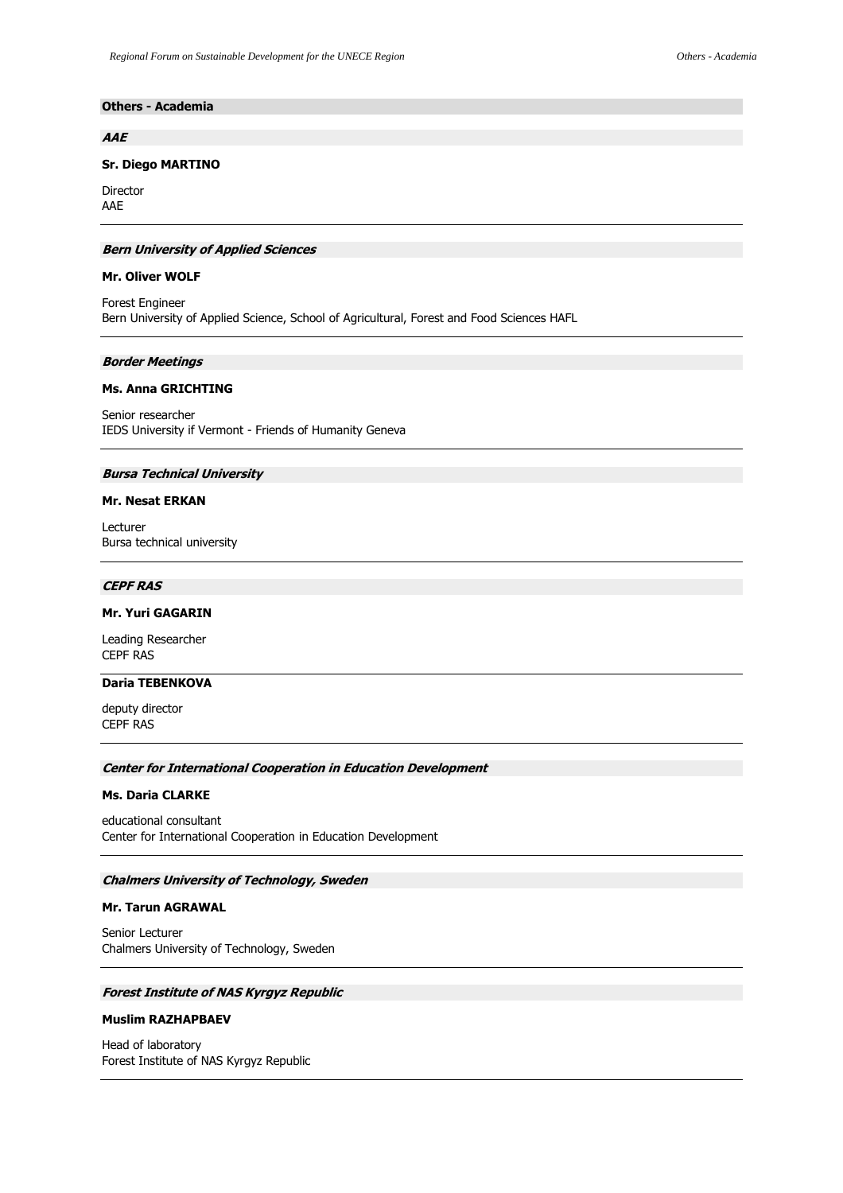# **Others - Academia**

### **AAE**

### **Sr. Diego MARTINO**

Director AAE

### **Bern University of Applied Sciences**

### **Mr. Oliver WOLF**

Forest Engineer Bern University of Applied Science, School of Agricultural, Forest and Food Sciences HAFL

### **Border Meetings**

### **Ms. Anna GRICHTING**

Senior researcher IEDS University if Vermont - Friends of Humanity Geneva

### **Bursa Technical University**

### **Mr. Nesat ERKAN**

Lecturer Bursa technical university

# **CEPF RAS**

# **Mr. Yuri GAGARIN**

Leading Researcher CEPF RAS

# **Daria TEBENKOVA**

deputy director CEPF RAS

### **Center for International Cooperation in Education Development**

#### **Ms. Daria CLARKE**

educational consultant Center for International Cooperation in Education Development

# **Chalmers University of Technology, Sweden**

## **Mr. Tarun AGRAWAL**

Senior Lecturer Chalmers University of Technology, Sweden

# **Forest Institute of NAS Kyrgyz Republic**

## **Muslim RAZHAPBAEV**

Head of laboratory Forest Institute of NAS Kyrgyz Republic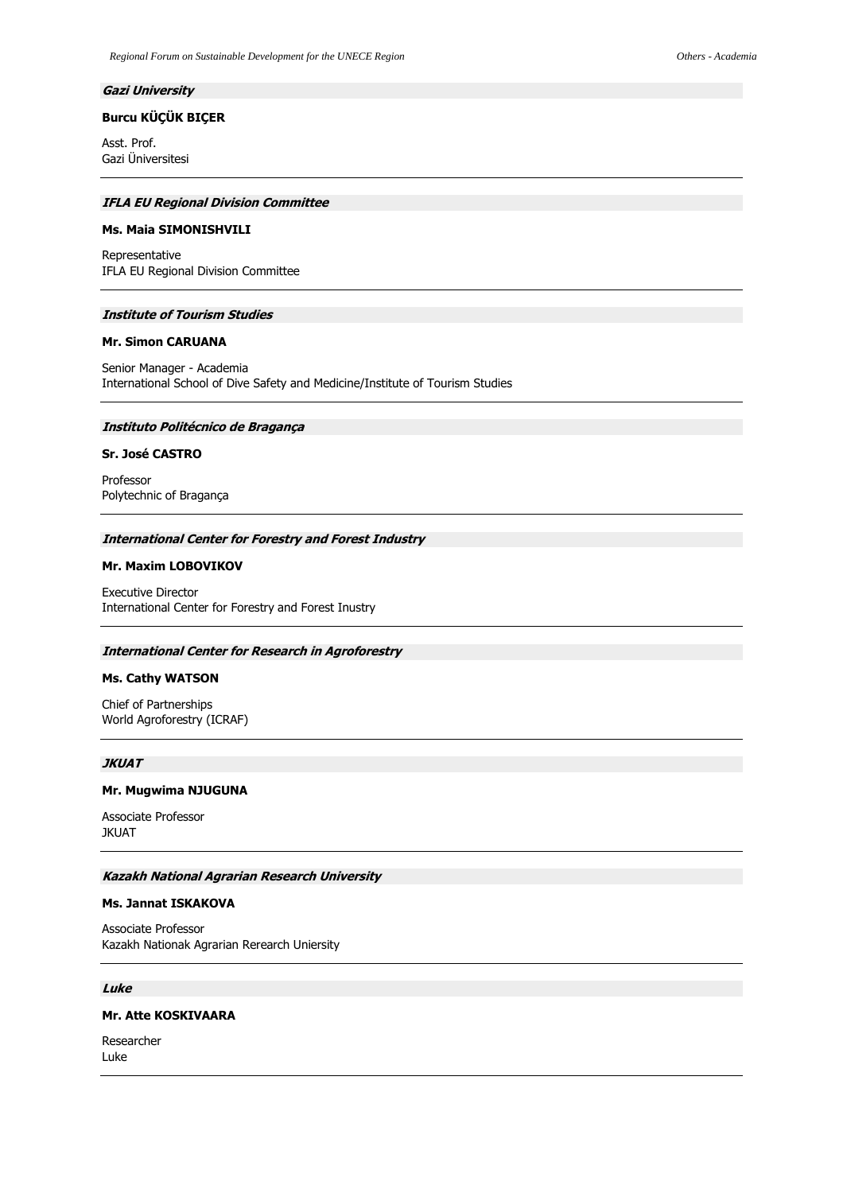# **Gazi University**

# **Burcu KÜÇÜK BIÇER**

Asst. Prof. Gazi Üniversitesi

### **IFLA EU Regional Division Committee**

### **Ms. Maia SIMONISHVILI**

Representative IFLA EU Regional Division Committee

### **Institute of Tourism Studies**

# **Mr. Simon CARUANA**

Senior Manager - Academia International School of Dive Safety and Medicine/Institute of Tourism Studies

## **Instituto Politécnico de Bragança**

## **Sr. José CASTRO**

Professor Polytechnic of Bragança

#### **International Center for Forestry and Forest Industry**

## **Mr. Maxim LOBOVIKOV**

Executive Director International Center for Forestry and Forest Inustry

#### **International Center for Research in Agroforestry**

### **Ms. Cathy WATSON**

Chief of Partnerships World Agroforestry (ICRAF)

#### **JKUAT**

### **Mr. Mugwima NJUGUNA**

Associate Professor **JKUAT** 

## **Kazakh National Agrarian Research University**

### **Ms. Jannat ISKAKOVA**

Associate Professor Kazakh Nationak Agrarian Rerearch Uniersity

# **Luke**

# **Mr. Atte KOSKIVAARA**

Researcher Luke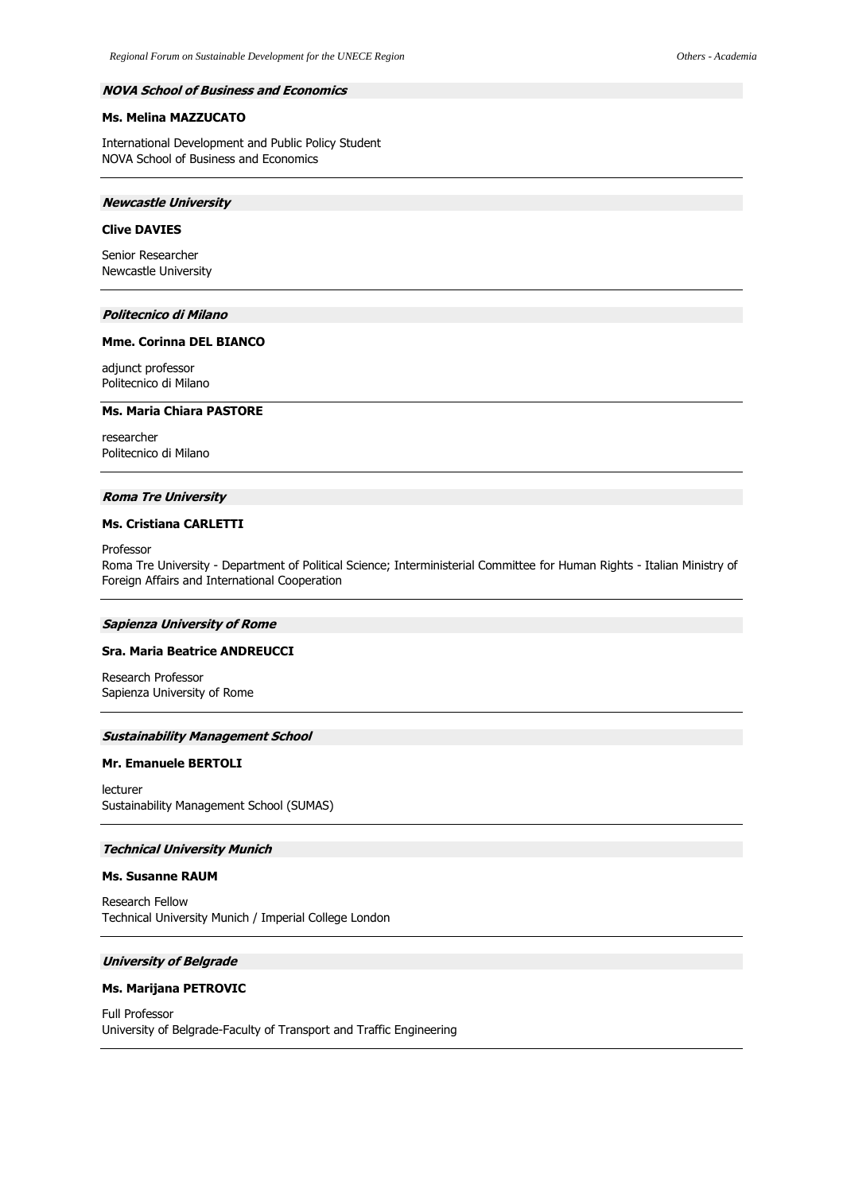### **NOVA School of Business and Economics**

# **Ms. Melina MAZZUCATO**

International Development and Public Policy Student NOVA School of Business and Economics

### **Newcastle University**

## **Clive DAVIES**

Senior Researcher Newcastle University

## **Politecnico di Milano**

#### **Mme. Corinna DEL BIANCO**

adjunct professor Politecnico di Milano

### **Ms. Maria Chiara PASTORE**

researcher Politecnico di Milano

### **Roma Tre University**

## **Ms. Cristiana CARLETTI**

Professor

Roma Tre University - Department of Political Science; Interministerial Committee for Human Rights - Italian Ministry of Foreign Affairs and International Cooperation

#### **Sapienza University of Rome**

### **Sra. Maria Beatrice ANDREUCCI**

Research Professor Sapienza University of Rome

## **Sustainability Management School**

#### **Mr. Emanuele BERTOLI**

lecturer Sustainability Management School (SUMAS)

### **Technical University Munich**

### **Ms. Susanne RAUM**

Research Fellow Technical University Munich / Imperial College London

## **University of Belgrade**

# **Ms. Marijana PETROVIC**

Full Professor University of Belgrade-Faculty of Transport and Traffic Engineering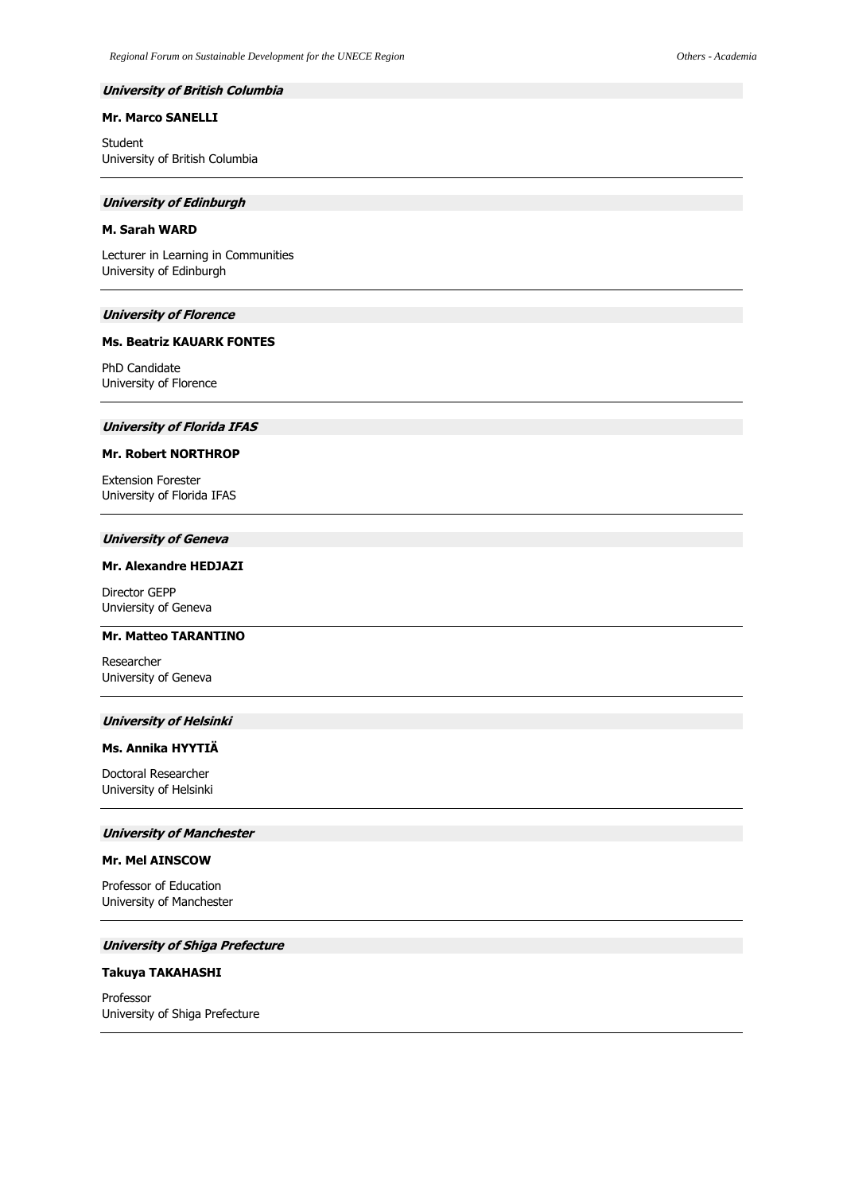## **University of British Columbia**

# **Mr. Marco SANELLI**

Student University of British Columbia

#### **University of Edinburgh**

### **M. Sarah WARD**

Lecturer in Learning in Communities University of Edinburgh

# **University of Florence**

### **Ms. Beatriz KAUARK FONTES**

PhD Candidate University of Florence

# **University of Florida IFAS**

# **Mr. Robert NORTHROP**

Extension Forester University of Florida IFAS

### **University of Geneva**

## **Mr. Alexandre HEDJAZI**

Director GEPP Unviersity of Geneva

#### **Mr. Matteo TARANTINO**

Researcher University of Geneva

# **University of Helsinki**

#### **Ms. Annika HYYTIÄ**

Doctoral Researcher University of Helsinki

#### **University of Manchester**

# **Mr. Mel AINSCOW**

Professor of Education University of Manchester

### **University of Shiga Prefecture**

## **Takuya TAKAHASHI**

Professor University of Shiga Prefecture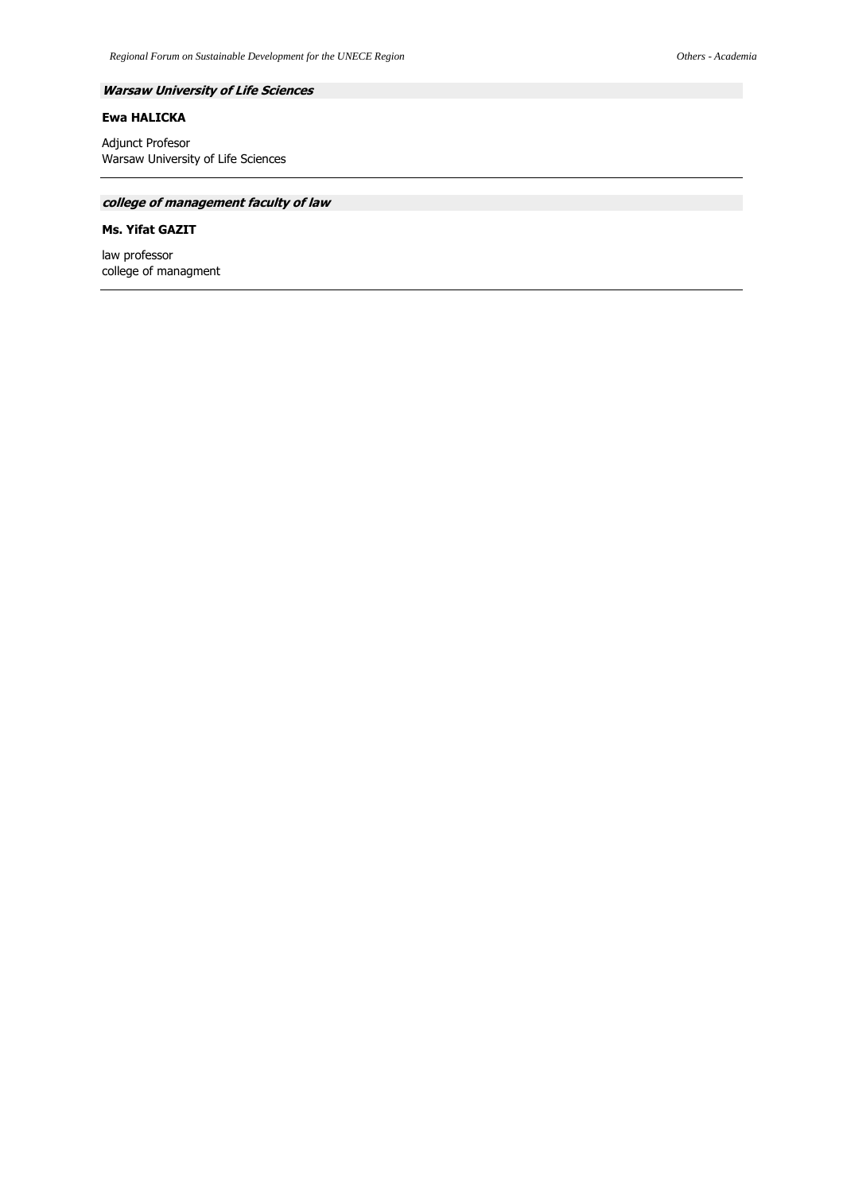# **Warsaw University of Life Sciences**

# **Ewa HALICKA**

Adjunct Profesor Warsaw University of Life Sciences

# **college of management faculty of law**

# **Ms. Yifat GAZIT**

law professor college of managment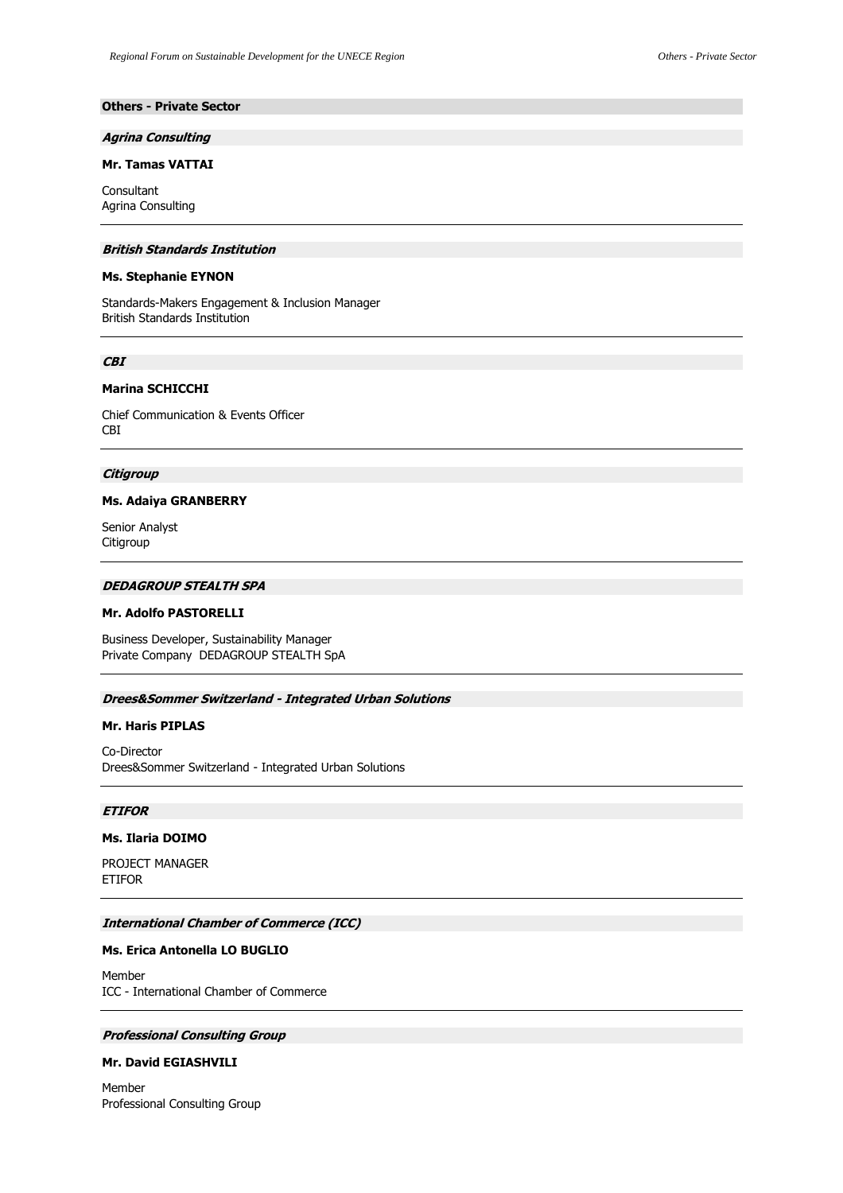# **Others - Private Sector**

#### **Agrina Consulting**

# **Mr. Tamas VATTAI**

Consultant Agrina Consulting

### **British Standards Institution**

### **Ms. Stephanie EYNON**

Standards-Makers Engagement & Inclusion Manager British Standards Institution

### **CBI**

# **Marina SCHICCHI**

Chief Communication & Events Officer CBI

## **Citigroup**

#### **Ms. Adaiya GRANBERRY**

Senior Analyst **Citigroup** 

# **DEDAGROUP STEALTH SPA**

# **Mr. Adolfo PASTORELLI**

Business Developer, Sustainability Manager Private Company DEDAGROUP STEALTH SpA

### **Drees&Sommer Switzerland - Integrated Urban Solutions**

## **Mr. Haris PIPLAS**

Co-Director Drees&Sommer Switzerland - Integrated Urban Solutions

# **ETIFOR**

### **Ms. Ilaria DOIMO**

PROJECT MANAGER ETIFOR

### **International Chamber of Commerce (ICC)**

### **Ms. Erica Antonella LO BUGLIO**

Member ICC - International Chamber of Commerce

# **Professional Consulting Group**

## **Mr. David EGIASHVILI**

Member Professional Consulting Group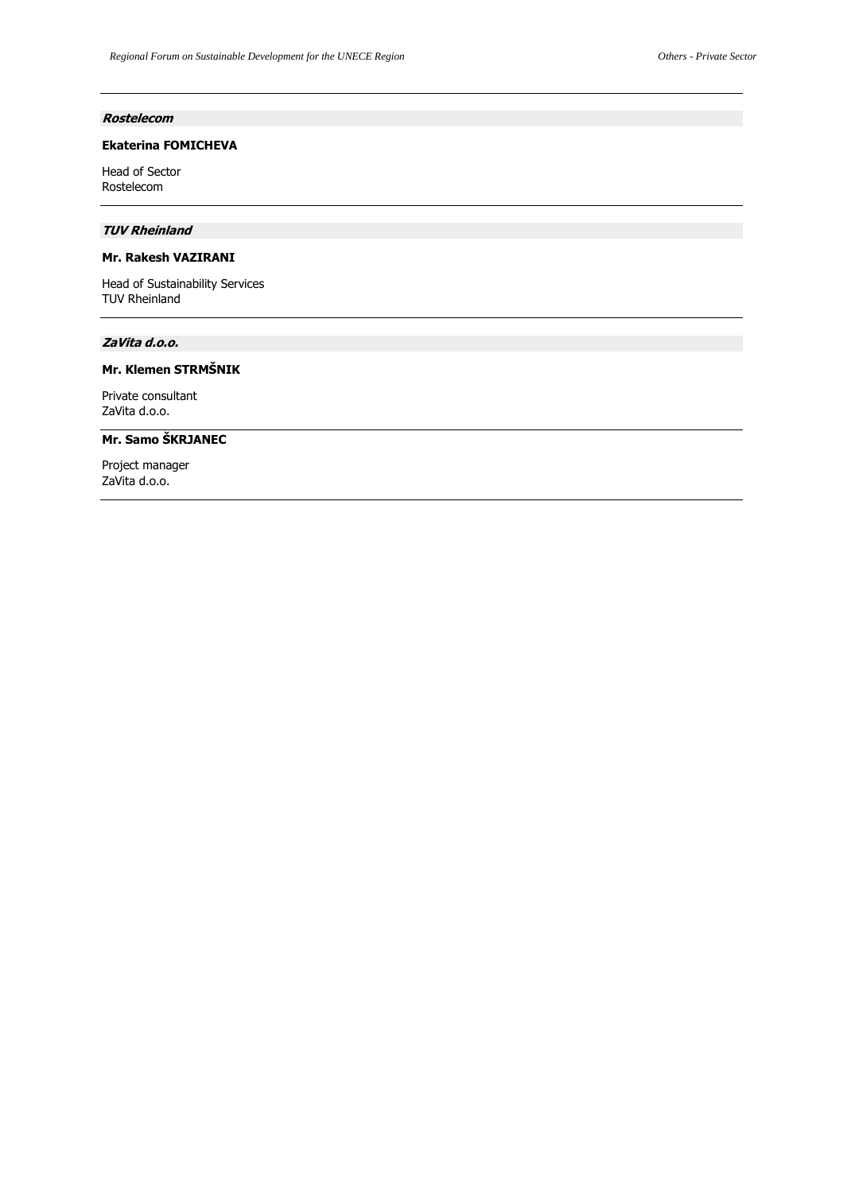# **Rostelecom**

# **Ekaterina FOMICHEVA**

Head of Sector Rostelecom

# **TUV Rheinland**

# **Mr. Rakesh VAZIRANI**

Head of Sustainability Services TUV Rheinland

## **ZaVita d.o.o.**

# **Mr. Klemen STRMŠNIK**

Private consultant ZaVita d.o.o.

# **Mr. Samo ŠKRJANEC**

Project manager ZaVita d.o.o.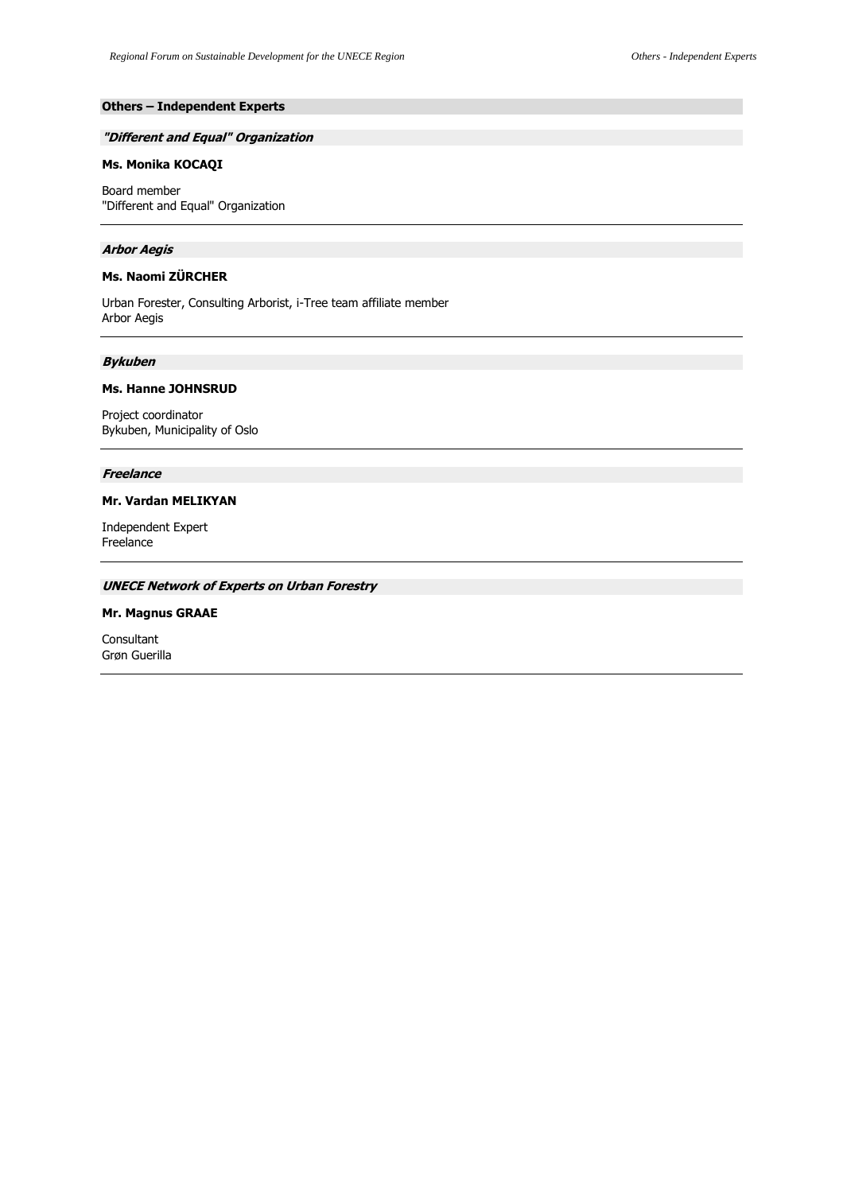# **Others – Independent Experts**

## **"Different and Equal" Organization**

# **Ms. Monika KOCAQI**

Board member "Different and Equal" Organization

### **Arbor Aegis**

# **Ms. Naomi ZÜRCHER**

Urban Forester, Consulting Arborist, i-Tree team affiliate member Arbor Aegis

#### **Bykuben**

# **Ms. Hanne JOHNSRUD**

Project coordinator Bykuben, Municipality of Oslo

# **Freelance**

### **Mr. Vardan MELIKYAN**

Independent Expert Freelance

# **UNECE Network of Experts on Urban Forestry**

# **Mr. Magnus GRAAE**

Consultant Grøn Guerilla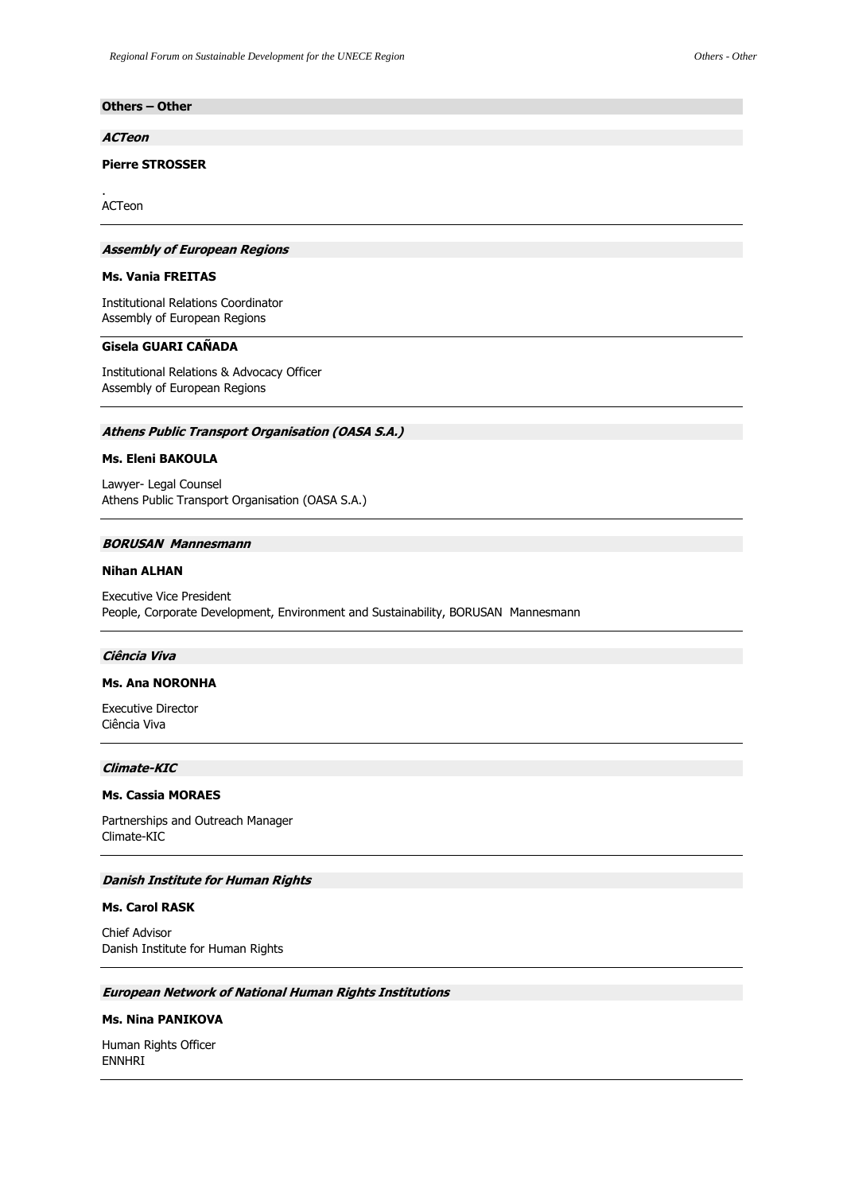# **Others – Other**

#### **ACTeon**

# **Pierre STROSSER**

ACTeon

.

### **Assembly of European Regions**

#### **Ms. Vania FREITAS**

Institutional Relations Coordinator Assembly of European Regions

### **Gisela GUARI CAÑADA**

Institutional Relations & Advocacy Officer Assembly of European Regions

# **Athens Public Transport Organisation (OASA S.A.)**

### **Ms. Eleni BAKOULA**

Lawyer- Legal Counsel Athens Public Transport Organisation (OASA S.A.)

# **BORUSAN Mannesmann**

### **Nihan ALHAN**

Executive Vice President People, Corporate Development, Environment and Sustainability, BORUSAN Mannesmann

#### **Ciência Viva**

## **Ms. Ana NORONHA**

Executive Director Ciência Viva

## **Climate-KIC**

#### **Ms. Cassia MORAES**

Partnerships and Outreach Manager Climate-KIC

# **Danish Institute for Human Rights**

## **Ms. Carol RASK**

Chief Advisor Danish Institute for Human Rights

# **European Network of National Human Rights Institutions**

### **Ms. Nina PANIKOVA**

Human Rights Officer ENNHRI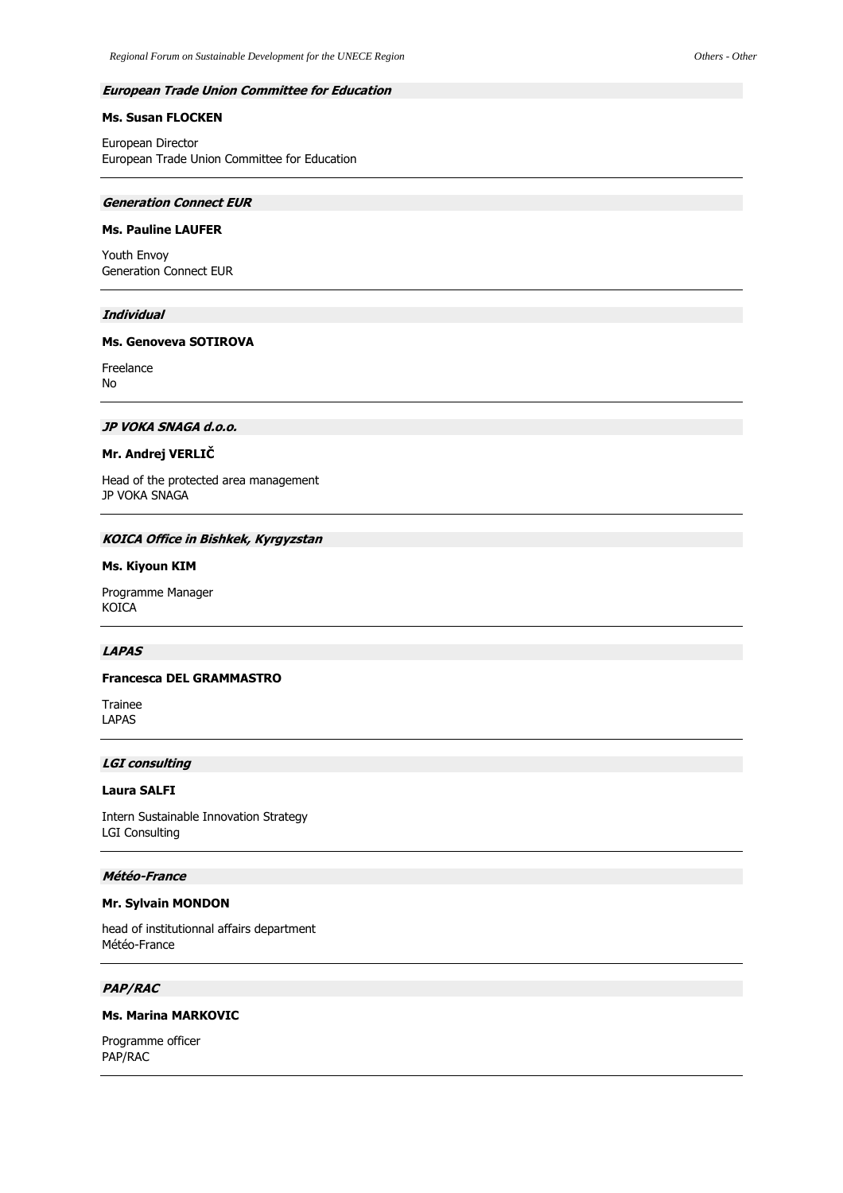## **Ms. Susan FLOCKEN**

European Director European Trade Union Committee for Education

### **Generation Connect EUR**

# **Ms. Pauline LAUFER**

Youth Envoy Generation Connect EUR

## **Individual**

## **Ms. Genoveva SOTIROVA**

Freelance No

# **JP VOKA SNAGA d.o.o.**

# **Mr. Andrej VERLIČ**

Head of the protected area management JP VOKA SNAGA

### **KOICA Office in Bishkek, Kyrgyzstan**

### **Ms. Kiyoun KIM**

Programme Manager KOICA

### **LAPAS**

# **Francesca DEL GRAMMASTRO**

Trainee LAPAS

## **LGI consulting**

## **Laura SALFI**

Intern Sustainable Innovation Strategy LGI Consulting

# **Météo-France**

### **Mr. Sylvain MONDON**

head of institutionnal affairs department Météo-France

# **PAP/RAC**

# **Ms. Marina MARKOVIC**

Programme officer PAP/RAC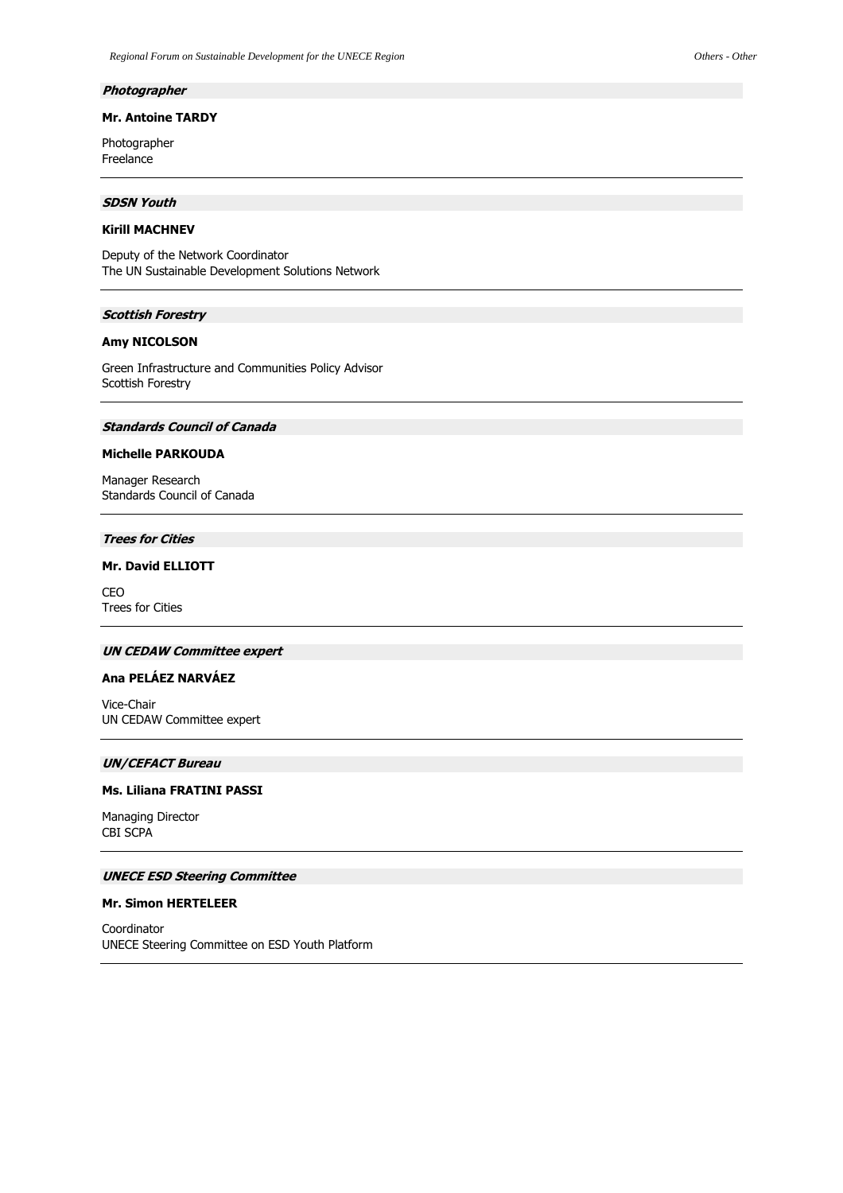#### **Photographer**

## **Mr. Antoine TARDY**

Photographer Freelance

# **SDSN Youth**

# **Kirill MACHNEV**

Deputy of the Network Coordinator The UN Sustainable Development Solutions Network

# **Scottish Forestry**

# **Amy NICOLSON**

Green Infrastructure and Communities Policy Advisor Scottish Forestry

# **Standards Council of Canada**

## **Michelle PARKOUDA**

Manager Research Standards Council of Canada

### **Trees for Cities**

# **Mr. David ELLIOTT**

CEO Trees for Cities

# **UN CEDAW Committee expert**

# **Ana PELÁEZ NARVÁEZ**

Vice-Chair UN CEDAW Committee expert

## **UN/CEFACT Bureau**

### **Ms. Liliana FRATINI PASSI**

Managing Director CBI SCPA

# **UNECE ESD Steering Committee**

#### **Mr. Simon HERTELEER**

Coordinator UNECE Steering Committee on ESD Youth Platform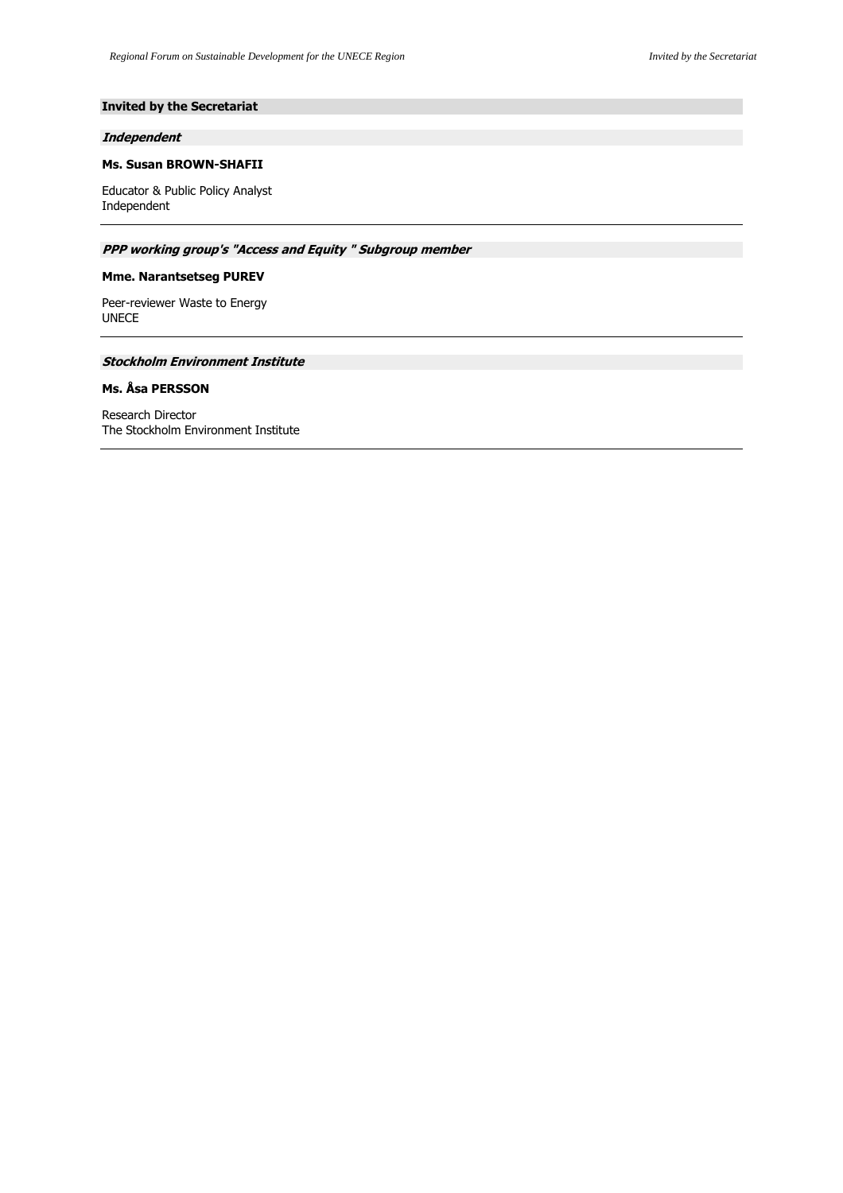# **Invited by the Secretariat**

### **Independent**

# **Ms. Susan BROWN-SHAFII**

Educator & Public Policy Analyst Independent

# **PPP working group's "Access and Equity " Subgroup member**

# **Mme. Narantsetseg PUREV**

Peer-reviewer Waste to Energy UNECE

# **Stockholm Environment Institute**

# **Ms. Åsa PERSSON**

Research Director The Stockholm Environment Institute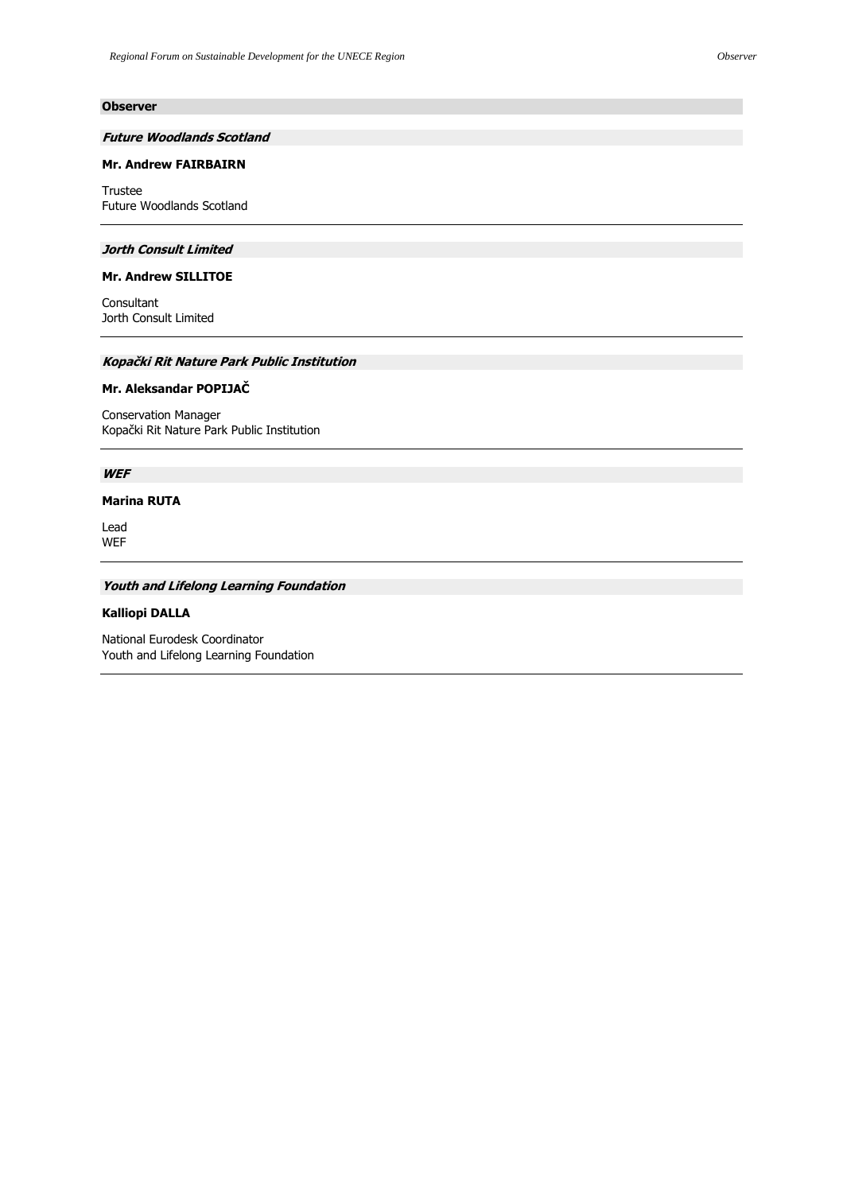# **Observer**

# **Future Woodlands Scotland**

# **Mr. Andrew FAIRBAIRN**

Trustee Future Woodlands Scotland

### **Jorth Consult Limited**

# **Mr. Andrew SILLITOE**

Consultant Jorth Consult Limited

# **Kopački Rit Nature Park Public Institution**

### **Mr. Aleksandar POPIJAČ**

Conservation Manager Kopački Rit Nature Park Public Institution

# **WEF**

## **Marina RUTA**

Lead WEF

# **Youth and Lifelong Learning Foundation**

# **Kalliopi DALLA**

National Eurodesk Coordinator Youth and Lifelong Learning Foundation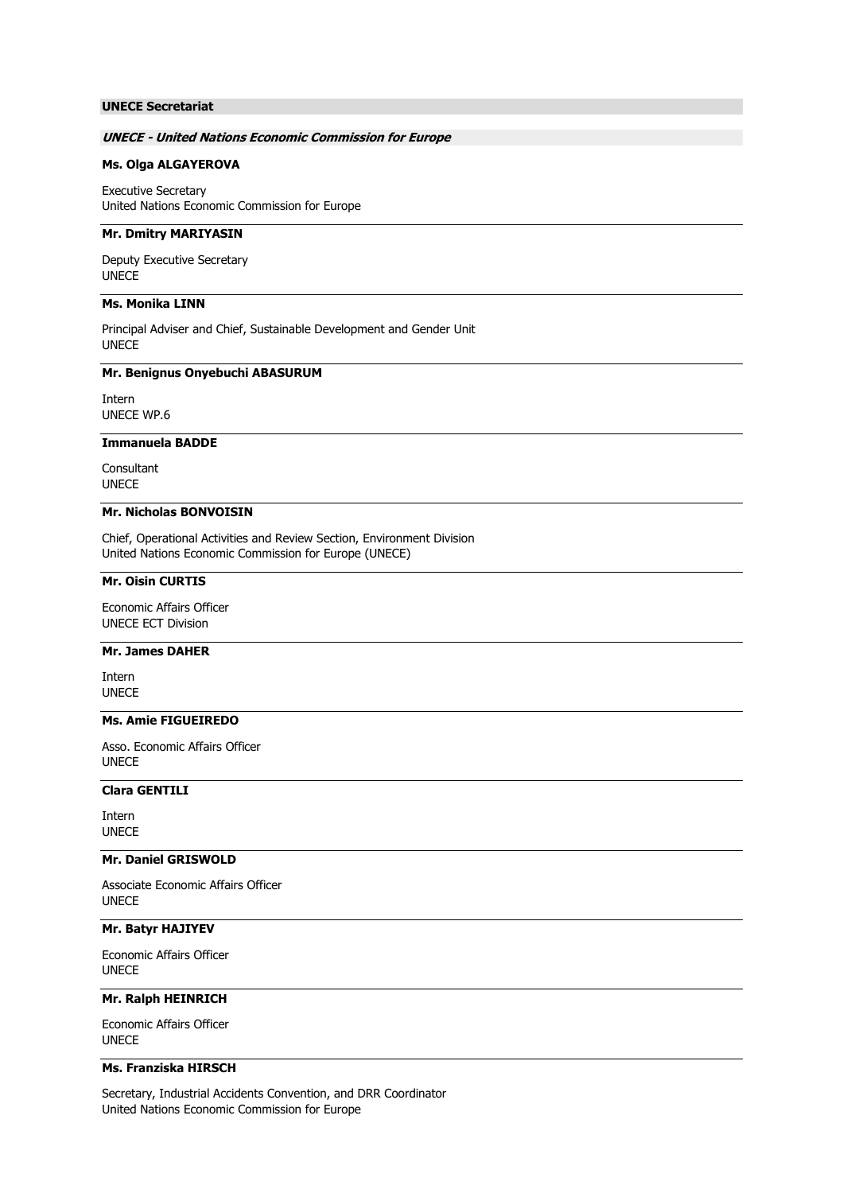# **UNECE Secretariat**

### **UNECE - United Nations Economic Commission for Europe**

### **Ms. Olga ALGAYEROVA**

Executive Secretary United Nations Economic Commission for Europe

### **Mr. Dmitry MARIYASIN**

Deputy Executive Secretary UNECE

# **Ms. Monika LINN**

Principal Adviser and Chief, Sustainable Development and Gender Unit UNECE

#### **Mr. Benignus Onyebuchi ABASURUM**

Intern UNECE WP.6

## **Immanuela BADDE**

**Consultant** UNECE

# **Mr. Nicholas BONVOISIN**

Chief, Operational Activities and Review Section, Environment Division United Nations Economic Commission for Europe (UNECE)

# **Mr. Oisin CURTIS**

Economic Affairs Officer UNECE ECT Division

### **Mr. James DAHER**

Intern UNECE

# **Ms. Amie FIGUEIREDO**

Asso. Economic Affairs Officer UNECE

# **Clara GENTILI**

Intern UNECE

### **Mr. Daniel GRISWOLD**

Associate Economic Affairs Officer UNECE

### **Mr. Batyr HAJIYEV**

Economic Affairs Officer UNECE

# **Mr. Ralph HEINRICH**

Economic Affairs Officer UNECE

# **Ms. Franziska HIRSCH**

Secretary, Industrial Accidents Convention, and DRR Coordinator United Nations Economic Commission for Europe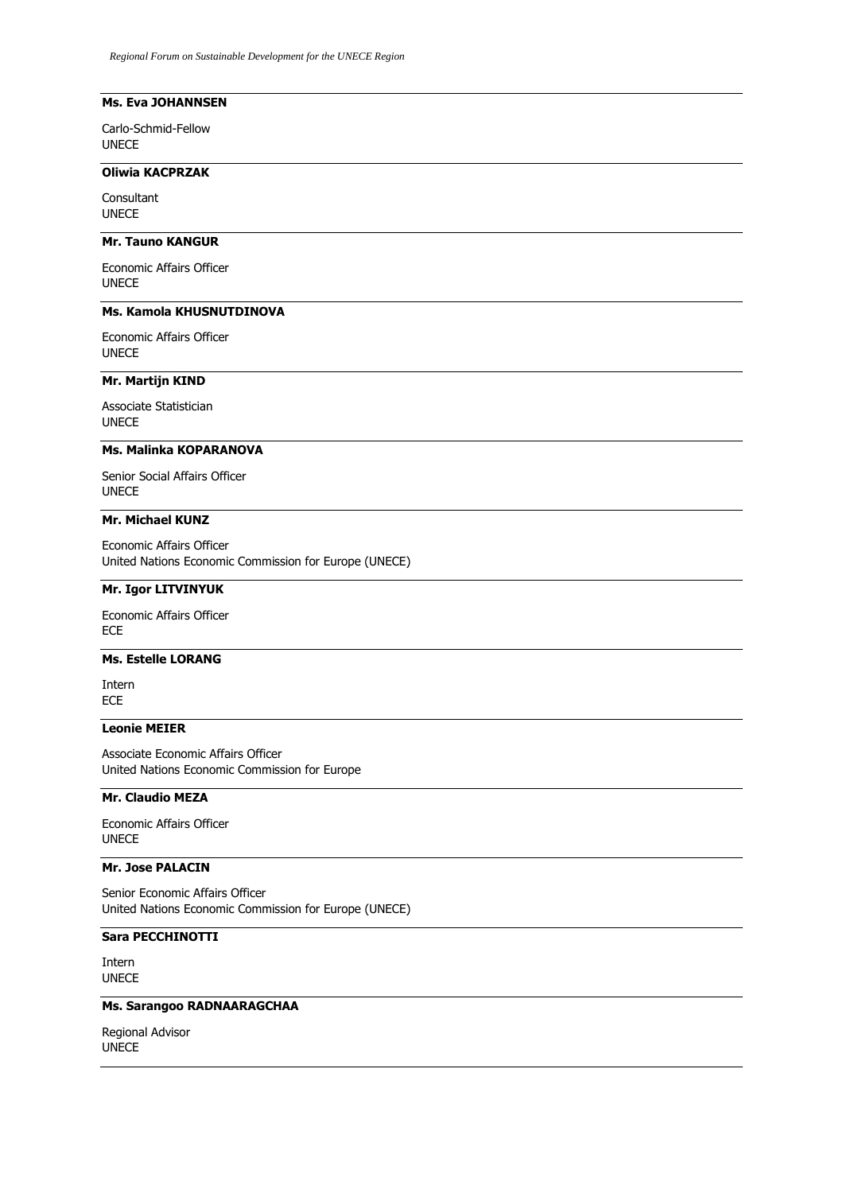# **Ms. Eva JOHANNSEN**

Carlo-Schmid-Fellow UNECE

# **Oliwia KACPRZAK**

Consultant UNECE

# **Mr. Tauno KANGUR**

Economic Affairs Officer UNECE

## **Ms. Kamola KHUSNUTDINOVA**

Economic Affairs Officer UNECE

# **Mr. Martijn KIND**

Associate Statistician UNECE

### **Ms. Malinka KOPARANOVA**

Senior Social Affairs Officer UNECE

# **Mr. Michael KUNZ**

Economic Affairs Officer United Nations Economic Commission for Europe (UNECE)

# **Mr. Igor LITVINYUK**

Economic Affairs Officer ECE

# **Ms. Estelle LORANG**

Intern ECE

### **Leonie MEIER**

Associate Economic Affairs Officer United Nations Economic Commission for Europe

# **Mr. Claudio MEZA**

Economic Affairs Officer UNECE

## **Mr. Jose PALACIN**

Senior Economic Affairs Officer United Nations Economic Commission for Europe (UNECE)

# **Sara PECCHINOTTI**

Intern UNECE

# **Ms. Sarangoo RADNAARAGCHAA**

Regional Advisor UNECE